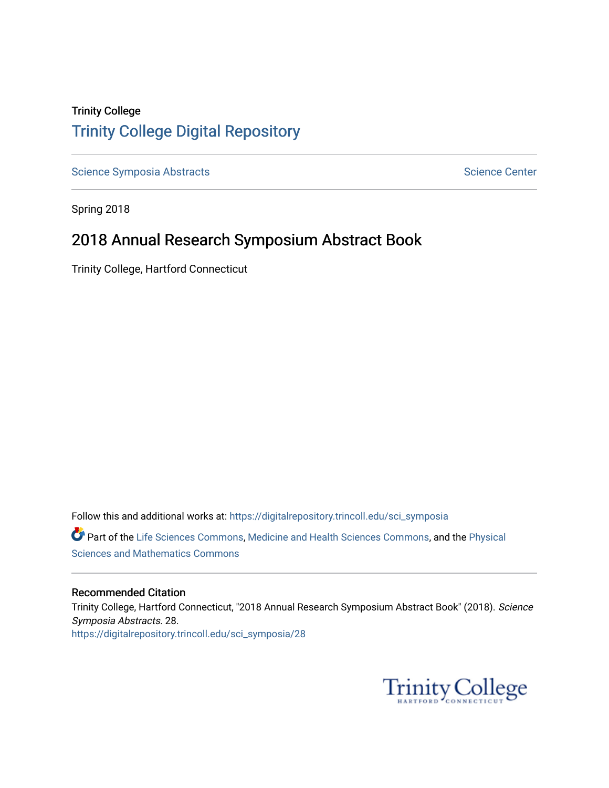# Trinity College [Trinity College Digital Repository](https://digitalrepository.trincoll.edu/)

[Science Symposia Abstracts](https://digitalrepository.trincoll.edu/sci_symposia) **Science Center** Science Center

Spring 2018

# 2018 Annual Research Symposium Abstract Book

Trinity College, Hartford Connecticut

Follow this and additional works at: [https://digitalrepository.trincoll.edu/sci\\_symposia](https://digitalrepository.trincoll.edu/sci_symposia?utm_source=digitalrepository.trincoll.edu%2Fsci_symposia%2F28&utm_medium=PDF&utm_campaign=PDFCoverPages)  Part of the [Life Sciences Commons,](http://network.bepress.com/hgg/discipline/1016?utm_source=digitalrepository.trincoll.edu%2Fsci_symposia%2F28&utm_medium=PDF&utm_campaign=PDFCoverPages) [Medicine and Health Sciences Commons,](http://network.bepress.com/hgg/discipline/648?utm_source=digitalrepository.trincoll.edu%2Fsci_symposia%2F28&utm_medium=PDF&utm_campaign=PDFCoverPages) and the Physical [Sciences and Mathematics Commons](http://network.bepress.com/hgg/discipline/114?utm_source=digitalrepository.trincoll.edu%2Fsci_symposia%2F28&utm_medium=PDF&utm_campaign=PDFCoverPages) 

## Recommended Citation

Trinity College, Hartford Connecticut, "2018 Annual Research Symposium Abstract Book" (2018). Science Symposia Abstracts. 28. [https://digitalrepository.trincoll.edu/sci\\_symposia/28](https://digitalrepository.trincoll.edu/sci_symposia/28?utm_source=digitalrepository.trincoll.edu%2Fsci_symposia%2F28&utm_medium=PDF&utm_campaign=PDFCoverPages) 

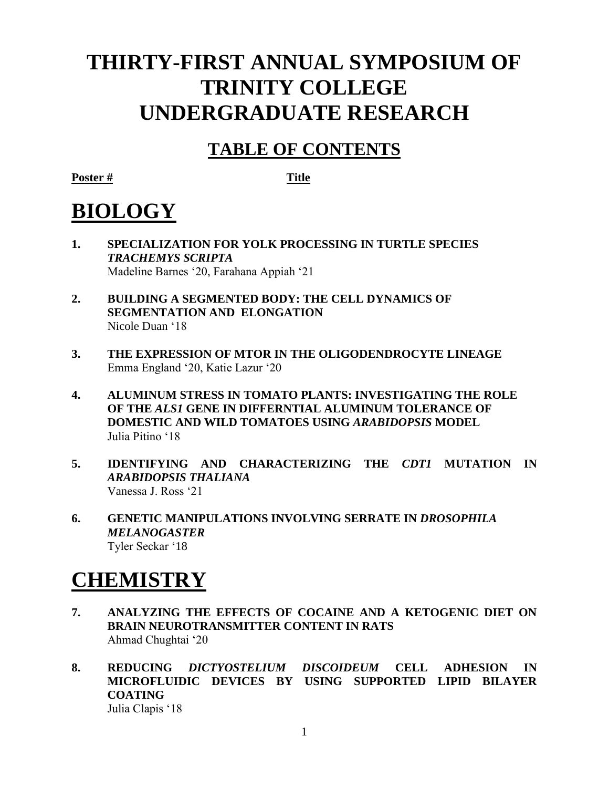# **THIRTY-FIRST ANNUAL SYMPOSIUM OF TRINITY COLLEGE UNDERGRADUATE RESEARCH**

# **TABLE OF CONTENTS**

**Poster # Title**

# **BIOLOGY**

- **1. SPECIALIZATION FOR YOLK PROCESSING IN TURTLE SPECIES**  *TRACHEMYS SCRIPTA*  Madeline Barnes '20, Farahana Appiah '21
- **2. BUILDING A SEGMENTED BODY: THE CELL DYNAMICS OF SEGMENTATION AND ELONGATION** Nicole Duan '18
- **3. THE EXPRESSION OF MTOR IN THE OLIGODENDROCYTE LINEAGE** Emma England '20, Katie Lazur '20
- **4. ALUMINUM STRESS IN TOMATO PLANTS: INVESTIGATING THE ROLE OF THE** *ALS1* **GENE IN DIFFERNTIAL ALUMINUM TOLERANCE OF DOMESTIC AND WILD TOMATOES USING** *ARABIDOPSIS* **MODEL** Julia Pitino '18
- **5. IDENTIFYING AND CHARACTERIZING THE** *CDT1* **MUTATION IN**  *ARABIDOPSIS THALIANA* Vanessa J. Ross '21
- **6. GENETIC MANIPULATIONS INVOLVING SERRATE IN** *DROSOPHILA MELANOGASTER* Tyler Seckar '18

# **CHEMISTRY**

- **7. ANALYZING THE EFFECTS OF COCAINE AND A KETOGENIC DIET ON BRAIN NEUROTRANSMITTER CONTENT IN RATS** Ahmad Chughtai '20
- **8. REDUCING** *DICTYOSTELIUM DISCOIDEUM* **CELL ADHESION IN MICROFLUIDIC DEVICES BY USING SUPPORTED LIPID BILAYER COATING** Julia Clapis '18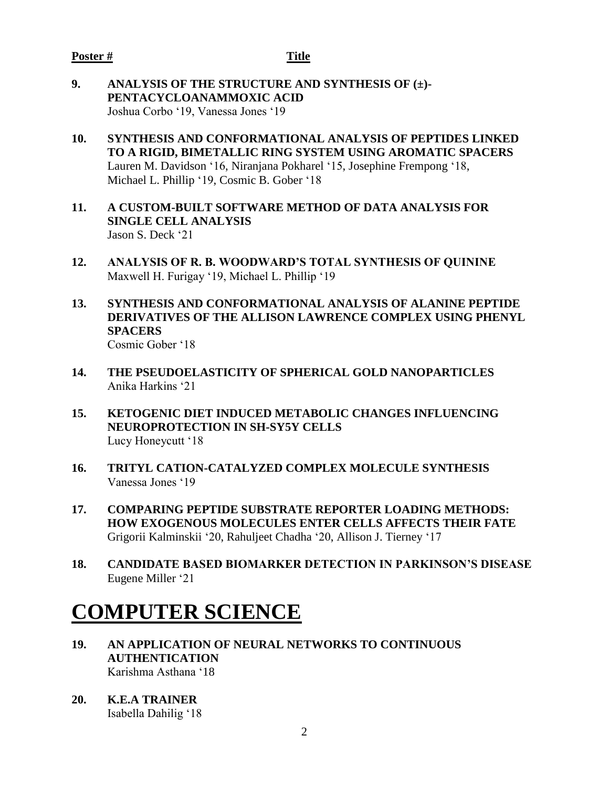- **9. ANALYSIS OF THE STRUCTURE AND SYNTHESIS OF (±)- PENTACYCLOANAMMOXIC ACID** Joshua Corbo '19, Vanessa Jones '19
- **10. SYNTHESIS AND CONFORMATIONAL ANALYSIS OF PEPTIDES LINKED TO A RIGID, BIMETALLIC RING SYSTEM USING AROMATIC SPACERS** Lauren M. Davidson '16, Niranjana Pokharel '15, Josephine Frempong '18, Michael L. Phillip '19, Cosmic B. Gober '18
- **11. A CUSTOM-BUILT SOFTWARE METHOD OF DATA ANALYSIS FOR SINGLE CELL ANALYSIS** Jason S. Deck '21
- **12. ANALYSIS OF R. B. WOODWARD'S TOTAL SYNTHESIS OF QUININE** Maxwell H. Furigay '19, Michael L. Phillip '19
- **13. SYNTHESIS AND CONFORMATIONAL ANALYSIS OF ALANINE PEPTIDE DERIVATIVES OF THE ALLISON LAWRENCE COMPLEX USING PHENYL SPACERS** Cosmic Gober '18
- **14. THE PSEUDOELASTICITY OF SPHERICAL GOLD NANOPARTICLES** Anika Harkins '21
- **15. KETOGENIC DIET INDUCED METABOLIC CHANGES INFLUENCING NEUROPROTECTION IN SH-SY5Y CELLS** Lucy Honeycutt '18
- **16. TRITYL CATION-CATALYZED COMPLEX MOLECULE SYNTHESIS** Vanessa Jones '19
- **17. COMPARING PEPTIDE SUBSTRATE REPORTER LOADING METHODS: HOW EXOGENOUS MOLECULES ENTER CELLS AFFECTS THEIR FATE** Grigorii Kalminskii '20, Rahuljeet Chadha '20, Allison J. Tierney '17
- **18. CANDIDATE BASED BIOMARKER DETECTION IN PARKINSON'S DISEASE** Eugene Miller '21

# **COMPUTER SCIENCE**

- **19. AN APPLICATION OF NEURAL NETWORKS TO CONTINUOUS AUTHENTICATION** Karishma Asthana '18
- **20. K.E.A TRAINER** Isabella Dahilig '18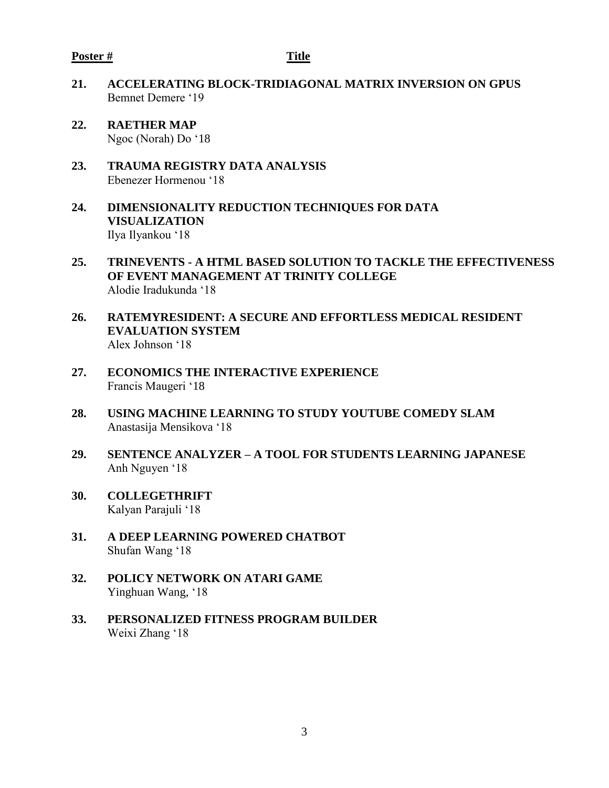### **Poster # Title**

- **21. ACCELERATING BLOCK-TRIDIAGONAL MATRIX INVERSION ON GPUS** Bemnet Demere '19
- **22. RAETHER MAP** Ngoc (Norah) Do '18
- **23. TRAUMA REGISTRY DATA ANALYSIS** Ebenezer Hormenou '18
- **24. DIMENSIONALITY REDUCTION TECHNIQUES FOR DATA VISUALIZATION** Ilya Ilyankou '18
- **25. TRINEVENTS - A HTML BASED SOLUTION TO TACKLE THE EFFECTIVENESS OF EVENT MANAGEMENT AT TRINITY COLLEGE** Alodie Iradukunda '18
- **26. RATEMYRESIDENT: A SECURE AND EFFORTLESS MEDICAL RESIDENT EVALUATION SYSTEM** Alex Johnson '18
- **27. ECONOMICS THE INTERACTIVE EXPERIENCE** Francis Maugeri '18
- **28. USING MACHINE LEARNING TO STUDY YOUTUBE COMEDY SLAM** Anastasija Mensikova '18
- **29. SENTENCE ANALYZER – A TOOL FOR STUDENTS LEARNING JAPANESE**  Anh Nguyen '18
- **30. COLLEGETHRIFT** Kalyan Parajuli '18
- **31. A DEEP LEARNING POWERED CHATBOT** Shufan Wang '18
- **32. POLICY NETWORK ON ATARI GAME** Yinghuan Wang, '18
- **33. PERSONALIZED FITNESS PROGRAM BUILDER** Weixi Zhang '18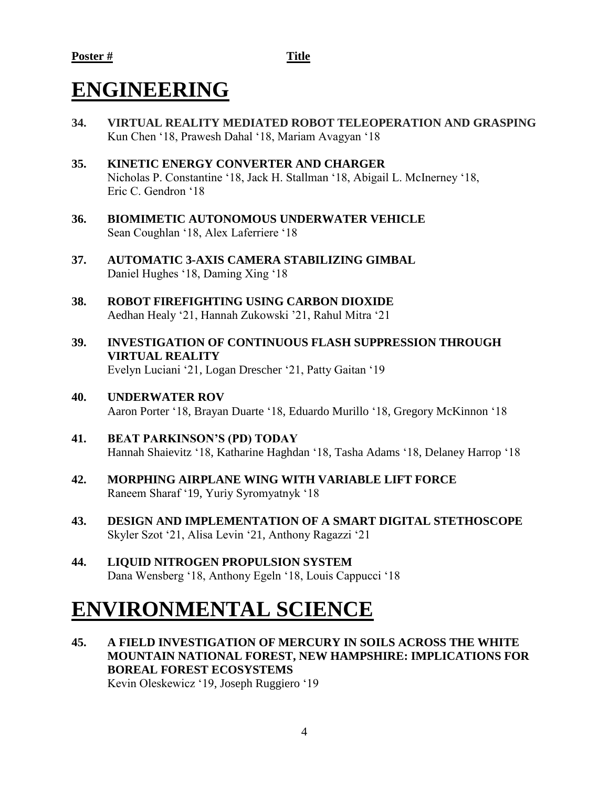# **ENGINEERING**

- **34. VIRTUAL REALITY MEDIATED ROBOT TELEOPERATION AND GRASPING** Kun Chen '18, Prawesh Dahal '18, Mariam Avagyan '18
- **35. KINETIC ENERGY CONVERTER AND CHARGER** Nicholas P. Constantine '18, Jack H. Stallman '18, Abigail L. McInerney '18, Eric C. Gendron '18
- **36. BIOMIMETIC AUTONOMOUS UNDERWATER VEHICLE** Sean Coughlan '18, Alex Laferriere '18
- **37. AUTOMATIC 3-AXIS CAMERA STABILIZING GIMBAL** Daniel Hughes '18, Daming Xing '18
- **38. ROBOT FIREFIGHTING USING CARBON DIOXIDE** Aedhan Healy '21, Hannah Zukowski '21, Rahul Mitra '21
- **39. INVESTIGATION OF CONTINUOUS FLASH SUPPRESSION THROUGH VIRTUAL REALITY** Evelyn Luciani '21, Logan Drescher '21, Patty Gaitan '19
- **40. UNDERWATER ROV** Aaron Porter '18, Brayan Duarte '18, Eduardo Murillo '18, Gregory McKinnon '18
- **41. BEAT PARKINSON'S (PD) TODAY** Hannah Shaievitz '18, Katharine Haghdan '18, Tasha Adams '18, Delaney Harrop '18
- **42. MORPHING AIRPLANE WING WITH VARIABLE LIFT FORCE** Raneem Sharaf '19, Yuriy Syromyatnyk '18
- **43. DESIGN AND IMPLEMENTATION OF A SMART DIGITAL STETHOSCOPE** Skyler Szot '21, Alisa Levin '21, Anthony Ragazzi '21
- **44. LIQUID NITROGEN PROPULSION SYSTEM** Dana Wensberg '18, Anthony Egeln '18, Louis Cappucci '18

# **ENVIRONMENTAL SCIENCE**

**45. A FIELD INVESTIGATION OF MERCURY IN SOILS ACROSS THE WHITE MOUNTAIN NATIONAL FOREST, NEW HAMPSHIRE: IMPLICATIONS FOR BOREAL FOREST ECOSYSTEMS** Kevin Oleskewicz '19, Joseph Ruggiero '19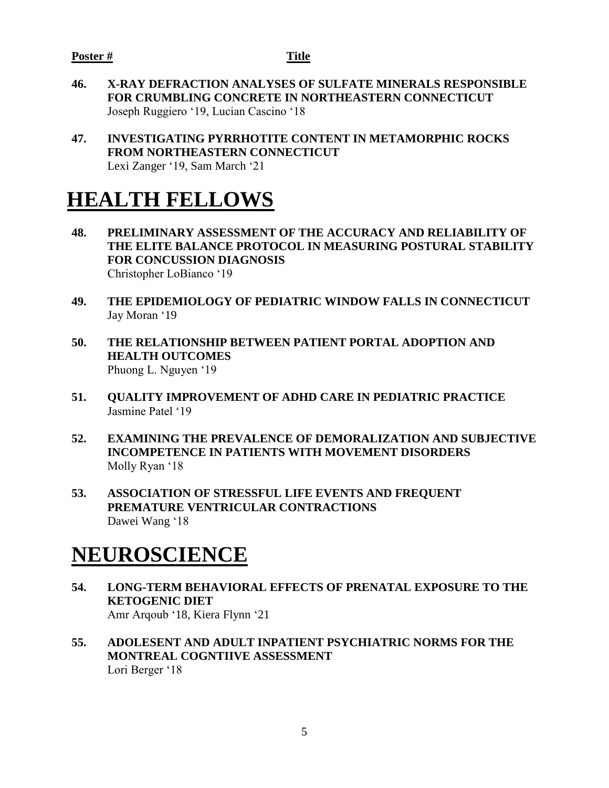- **46. X-RAY DEFRACTION ANALYSES OF SULFATE MINERALS RESPONSIBLE FOR CRUMBLING CONCRETE IN NORTHEASTERN CONNECTICUT**  Joseph Ruggiero '19, Lucian Cascino '18
- **47. INVESTIGATING PYRRHOTITE CONTENT IN METAMORPHIC ROCKS FROM NORTHEASTERN CONNECTICUT** Lexi Zanger '19, Sam March '21

# **HEALTH FELLOWS**

- **48. PRELIMINARY ASSESSMENT OF THE ACCURACY AND RELIABILITY OF THE ELITE BALANCE PROTOCOL IN MEASURING POSTURAL STABILITY FOR CONCUSSION DIAGNOSIS** Christopher LoBianco '19
- **49. THE EPIDEMIOLOGY OF PEDIATRIC WINDOW FALLS IN CONNECTICUT** Jay Moran '19
- **50. THE RELATIONSHIP BETWEEN PATIENT PORTAL ADOPTION AND HEALTH OUTCOMES** Phuong L. Nguyen '19
- **51. QUALITY IMPROVEMENT OF ADHD CARE IN PEDIATRIC PRACTICE** Jasmine Patel '19
- **52. EXAMINING THE PREVALENCE OF DEMORALIZATION AND SUBJECTIVE INCOMPETENCE IN PATIENTS WITH MOVEMENT DISORDERS** Molly Ryan '18
- **53. ASSOCIATION OF STRESSFUL LIFE EVENTS AND FREQUENT PREMATURE VENTRICULAR CONTRACTIONS** Dawei Wang '18

# **NEUROSCIENCE**

- **54. LONG-TERM BEHAVIORAL EFFECTS OF PRENATAL EXPOSURE TO THE KETOGENIC DIET** Amr Arqoub '18, Kiera Flynn '21
- **55. ADOLESENT AND ADULT INPATIENT PSYCHIATRIC NORMS FOR THE MONTREAL COGNTIIVE ASSESSMENT**  Lori Berger '18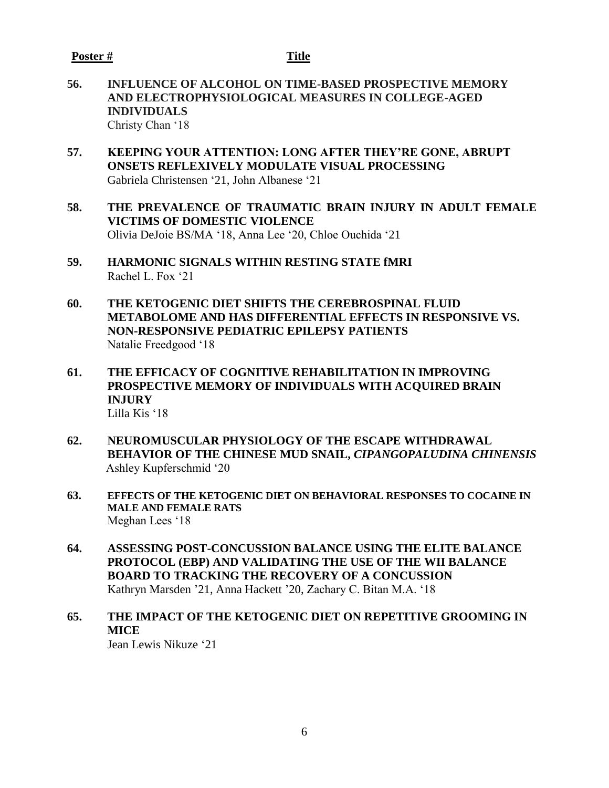**56. INFLUENCE OF ALCOHOL ON TIME-BASED PROSPECTIVE MEMORY AND ELECTROPHYSIOLOGICAL MEASURES IN COLLEGE-AGED INDIVIDUALS**

Christy Chan '18

- **57. KEEPING YOUR ATTENTION: LONG AFTER THEY'RE GONE, ABRUPT ONSETS REFLEXIVELY MODULATE VISUAL PROCESSING** Gabriela Christensen '21, John Albanese '21
- **58. THE PREVALENCE OF TRAUMATIC BRAIN INJURY IN ADULT FEMALE VICTIMS OF DOMESTIC VIOLENCE** Olivia DeJoie BS/MA '18, Anna Lee '20, Chloe Ouchida '21
- **59. HARMONIC SIGNALS WITHIN RESTING STATE fMRI** Rachel L. Fox '21
- **60. THE KETOGENIC DIET SHIFTS THE CEREBROSPINAL FLUID METABOLOME AND HAS DIFFERENTIAL EFFECTS IN RESPONSIVE VS. NON-RESPONSIVE PEDIATRIC EPILEPSY PATIENTS** Natalie Freedgood '18
- **61. THE EFFICACY OF COGNITIVE REHABILITATION IN IMPROVING PROSPECTIVE MEMORY OF INDIVIDUALS WITH ACQUIRED BRAIN INJURY** Lilla Kis '18
- **62. NEUROMUSCULAR PHYSIOLOGY OF THE ESCAPE WITHDRAWAL BEHAVIOR OF THE CHINESE MUD SNAIL,** *CIPANGOPALUDINA CHINENSIS* Ashley Kupferschmid '20
- **63. EFFECTS OF THE KETOGENIC DIET ON BEHAVIORAL RESPONSES TO COCAINE IN MALE AND FEMALE RATS** Meghan Lees '18
- **64. ASSESSING POST-CONCUSSION BALANCE USING THE ELITE BALANCE PROTOCOL (EBP) AND VALIDATING THE USE OF THE WII BALANCE BOARD TO TRACKING THE RECOVERY OF A CONCUSSION** Kathryn Marsden '21, Anna Hackett '20, Zachary C. Bitan M.A. '18
- **65. THE IMPACT OF THE KETOGENIC DIET ON REPETITIVE GROOMING IN MICE**

Jean Lewis Nikuze '21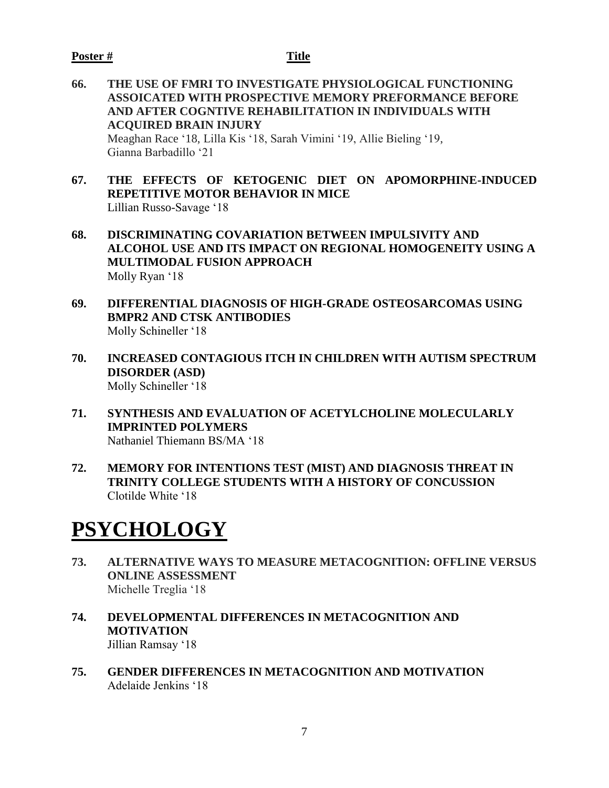# **Poster # Title**

- **66. THE USE OF FMRI TO INVESTIGATE PHYSIOLOGICAL FUNCTIONING ASSOICATED WITH PROSPECTIVE MEMORY PREFORMANCE BEFORE AND AFTER COGNTIVE REHABILITATION IN INDIVIDUALS WITH ACQUIRED BRAIN INJURY**  Meaghan Race '18, Lilla Kis '18, Sarah Vimini '19, Allie Bieling '19, Gianna Barbadillo '21
- **67. THE EFFECTS OF KETOGENIC DIET ON APOMORPHINE-INDUCED REPETITIVE MOTOR BEHAVIOR IN MICE** Lillian Russo-Savage '18
- **68. DISCRIMINATING COVARIATION BETWEEN IMPULSIVITY AND ALCOHOL USE AND ITS IMPACT ON REGIONAL HOMOGENEITY USING A MULTIMODAL FUSION APPROACH** Molly Ryan '18
- **69. DIFFERENTIAL DIAGNOSIS OF HIGH-GRADE OSTEOSARCOMAS USING BMPR2 AND CTSK ANTIBODIES** Molly Schineller '18
- **70. INCREASED CONTAGIOUS ITCH IN CHILDREN WITH AUTISM SPECTRUM DISORDER (ASD)** Molly Schineller '18
- **71. SYNTHESIS AND EVALUATION OF ACETYLCHOLINE MOLECULARLY IMPRINTED POLYMERS** Nathaniel Thiemann BS/MA '18
- **72. MEMORY FOR INTENTIONS TEST (MIST) AND DIAGNOSIS THREAT IN TRINITY COLLEGE STUDENTS WITH A HISTORY OF CONCUSSION** Clotilde White '18

# **PSYCHOLOGY**

- **73. ALTERNATIVE WAYS TO MEASURE METACOGNITION: OFFLINE VERSUS ONLINE ASSESSMENT** Michelle Treglia '18
- **74. DEVELOPMENTAL DIFFERENCES IN METACOGNITION AND MOTIVATION** Jillian Ramsay '18
- **75. GENDER DIFFERENCES IN METACOGNITION AND MOTIVATION** Adelaide Jenkins '18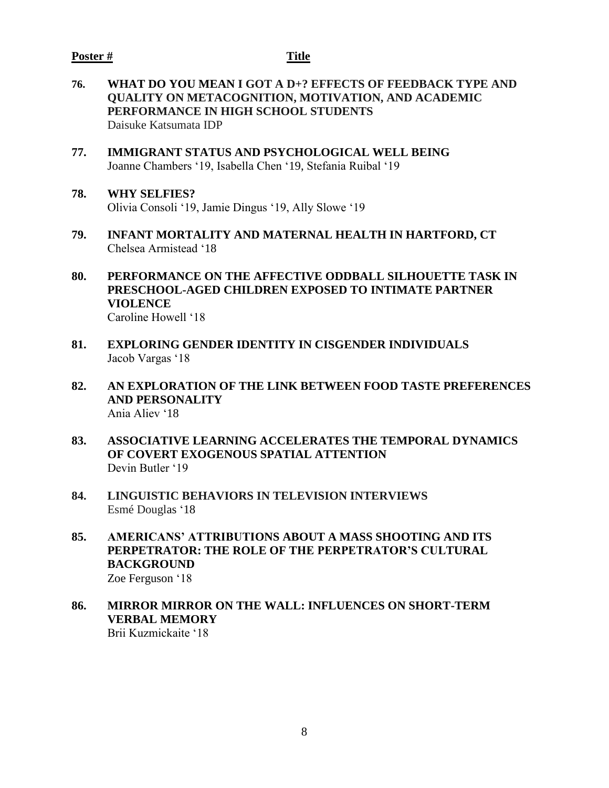### **Poster # Title**

- **76. WHAT DO YOU MEAN I GOT A D+? EFFECTS OF FEEDBACK TYPE AND QUALITY ON METACOGNITION, MOTIVATION, AND ACADEMIC PERFORMANCE IN HIGH SCHOOL STUDENTS** Daisuke Katsumata IDP
- **77. IMMIGRANT STATUS AND PSYCHOLOGICAL WELL BEING** Joanne Chambers '19, Isabella Chen '19, Stefania Ruibal '19
- **78. WHY SELFIES?**  Olivia Consoli '19, Jamie Dingus '19, Ally Slowe '19
- **79. INFANT MORTALITY AND MATERNAL HEALTH IN HARTFORD, CT** Chelsea Armistead '18
- **80. PERFORMANCE ON THE AFFECTIVE ODDBALL SILHOUETTE TASK IN PRESCHOOL-AGED CHILDREN EXPOSED TO INTIMATE PARTNER VIOLENCE** Caroline Howell '18
- **81. EXPLORING GENDER IDENTITY IN CISGENDER INDIVIDUALS** Jacob Vargas '18
- **82. AN EXPLORATION OF THE LINK BETWEEN FOOD TASTE PREFERENCES AND PERSONALITY** Ania Aliev '18
- **83. ASSOCIATIVE LEARNING ACCELERATES THE TEMPORAL DYNAMICS OF COVERT EXOGENOUS SPATIAL ATTENTION**  Devin Butler '19
- **84. LINGUISTIC BEHAVIORS IN TELEVISION INTERVIEWS** Esmé Douglas '18
- **85. AMERICANS' ATTRIBUTIONS ABOUT A MASS SHOOTING AND ITS PERPETRATOR: THE ROLE OF THE PERPETRATOR'S CULTURAL BACKGROUND** Zoe Ferguson '18
- **86. MIRROR MIRROR ON THE WALL: INFLUENCES ON SHORT-TERM VERBAL MEMORY** Brii Kuzmickaite '18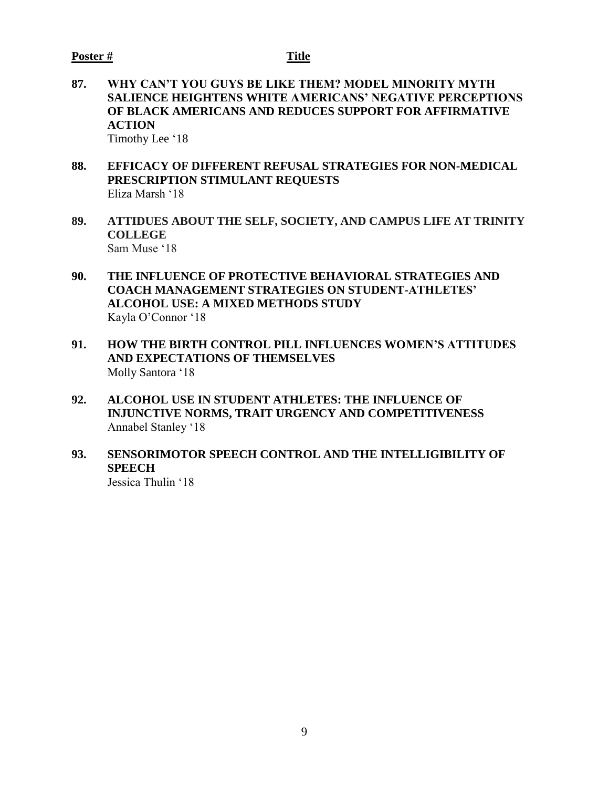- **87. WHY CAN'T YOU GUYS BE LIKE THEM? MODEL MINORITY MYTH SALIENCE HEIGHTENS WHITE AMERICANS' NEGATIVE PERCEPTIONS OF BLACK AMERICANS AND REDUCES SUPPORT FOR AFFIRMATIVE ACTION** Timothy Lee '18
- **88. EFFICACY OF DIFFERENT REFUSAL STRATEGIES FOR NON-MEDICAL PRESCRIPTION STIMULANT REQUESTS** Eliza Marsh '18
- **89. ATTIDUES ABOUT THE SELF, SOCIETY, AND CAMPUS LIFE AT TRINITY COLLEGE** Sam Muse '18
- **90. THE INFLUENCE OF PROTECTIVE BEHAVIORAL STRATEGIES AND COACH MANAGEMENT STRATEGIES ON STUDENT-ATHLETES' ALCOHOL USE: A MIXED METHODS STUDY** Kayla O'Connor '18
- **91. HOW THE BIRTH CONTROL PILL INFLUENCES WOMEN'S ATTITUDES AND EXPECTATIONS OF THEMSELVES**  Molly Santora '18
- **92. ALCOHOL USE IN STUDENT ATHLETES: THE INFLUENCE OF INJUNCTIVE NORMS, TRAIT URGENCY AND COMPETITIVENESS** Annabel Stanley '18
- **93. SENSORIMOTOR SPEECH CONTROL AND THE INTELLIGIBILITY OF SPEECH**

Jessica Thulin '18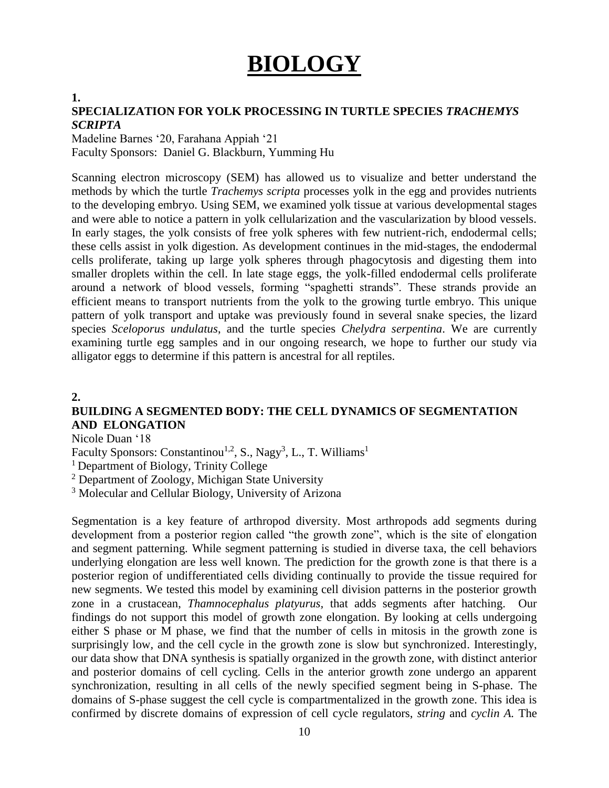# **BIOLOGY**

# **1.**

# **SPECIALIZATION FOR YOLK PROCESSING IN TURTLE SPECIES** *TRACHEMYS SCRIPTA*

Madeline Barnes '20, Farahana Appiah '21 Faculty Sponsors: Daniel G. Blackburn, Yumming Hu

Scanning electron microscopy (SEM) has allowed us to visualize and better understand the methods by which the turtle *Trachemys scripta* processes yolk in the egg and provides nutrients to the developing embryo. Using SEM, we examined yolk tissue at various developmental stages and were able to notice a pattern in yolk cellularization and the vascularization by blood vessels. In early stages, the yolk consists of free yolk spheres with few nutrient-rich, endodermal cells; these cells assist in yolk digestion. As development continues in the mid-stages, the endodermal cells proliferate, taking up large yolk spheres through phagocytosis and digesting them into smaller droplets within the cell. In late stage eggs, the yolk-filled endodermal cells proliferate around a network of blood vessels, forming "spaghetti strands". These strands provide an efficient means to transport nutrients from the yolk to the growing turtle embryo. This unique pattern of yolk transport and uptake was previously found in several snake species, the lizard species *Sceloporus undulatus*, and the turtle species *Chelydra serpentina*. We are currently examining turtle egg samples and in our ongoing research, we hope to further our study via alligator eggs to determine if this pattern is ancestral for all reptiles.

# **2.**

# **BUILDING A SEGMENTED BODY: THE CELL DYNAMICS OF SEGMENTATION AND ELONGATION**

Nicole Duan '18

Faculty Sponsors: Constantinou<sup>1,2</sup>, S., Nagy<sup>3</sup>, L., T. Williams<sup>1</sup>

<sup>1</sup> Department of Biology, Trinity College

<sup>2</sup> Department of Zoology, Michigan State University

<sup>3</sup> Molecular and Cellular Biology, University of Arizona

Segmentation is a key feature of arthropod diversity. Most arthropods add segments during development from a posterior region called "the growth zone", which is the site of elongation and segment patterning. While segment patterning is studied in diverse taxa, the cell behaviors underlying elongation are less well known. The prediction for the growth zone is that there is a posterior region of undifferentiated cells dividing continually to provide the tissue required for new segments. We tested this model by examining cell division patterns in the posterior growth zone in a crustacean, *Thamnocephalus platyurus,* that adds segments after hatching. Our findings do not support this model of growth zone elongation. By looking at cells undergoing either S phase or M phase, we find that the number of cells in mitosis in the growth zone is surprisingly low, and the cell cycle in the growth zone is slow but synchronized. Interestingly, our data show that DNA synthesis is spatially organized in the growth zone, with distinct anterior and posterior domains of cell cycling. Cells in the anterior growth zone undergo an apparent synchronization, resulting in all cells of the newly specified segment being in S-phase. The domains of S-phase suggest the cell cycle is compartmentalized in the growth zone. This idea is confirmed by discrete domains of expression of cell cycle regulators, *string* and *cyclin A.* The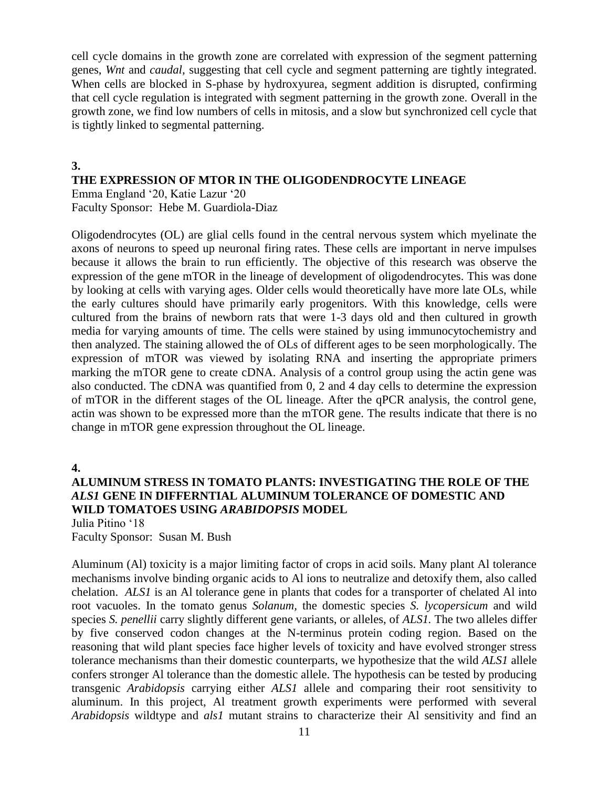cell cycle domains in the growth zone are correlated with expression of the segment patterning genes, *Wnt* and *caudal,* suggesting that cell cycle and segment patterning are tightly integrated. When cells are blocked in S-phase by hydroxyurea, segment addition is disrupted, confirming that cell cycle regulation is integrated with segment patterning in the growth zone. Overall in the growth zone, we find low numbers of cells in mitosis, and a slow but synchronized cell cycle that is tightly linked to segmental patterning.

# **3.**

# **THE EXPRESSION OF MTOR IN THE OLIGODENDROCYTE LINEAGE**

Emma England '20, Katie Lazur '20 Faculty Sponsor: Hebe M. Guardiola-Diaz

Oligodendrocytes (OL) are glial cells found in the central nervous system which myelinate the axons of neurons to speed up neuronal firing rates. These cells are important in nerve impulses because it allows the brain to run efficiently. The objective of this research was observe the expression of the gene mTOR in the lineage of development of oligodendrocytes. This was done by looking at cells with varying ages. Older cells would theoretically have more late OLs, while the early cultures should have primarily early progenitors. With this knowledge, cells were cultured from the brains of newborn rats that were 1-3 days old and then cultured in growth media for varying amounts of time. The cells were stained by using immunocytochemistry and then analyzed. The staining allowed the of OLs of different ages to be seen morphologically. The expression of mTOR was viewed by isolating RNA and inserting the appropriate primers marking the mTOR gene to create cDNA. Analysis of a control group using the actin gene was also conducted. The cDNA was quantified from 0, 2 and 4 day cells to determine the expression of mTOR in the different stages of the OL lineage. After the qPCR analysis, the control gene, actin was shown to be expressed more than the mTOR gene. The results indicate that there is no change in mTOR gene expression throughout the OL lineage.

**4.**

# **ALUMINUM STRESS IN TOMATO PLANTS: INVESTIGATING THE ROLE OF THE**  *ALS1* **GENE IN DIFFERNTIAL ALUMINUM TOLERANCE OF DOMESTIC AND WILD TOMATOES USING** *ARABIDOPSIS* **MODEL**

Julia Pitino '18

Faculty Sponsor: Susan M. Bush

Aluminum (Al) toxicity is a major limiting factor of crops in acid soils. Many plant Al tolerance mechanisms involve binding organic acids to Al ions to neutralize and detoxify them, also called chelation. *ALS1* is an Al tolerance gene in plants that codes for a transporter of chelated Al into root vacuoles. In the tomato genus *Solanum,* the domestic species *S. lycopersicum* and wild species *S. penellii* carry slightly different gene variants, or alleles, of *ALS1.* The two alleles differ by five conserved codon changes at the N-terminus protein coding region. Based on the reasoning that wild plant species face higher levels of toxicity and have evolved stronger stress tolerance mechanisms than their domestic counterparts, we hypothesize that the wild *ALS1* allele confers stronger Al tolerance than the domestic allele. The hypothesis can be tested by producing transgenic *Arabidopsis* carrying either *ALS1* allele and comparing their root sensitivity to aluminum. In this project, Al treatment growth experiments were performed with several *Arabidopsis* wildtype and *als1* mutant strains to characterize their Al sensitivity and find an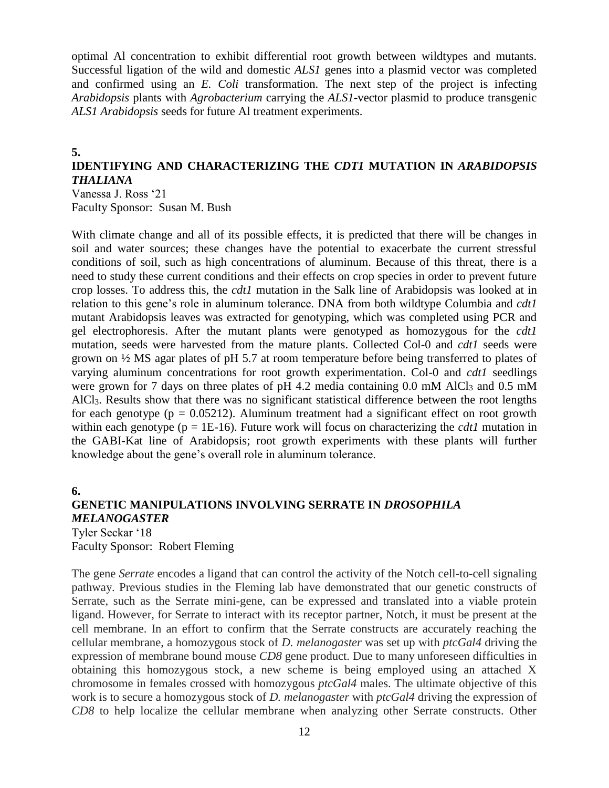optimal Al concentration to exhibit differential root growth between wildtypes and mutants. Successful ligation of the wild and domestic *ALS1* genes into a plasmid vector was completed and confirmed using an *E. Coli* transformation. The next step of the project is infecting *Arabidopsis* plants with *Agrobacterium* carrying the *ALS1-*vector plasmid to produce transgenic *ALS1 Arabidopsis* seeds for future Al treatment experiments.

# **5.**

# **IDENTIFYING AND CHARACTERIZING THE** *CDT1* **MUTATION IN** *ARABIDOPSIS THALIANA*

Vanessa J. Ross '21 Faculty Sponsor: Susan M. Bush

With climate change and all of its possible effects, it is predicted that there will be changes in soil and water sources; these changes have the potential to exacerbate the current stressful conditions of soil, such as high concentrations of aluminum. Because of this threat, there is a need to study these current conditions and their effects on crop species in order to prevent future crop losses. To address this, the *cdt1* mutation in the Salk line of Arabidopsis was looked at in relation to this gene's role in aluminum tolerance. DNA from both wildtype Columbia and *cdt1* mutant Arabidopsis leaves was extracted for genotyping, which was completed using PCR and gel electrophoresis. After the mutant plants were genotyped as homozygous for the *cdt1* mutation, seeds were harvested from the mature plants. Collected Col-0 and *cdt1* seeds were grown on ½ MS agar plates of pH 5.7 at room temperature before being transferred to plates of varying aluminum concentrations for root growth experimentation. Col-0 and *cdt1* seedlings were grown for 7 days on three plates of pH 4.2 media containing 0.0 mM AlCl<sub>3</sub> and 0.5 mM AlCl3. Results show that there was no significant statistical difference between the root lengths for each genotype ( $p = 0.05212$ ). Aluminum treatment had a significant effect on root growth within each genotype (p = 1E-16). Future work will focus on characterizing the *cdt1* mutation in the GABI-Kat line of Arabidopsis; root growth experiments with these plants will further knowledge about the gene's overall role in aluminum tolerance.

# **6.**

# **GENETIC MANIPULATIONS INVOLVING SERRATE IN** *DROSOPHILA MELANOGASTER*

Tyler Seckar '18 Faculty Sponsor: Robert Fleming

The gene *Serrate* encodes a ligand that can control the activity of the Notch cell-to-cell signaling pathway. Previous studies in the Fleming lab have demonstrated that our genetic constructs of Serrate, such as the Serrate mini-gene, can be expressed and translated into a viable protein ligand. However, for Serrate to interact with its receptor partner, Notch, it must be present at the cell membrane. In an effort to confirm that the Serrate constructs are accurately reaching the cellular membrane, a homozygous stock of *D. melanogaster* was set up with *ptcGal4* driving the expression of membrane bound mouse *CD8* gene product. Due to many unforeseen difficulties in obtaining this homozygous stock, a new scheme is being employed using an attached X chromosome in females crossed with homozygous *ptcGal4* males. The ultimate objective of this work is to secure a homozygous stock of *D. melanogaster* with *ptcGal4* driving the expression of *CD8* to help localize the cellular membrane when analyzing other Serrate constructs. Other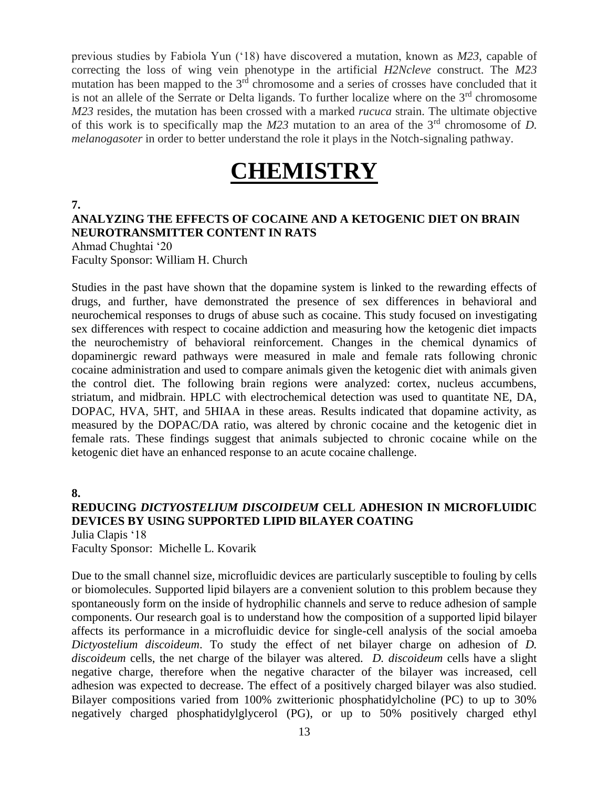previous studies by Fabiola Yun ('18) have discovered a mutation, known as *M23*, capable of correcting the loss of wing vein phenotype in the artificial *H2Ncleve* construct. The *M23* mutation has been mapped to the  $3<sup>rd</sup>$  chromosome and a series of crosses have concluded that it is not an allele of the Serrate or Delta ligands. To further localize where on the  $3<sup>rd</sup>$  chromosome *M23* resides, the mutation has been crossed with a marked *rucuca* strain. The ultimate objective of this work is to specifically map the *M23* mutation to an area of the 3rd chromosome of *D. melanogasoter* in order to better understand the role it plays in the Notch-signaling pathway.

# **CHEMISTRY**

# **7. ANALYZING THE EFFECTS OF COCAINE AND A KETOGENIC DIET ON BRAIN NEUROTRANSMITTER CONTENT IN RATS**

Ahmad Chughtai '20 Faculty Sponsor: William H. Church

Studies in the past have shown that the dopamine system is linked to the rewarding effects of drugs, and further, have demonstrated the presence of sex differences in behavioral and neurochemical responses to drugs of abuse such as cocaine. This study focused on investigating sex differences with respect to cocaine addiction and measuring how the ketogenic diet impacts the neurochemistry of behavioral reinforcement. Changes in the chemical dynamics of dopaminergic reward pathways were measured in male and female rats following chronic cocaine administration and used to compare animals given the ketogenic diet with animals given the control diet. The following brain regions were analyzed: cortex, nucleus accumbens, striatum, and midbrain. HPLC with electrochemical detection was used to quantitate NE, DA, DOPAC, HVA, 5HT, and 5HIAA in these areas. Results indicated that dopamine activity, as measured by the DOPAC/DA ratio, was altered by chronic cocaine and the ketogenic diet in female rats. These findings suggest that animals subjected to chronic cocaine while on the ketogenic diet have an enhanced response to an acute cocaine challenge.

**8.**

# **REDUCING** *DICTYOSTELIUM DISCOIDEUM* **CELL ADHESION IN MICROFLUIDIC DEVICES BY USING SUPPORTED LIPID BILAYER COATING**

Julia Clapis '18 Faculty Sponsor: Michelle L. Kovarik

Due to the small channel size, microfluidic devices are particularly susceptible to fouling by cells or biomolecules. Supported lipid bilayers are a convenient solution to this problem because they spontaneously form on the inside of hydrophilic channels and serve to reduce adhesion of sample components. Our research goal is to understand how the composition of a supported lipid bilayer affects its performance in a microfluidic device for single-cell analysis of the social amoeba *Dictyostelium discoideum*. To study the effect of net bilayer charge on adhesion of *D. discoideum* cells, the net charge of the bilayer was altered. *D. discoideum* cells have a slight negative charge, therefore when the negative character of the bilayer was increased, cell adhesion was expected to decrease. The effect of a positively charged bilayer was also studied. Bilayer compositions varied from 100% zwitterionic phosphatidylcholine (PC) to up to 30% negatively charged phosphatidylglycerol (PG), or up to 50% positively charged ethyl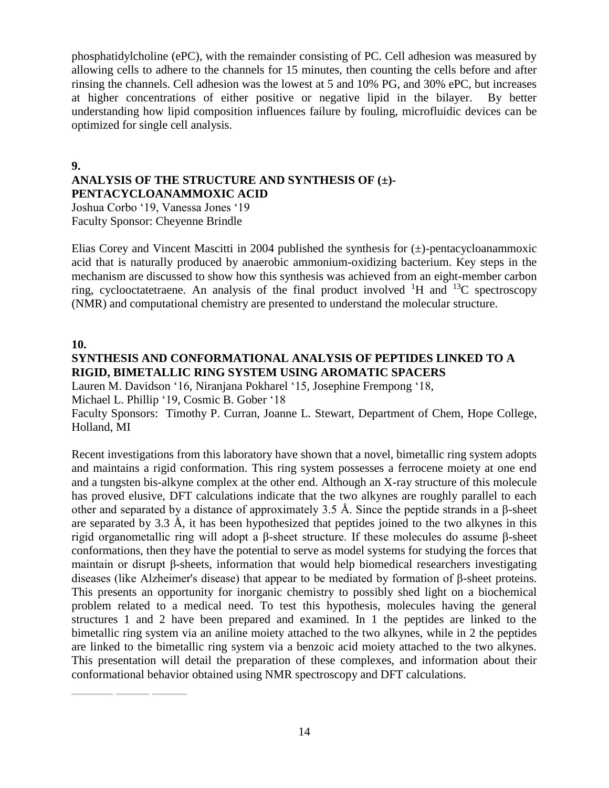phosphatidylcholine (ePC), with the remainder consisting of PC. Cell adhesion was measured by allowing cells to adhere to the channels for 15 minutes, then counting the cells before and after rinsing the channels. Cell adhesion was the lowest at 5 and 10% PG, and 30% ePC, but increases at higher concentrations of either positive or negative lipid in the bilayer. By better understanding how lipid composition influences failure by fouling, microfluidic devices can be optimized for single cell analysis.

**9.**

### **ANALYSIS OF THE STRUCTURE AND SYNTHESIS OF (±)- PENTACYCLOANAMMOXIC ACID**

Joshua Corbo '19, Vanessa Jones '19 Faculty Sponsor: Cheyenne Brindle

Elias Corey and Vincent Mascitti in 2004 published the synthesis for  $(\pm)$ -pentacycloanammoxic acid that is naturally produced by anaerobic ammonium-oxidizing bacterium. Key steps in the mechanism are discussed to show how this synthesis was achieved from an eight-member carbon ring, cyclooctatetraene. An analysis of the final product involved  ${}^{1}H$  and  ${}^{13}C$  spectroscopy (NMR) and computational chemistry are presented to understand the molecular structure.

# **10.**

# **SYNTHESIS AND CONFORMATIONAL ANALYSIS OF PEPTIDES LINKED TO A RIGID, BIMETALLIC RING SYSTEM USING AROMATIC SPACERS**

Lauren M. Davidson '16, Niranjana Pokharel '15, Josephine Frempong '18, Michael L. Phillip '19, Cosmic B. Gober '18

Faculty Sponsors: Timothy P. Curran, Joanne L. Stewart, Department of Chem, Hope College, Holland, MI

Recent investigations from this laboratory have shown that a novel, bimetallic ring system adopts and maintains a rigid conformation. This ring system possesses a ferrocene moiety at one end and a tungsten bis-alkyne complex at the other end. Although an X-ray structure of this molecule has proved elusive, DFT calculations indicate that the two alkynes are roughly parallel to each other and separated by a distance of approximately 3.5 Å. Since the peptide strands in a β-sheet are separated by 3.3 Å, it has been hypothesized that peptides joined to the two alkynes in this rigid organometallic ring will adopt a β-sheet structure. If these molecules do assume β-sheet conformations, then they have the potential to serve as model systems for studying the forces that maintain or disrupt β-sheets, information that would help biomedical researchers investigating diseases (like Alzheimer's disease) that appear to be mediated by formation of β-sheet proteins. This presents an opportunity for inorganic chemistry to possibly shed light on a biochemical problem related to a medical need. To test this hypothesis, molecules having the general structures 1 and 2 have been prepared and examined. In 1 the peptides are linked to the bimetallic ring system via an aniline moiety attached to the two alkynes, while in 2 the peptides are linked to the bimetallic ring system via a benzoic acid moiety attached to the two alkynes. This presentation will detail the preparation of these complexes, and information about their conformational behavior obtained using NMR spectroscopy and DFT calculations.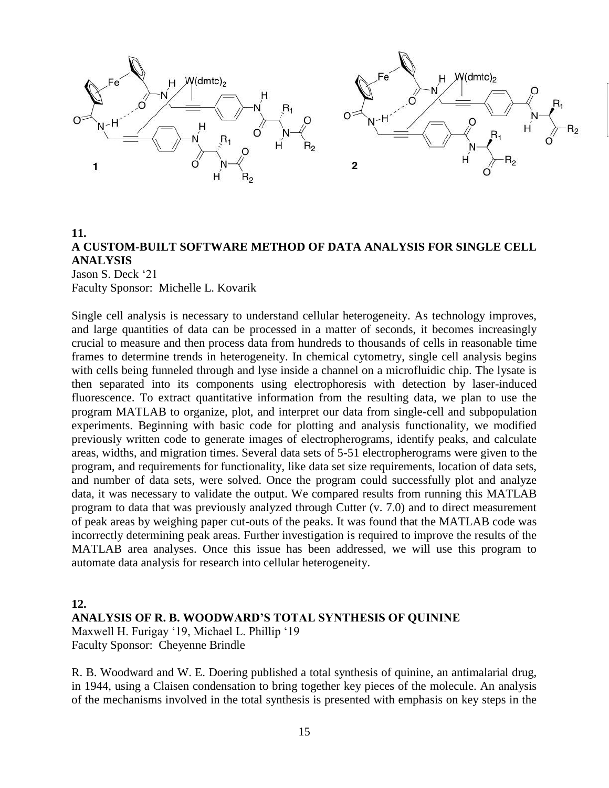

# **11. A CUSTOM-BUILT SOFTWARE METHOD OF DATA ANALYSIS FOR SINGLE CELL ANALYSIS** Jason S. Deck '21 Faculty Sponsor: Michelle L. Kovarik

Single cell analysis is necessary to understand cellular heterogeneity. As technology improves, and large quantities of data can be processed in a matter of seconds, it becomes increasingly crucial to measure and then process data from hundreds to thousands of cells in reasonable time frames to determine trends in heterogeneity. In chemical cytometry, single cell analysis begins with cells being funneled through and lyse inside a channel on a microfluidic chip. The lysate is then separated into its components using electrophoresis with detection by laser-induced fluorescence. To extract quantitative information from the resulting data, we plan to use the program MATLAB to organize, plot, and interpret our data from single-cell and subpopulation experiments. Beginning with basic code for plotting and analysis functionality, we modified previously written code to generate images of electropherograms, identify peaks, and calculate areas, widths, and migration times. Several data sets of 5-51 electropherograms were given to the program, and requirements for functionality, like data set size requirements, location of data sets, and number of data sets, were solved. Once the program could successfully plot and analyze data, it was necessary to validate the output. We compared results from running this MATLAB program to data that was previously analyzed through Cutter (v. 7.0) and to direct measurement of peak areas by weighing paper cut-outs of the peaks. It was found that the MATLAB code was incorrectly determining peak areas. Further investigation is required to improve the results of the MATLAB area analyses. Once this issue has been addressed, we will use this program to automate data analysis for research into cellular heterogeneity.

#### **12.**

### **ANALYSIS OF R. B. WOODWARD'S TOTAL SYNTHESIS OF QUININE**

Maxwell H. Furigay '19, Michael L. Phillip '19 Faculty Sponsor: Cheyenne Brindle

R. B. Woodward and W. E. Doering published a total synthesis of quinine, an antimalarial drug, in 1944, using a Claisen condensation to bring together key pieces of the molecule. An analysis of the mechanisms involved in the total synthesis is presented with emphasis on key steps in the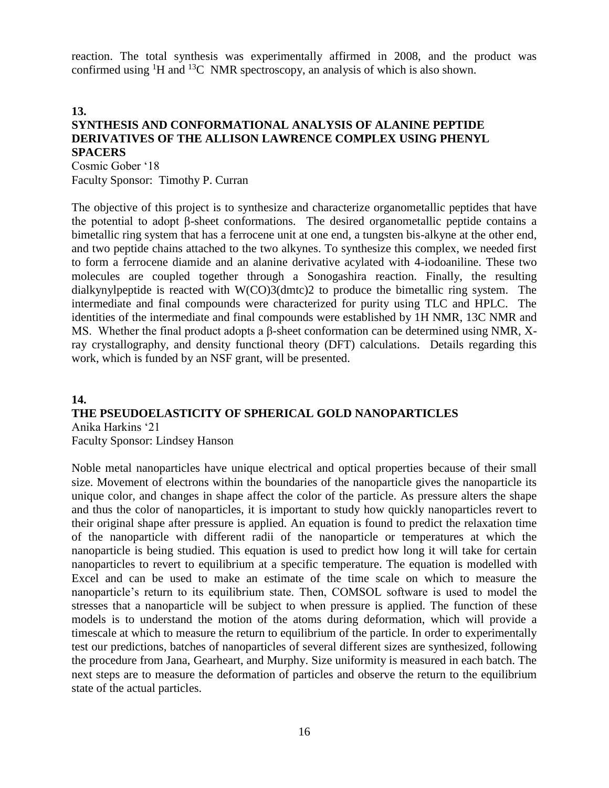reaction. The total synthesis was experimentally affirmed in 2008, and the product was confirmed using  ${}^{1}H$  and  ${}^{13}C$  NMR spectroscopy, an analysis of which is also shown.

**13.**

# **SYNTHESIS AND CONFORMATIONAL ANALYSIS OF ALANINE PEPTIDE DERIVATIVES OF THE ALLISON LAWRENCE COMPLEX USING PHENYL SPACERS**

Cosmic Gober '18 Faculty Sponsor: Timothy P. Curran

The objective of this project is to synthesize and characterize organometallic peptides that have the potential to adopt β-sheet conformations. The desired organometallic peptide contains a bimetallic ring system that has a ferrocene unit at one end, a tungsten bis-alkyne at the other end, and two peptide chains attached to the two alkynes. To synthesize this complex, we needed first to form a ferrocene diamide and an alanine derivative acylated with 4-iodoaniline. These two molecules are coupled together through a Sonogashira reaction. Finally, the resulting dialkynylpeptide is reacted with W(CO)3(dmtc)2 to produce the bimetallic ring system. The intermediate and final compounds were characterized for purity using TLC and HPLC. The identities of the intermediate and final compounds were established by 1H NMR, 13C NMR and MS. Whether the final product adopts a β-sheet conformation can be determined using NMR, Xray crystallography, and density functional theory (DFT) calculations. Details regarding this work, which is funded by an NSF grant, will be presented.

# **14. THE PSEUDOELASTICITY OF SPHERICAL GOLD NANOPARTICLES** Anika Harkins '21

Faculty Sponsor: Lindsey Hanson

Noble metal nanoparticles have unique electrical and optical properties because of their small size. Movement of electrons within the boundaries of the nanoparticle gives the nanoparticle its unique color, and changes in shape affect the color of the particle. As pressure alters the shape and thus the color of nanoparticles, it is important to study how quickly nanoparticles revert to their original shape after pressure is applied. An equation is found to predict the relaxation time of the nanoparticle with different radii of the nanoparticle or temperatures at which the nanoparticle is being studied. This equation is used to predict how long it will take for certain nanoparticles to revert to equilibrium at a specific temperature. The equation is modelled with Excel and can be used to make an estimate of the time scale on which to measure the nanoparticle's return to its equilibrium state. Then, COMSOL software is used to model the stresses that a nanoparticle will be subject to when pressure is applied. The function of these models is to understand the motion of the atoms during deformation, which will provide a timescale at which to measure the return to equilibrium of the particle. In order to experimentally test our predictions, batches of nanoparticles of several different sizes are synthesized, following the procedure from Jana, Gearheart, and Murphy. Size uniformity is measured in each batch. The next steps are to measure the deformation of particles and observe the return to the equilibrium state of the actual particles.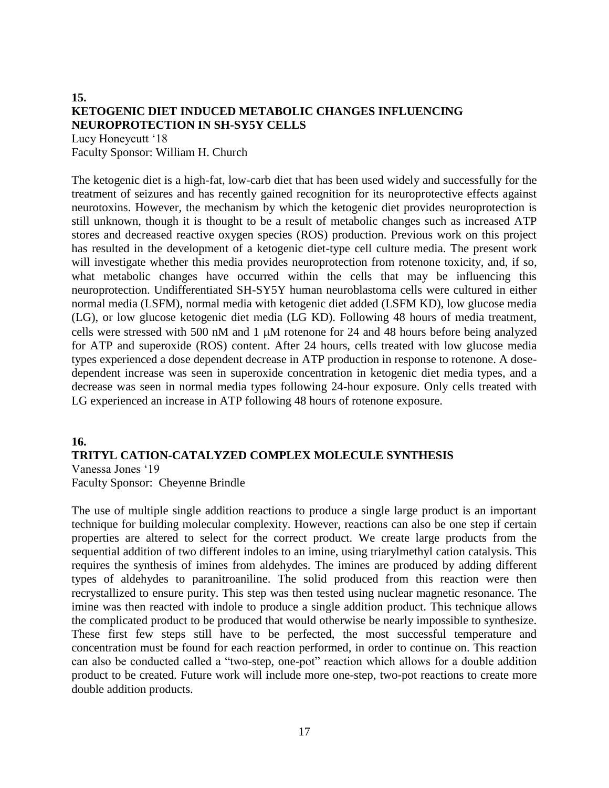# **15. KETOGENIC DIET INDUCED METABOLIC CHANGES INFLUENCING NEUROPROTECTION IN SH-SY5Y CELLS** Lucy Honeycutt '18

Faculty Sponsor: William H. Church

The ketogenic diet is a high-fat, low-carb diet that has been used widely and successfully for the treatment of seizures and has recently gained recognition for its neuroprotective effects against neurotoxins. However, the mechanism by which the ketogenic diet provides neuroprotection is still unknown, though it is thought to be a result of metabolic changes such as increased ATP stores and decreased reactive oxygen species (ROS) production. Previous work on this project has resulted in the development of a ketogenic diet-type cell culture media. The present work will investigate whether this media provides neuroprotection from rotenone toxicity, and, if so, what metabolic changes have occurred within the cells that may be influencing this neuroprotection. Undifferentiated SH-SY5Y human neuroblastoma cells were cultured in either normal media (LSFM), normal media with ketogenic diet added (LSFM KD), low glucose media (LG), or low glucose ketogenic diet media (LG KD). Following 48 hours of media treatment, cells were stressed with 500 nM and 1  $\mu$ M rotenone for 24 and 48 hours before being analyzed for ATP and superoxide (ROS) content. After 24 hours, cells treated with low glucose media types experienced a dose dependent decrease in ATP production in response to rotenone. A dosedependent increase was seen in superoxide concentration in ketogenic diet media types, and a decrease was seen in normal media types following 24-hour exposure. Only cells treated with LG experienced an increase in ATP following 48 hours of rotenone exposure.

#### **16.**

### **TRITYL CATION-CATALYZED COMPLEX MOLECULE SYNTHESIS** Vanessa Jones '19

Faculty Sponsor: Cheyenne Brindle

The use of multiple single addition reactions to produce a single large product is an important technique for building molecular complexity. However, reactions can also be one step if certain properties are altered to select for the correct product. We create large products from the sequential addition of two different indoles to an imine, using triarylmethyl cation catalysis. This requires the synthesis of imines from aldehydes. The imines are produced by adding different types of aldehydes to paranitroaniline. The solid produced from this reaction were then recrystallized to ensure purity. This step was then tested using nuclear magnetic resonance. The imine was then reacted with indole to produce a single addition product. This technique allows the complicated product to be produced that would otherwise be nearly impossible to synthesize. These first few steps still have to be perfected, the most successful temperature and concentration must be found for each reaction performed, in order to continue on. This reaction can also be conducted called a "two-step, one-pot" reaction which allows for a double addition product to be created. Future work will include more one-step, two-pot reactions to create more double addition products.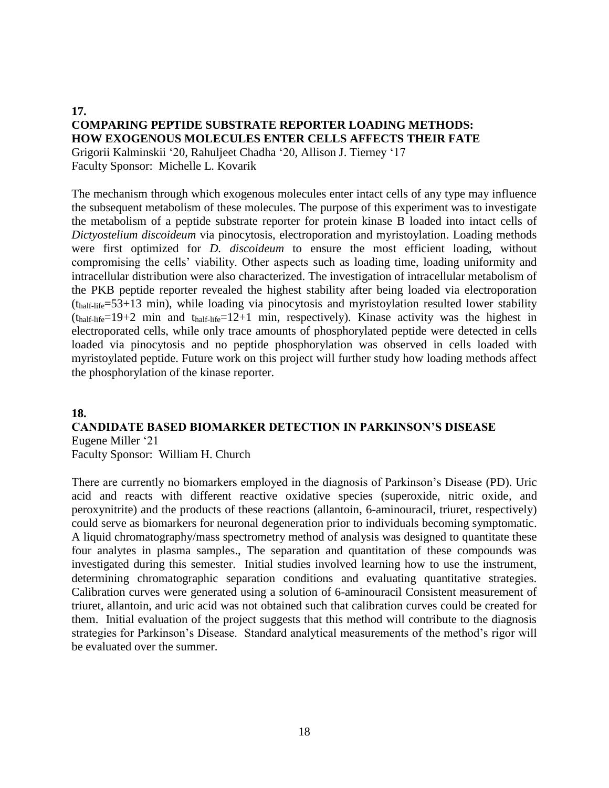# **17. COMPARING PEPTIDE SUBSTRATE REPORTER LOADING METHODS: HOW EXOGENOUS MOLECULES ENTER CELLS AFFECTS THEIR FATE**

Grigorii Kalminskii '20, Rahuljeet Chadha '20, Allison J. Tierney '17 Faculty Sponsor: Michelle L. Kovarik

The mechanism through which exogenous molecules enter intact cells of any type may influence the subsequent metabolism of these molecules. The purpose of this experiment was to investigate the metabolism of a peptide substrate reporter for protein kinase B loaded into intact cells of *Dictyostelium discoideum* via pinocytosis, electroporation and myristoylation. Loading methods were first optimized for *D. discoideum* to ensure the most efficient loading, without compromising the cells' viability. Other aspects such as loading time, loading uniformity and intracellular distribution were also characterized. The investigation of intracellular metabolism of the PKB peptide reporter revealed the highest stability after being loaded via electroporation (thalf-life=53+13 min), while loading via pinocytosis and myristoylation resulted lower stability  $(t<sub>half-life</sub>=19+2 min and t<sub>half-life</sub>=12+1 min, respectively).$  Kinase activity was the highest in electroporated cells, while only trace amounts of phosphorylated peptide were detected in cells loaded via pinocytosis and no peptide phosphorylation was observed in cells loaded with myristoylated peptide. Future work on this project will further study how loading methods affect the phosphorylation of the kinase reporter.

# **18.**

# **CANDIDATE BASED BIOMARKER DETECTION IN PARKINSON'S DISEASE** Eugene Miller '21

Faculty Sponsor: William H. Church

There are currently no biomarkers employed in the diagnosis of Parkinson's Disease (PD). Uric acid and reacts with different reactive oxidative species (superoxide, nitric oxide, and peroxynitrite) and the products of these reactions (allantoin, 6-aminouracil, triuret, respectively) could serve as biomarkers for neuronal degeneration prior to individuals becoming symptomatic. A liquid chromatography/mass spectrometry method of analysis was designed to quantitate these four analytes in plasma samples., The separation and quantitation of these compounds was investigated during this semester. Initial studies involved learning how to use the instrument, determining chromatographic separation conditions and evaluating quantitative strategies. Calibration curves were generated using a solution of 6-aminouracil Consistent measurement of triuret, allantoin, and uric acid was not obtained such that calibration curves could be created for them. Initial evaluation of the project suggests that this method will contribute to the diagnosis strategies for Parkinson's Disease. Standard analytical measurements of the method's rigor will be evaluated over the summer.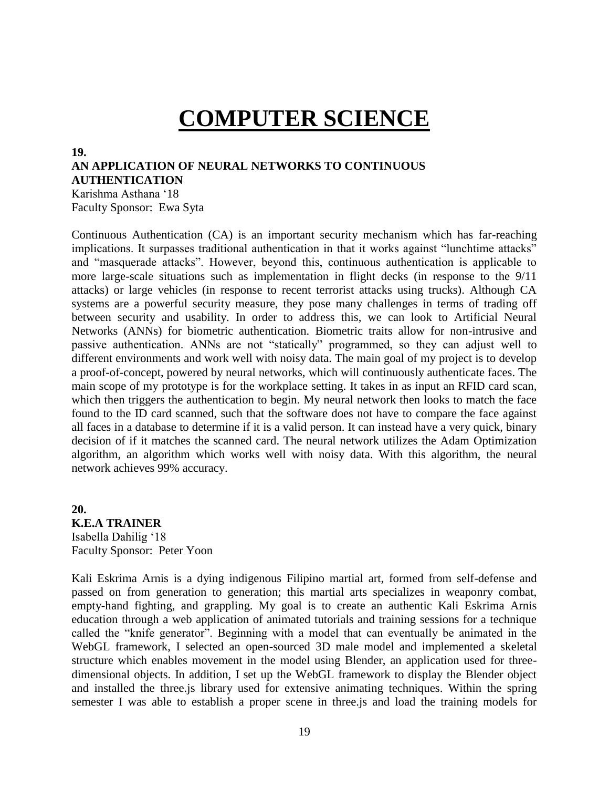# **COMPUTER SCIENCE**

#### **19.**

# **AN APPLICATION OF NEURAL NETWORKS TO CONTINUOUS AUTHENTICATION**

Karishma Asthana '18 Faculty Sponsor: Ewa Syta

Continuous Authentication (CA) is an important security mechanism which has far-reaching implications. It surpasses traditional authentication in that it works against "lunchtime attacks" and "masquerade attacks". However, beyond this, continuous authentication is applicable to more large-scale situations such as implementation in flight decks (in response to the 9/11 attacks) or large vehicles (in response to recent terrorist attacks using trucks). Although CA systems are a powerful security measure, they pose many challenges in terms of trading off between security and usability. In order to address this, we can look to Artificial Neural Networks (ANNs) for biometric authentication. Biometric traits allow for non-intrusive and passive authentication. ANNs are not "statically" programmed, so they can adjust well to different environments and work well with noisy data. The main goal of my project is to develop a proof-of-concept, powered by neural networks, which will continuously authenticate faces. The main scope of my prototype is for the workplace setting. It takes in as input an RFID card scan, which then triggers the authentication to begin. My neural network then looks to match the face found to the ID card scanned, such that the software does not have to compare the face against all faces in a database to determine if it is a valid person. It can instead have a very quick, binary decision of if it matches the scanned card. The neural network utilizes the Adam Optimization algorithm, an algorithm which works well with noisy data. With this algorithm, the neural network achieves 99% accuracy.

**20. K.E.A TRAINER** Isabella Dahilig '18 Faculty Sponsor: Peter Yoon

Kali Eskrima Arnis is a dying indigenous Filipino martial art, formed from self-defense and passed on from generation to generation; this martial arts specializes in weaponry combat, empty-hand fighting, and grappling. My goal is to create an authentic Kali Eskrima Arnis education through a web application of animated tutorials and training sessions for a technique called the "knife generator". Beginning with a model that can eventually be animated in the WebGL framework, I selected an open-sourced 3D male model and implemented a skeletal structure which enables movement in the model using Blender, an application used for threedimensional objects. In addition, I set up the WebGL framework to display the Blender object and installed the three.js library used for extensive animating techniques. Within the spring semester I was able to establish a proper scene in three.js and load the training models for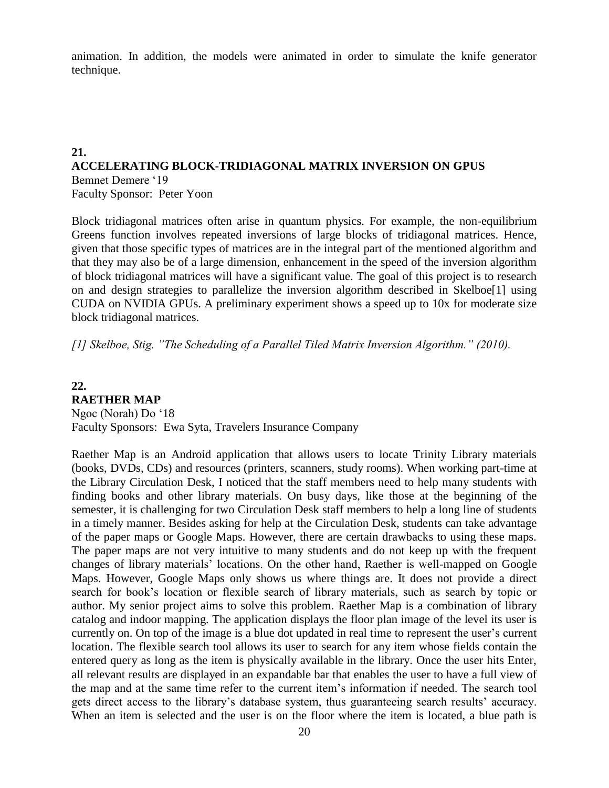animation. In addition, the models were animated in order to simulate the knife generator technique.

### **21. ACCELERATING BLOCK-TRIDIAGONAL MATRIX INVERSION ON GPUS** Bemnet Demere '19 Faculty Sponsor: Peter Yoon

Block tridiagonal matrices often arise in quantum physics. For example, the non-equilibrium Greens function involves repeated inversions of large blocks of tridiagonal matrices. Hence, given that those specific types of matrices are in the integral part of the mentioned algorithm and that they may also be of a large dimension, enhancement in the speed of the inversion algorithm of block tridiagonal matrices will have a significant value. The goal of this project is to research on and design strategies to parallelize the inversion algorithm described in Skelboe[1] using CUDA on NVIDIA GPUs. A preliminary experiment shows a speed up to 10x for moderate size block tridiagonal matrices.

*[1] Skelboe, Stig. "The Scheduling of a Parallel Tiled Matrix Inversion Algorithm." (2010).*

#### **22. RAETHER MAP**

Ngoc (Norah) Do '18 Faculty Sponsors: Ewa Syta, Travelers Insurance Company

Raether Map is an Android application that allows users to locate Trinity Library materials (books, DVDs, CDs) and resources (printers, scanners, study rooms). When working part-time at the Library Circulation Desk, I noticed that the staff members need to help many students with finding books and other library materials. On busy days, like those at the beginning of the semester, it is challenging for two Circulation Desk staff members to help a long line of students in a timely manner. Besides asking for help at the Circulation Desk, students can take advantage of the paper maps or Google Maps. However, there are certain drawbacks to using these maps. The paper maps are not very intuitive to many students and do not keep up with the frequent changes of library materials' locations. On the other hand, Raether is well-mapped on Google Maps. However, Google Maps only shows us where things are. It does not provide a direct search for book's location or flexible search of library materials, such as search by topic or author. My senior project aims to solve this problem. Raether Map is a combination of library catalog and indoor mapping. The application displays the floor plan image of the level its user is currently on. On top of the image is a blue dot updated in real time to represent the user's current location. The flexible search tool allows its user to search for any item whose fields contain the entered query as long as the item is physically available in the library. Once the user hits Enter, all relevant results are displayed in an expandable bar that enables the user to have a full view of the map and at the same time refer to the current item's information if needed. The search tool gets direct access to the library's database system, thus guaranteeing search results' accuracy. When an item is selected and the user is on the floor where the item is located, a blue path is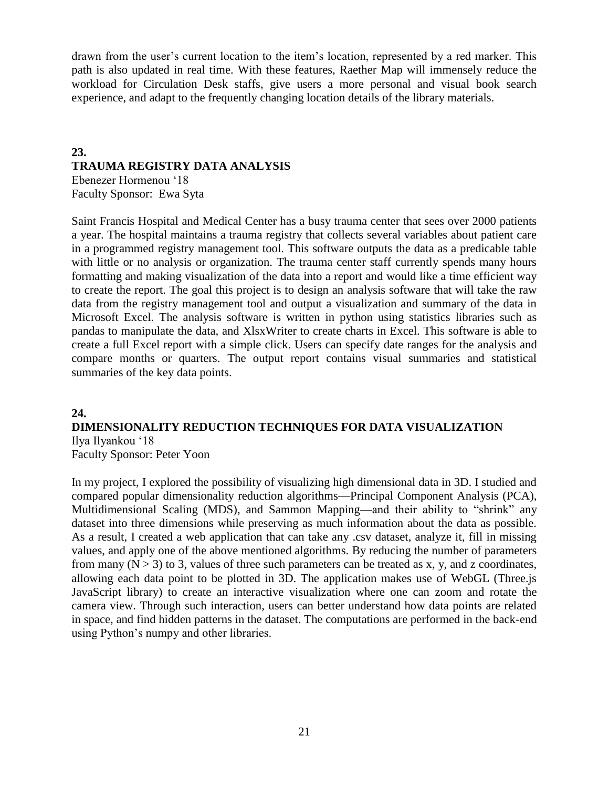drawn from the user's current location to the item's location, represented by a red marker. This path is also updated in real time. With these features, Raether Map will immensely reduce the workload for Circulation Desk staffs, give users a more personal and visual book search experience, and adapt to the frequently changing location details of the library materials.

# **23. TRAUMA REGISTRY DATA ANALYSIS**

Ebenezer Hormenou '18 Faculty Sponsor: Ewa Syta

Saint Francis Hospital and Medical Center has a busy trauma center that sees over 2000 patients a year. The hospital maintains a trauma registry that collects several variables about patient care in a programmed registry management tool. This software outputs the data as a predicable table with little or no analysis or organization. The trauma center staff currently spends many hours formatting and making visualization of the data into a report and would like a time efficient way to create the report. The goal this project is to design an analysis software that will take the raw data from the registry management tool and output a visualization and summary of the data in Microsoft Excel. The analysis software is written in python using statistics libraries such as pandas to manipulate the data, and XlsxWriter to create charts in Excel. This software is able to create a full Excel report with a simple click. Users can specify date ranges for the analysis and compare months or quarters. The output report contains visual summaries and statistical summaries of the key data points.

# **24.**

# **DIMENSIONALITY REDUCTION TECHNIQUES FOR DATA VISUALIZATION** Ilya Ilyankou '18

Faculty Sponsor: Peter Yoon

In my project, I explored the possibility of visualizing high dimensional data in 3D. I studied and compared popular dimensionality reduction algorithms—Principal Component Analysis (PCA), Multidimensional Scaling (MDS), and Sammon Mapping—and their ability to "shrink" any dataset into three dimensions while preserving as much information about the data as possible. As a result, I created a web application that can take any .csv dataset, analyze it, fill in missing values, and apply one of the above mentioned algorithms. By reducing the number of parameters from many  $(N > 3)$  to 3, values of three such parameters can be treated as x, y, and z coordinates, allowing each data point to be plotted in 3D. The application makes use of WebGL (Three.js JavaScript library) to create an interactive visualization where one can zoom and rotate the camera view. Through such interaction, users can better understand how data points are related in space, and find hidden patterns in the dataset. The computations are performed in the back-end using Python's numpy and other libraries.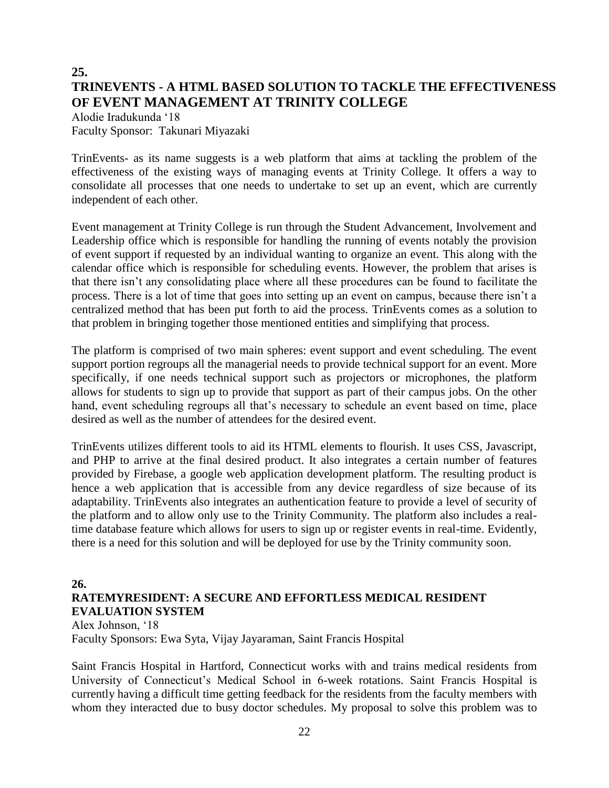# **25. TRINEVENTS - A HTML BASED SOLUTION TO TACKLE THE EFFECTIVENESS OF EVENT MANAGEMENT AT TRINITY COLLEGE**

Alodie Iradukunda '18 Faculty Sponsor: Takunari Miyazaki

TrinEvents- as its name suggests is a web platform that aims at tackling the problem of the effectiveness of the existing ways of managing events at Trinity College. It offers a way to consolidate all processes that one needs to undertake to set up an event, which are currently independent of each other.

Event management at Trinity College is run through the Student Advancement, Involvement and Leadership office which is responsible for handling the running of events notably the provision of event support if requested by an individual wanting to organize an event. This along with the calendar office which is responsible for scheduling events. However, the problem that arises is that there isn't any consolidating place where all these procedures can be found to facilitate the process. There is a lot of time that goes into setting up an event on campus, because there isn't a centralized method that has been put forth to aid the process. TrinEvents comes as a solution to that problem in bringing together those mentioned entities and simplifying that process.

The platform is comprised of two main spheres: event support and event scheduling. The event support portion regroups all the managerial needs to provide technical support for an event. More specifically, if one needs technical support such as projectors or microphones, the platform allows for students to sign up to provide that support as part of their campus jobs. On the other hand, event scheduling regroups all that's necessary to schedule an event based on time, place desired as well as the number of attendees for the desired event.

TrinEvents utilizes different tools to aid its HTML elements to flourish. It uses CSS, Javascript, and PHP to arrive at the final desired product. It also integrates a certain number of features provided by Firebase, a google web application development platform. The resulting product is hence a web application that is accessible from any device regardless of size because of its adaptability. TrinEvents also integrates an authentication feature to provide a level of security of the platform and to allow only use to the Trinity Community. The platform also includes a realtime database feature which allows for users to sign up or register events in real-time. Evidently, there is a need for this solution and will be deployed for use by the Trinity community soon.

# **26.**

# **RATEMYRESIDENT: A SECURE AND EFFORTLESS MEDICAL RESIDENT EVALUATION SYSTEM**

Alex Johnson, '18 Faculty Sponsors: Ewa Syta, Vijay Jayaraman, Saint Francis Hospital

Saint Francis Hospital in Hartford, Connecticut works with and trains medical residents from University of Connecticut's Medical School in 6-week rotations. Saint Francis Hospital is currently having a difficult time getting feedback for the residents from the faculty members with whom they interacted due to busy doctor schedules. My proposal to solve this problem was to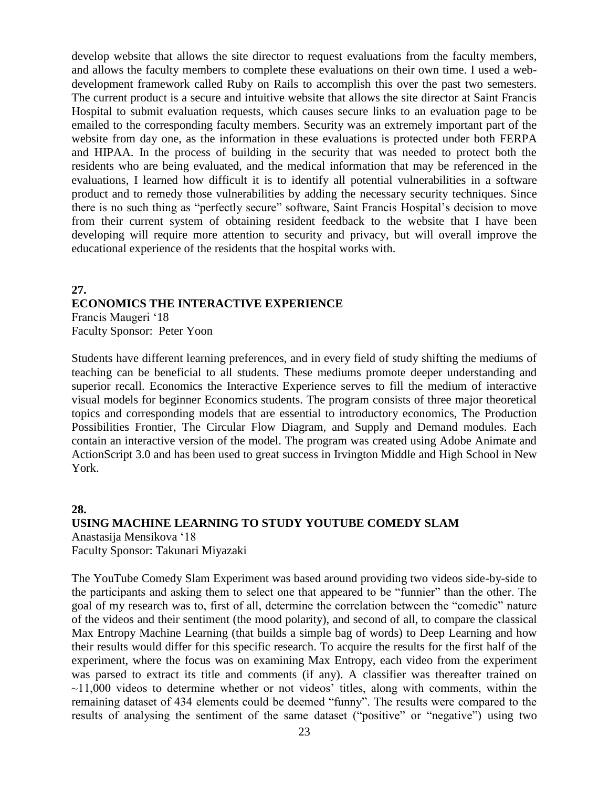develop website that allows the site director to request evaluations from the faculty members, and allows the faculty members to complete these evaluations on their own time. I used a webdevelopment framework called Ruby on Rails to accomplish this over the past two semesters. The current product is a secure and intuitive website that allows the site director at Saint Francis Hospital to submit evaluation requests, which causes secure links to an evaluation page to be emailed to the corresponding faculty members. Security was an extremely important part of the website from day one, as the information in these evaluations is protected under both FERPA and HIPAA. In the process of building in the security that was needed to protect both the residents who are being evaluated, and the medical information that may be referenced in the evaluations, I learned how difficult it is to identify all potential vulnerabilities in a software product and to remedy those vulnerabilities by adding the necessary security techniques. Since there is no such thing as "perfectly secure" software, Saint Francis Hospital's decision to move from their current system of obtaining resident feedback to the website that I have been developing will require more attention to security and privacy, but will overall improve the educational experience of the residents that the hospital works with.

# **27. ECONOMICS THE INTERACTIVE EXPERIENCE**

Francis Maugeri '18 Faculty Sponsor: Peter Yoon

Students have different learning preferences, and in every field of study shifting the mediums of teaching can be beneficial to all students. These mediums promote deeper understanding and superior recall. Economics the Interactive Experience serves to fill the medium of interactive visual models for beginner Economics students. The program consists of three major theoretical topics and corresponding models that are essential to introductory economics, The Production Possibilities Frontier, The Circular Flow Diagram, and Supply and Demand modules. Each contain an interactive version of the model. The program was created using Adobe Animate and ActionScript 3.0 and has been used to great success in Irvington Middle and High School in New York.

# **28.**

# **USING MACHINE LEARNING TO STUDY YOUTUBE COMEDY SLAM** Anastasija Mensikova '18 Faculty Sponsor: Takunari Miyazaki

The YouTube Comedy Slam Experiment was based around providing two videos side-by-side to the participants and asking them to select one that appeared to be "funnier" than the other. The goal of my research was to, first of all, determine the correlation between the "comedic" nature of the videos and their sentiment (the mood polarity), and second of all, to compare the classical Max Entropy Machine Learning (that builds a simple bag of words) to Deep Learning and how their results would differ for this specific research. To acquire the results for the first half of the experiment, where the focus was on examining Max Entropy, each video from the experiment was parsed to extract its title and comments (if any). A classifier was thereafter trained on  $\sim$ 11,000 videos to determine whether or not videos' titles, along with comments, within the remaining dataset of 434 elements could be deemed "funny". The results were compared to the results of analysing the sentiment of the same dataset ("positive" or "negative") using two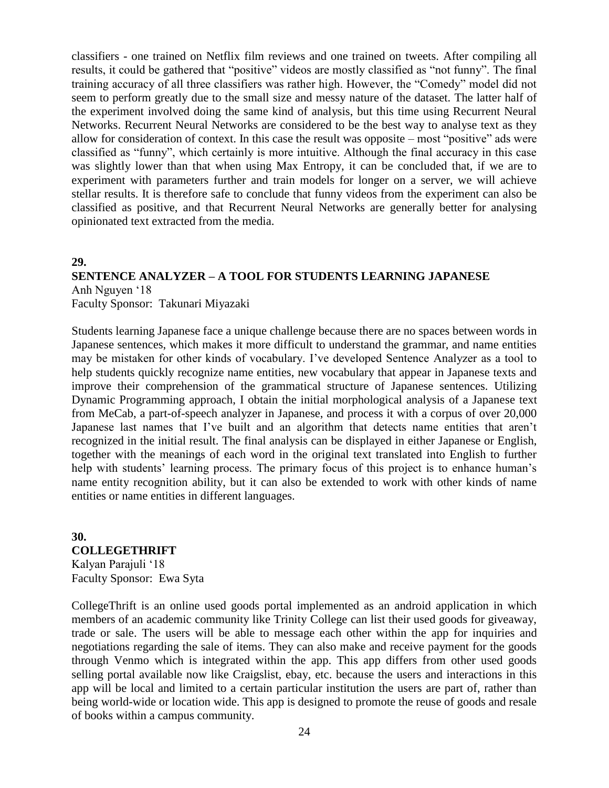classifiers - one trained on Netflix film reviews and one trained on tweets. After compiling all results, it could be gathered that "positive" videos are mostly classified as "not funny". The final training accuracy of all three classifiers was rather high. However, the "Comedy" model did not seem to perform greatly due to the small size and messy nature of the dataset. The latter half of the experiment involved doing the same kind of analysis, but this time using Recurrent Neural Networks. Recurrent Neural Networks are considered to be the best way to analyse text as they allow for consideration of context. In this case the result was opposite – most "positive" ads were classified as "funny", which certainly is more intuitive. Although the final accuracy in this case was slightly lower than that when using Max Entropy, it can be concluded that, if we are to experiment with parameters further and train models for longer on a server, we will achieve stellar results. It is therefore safe to conclude that funny videos from the experiment can also be classified as positive, and that Recurrent Neural Networks are generally better for analysing opinionated text extracted from the media.

### **29.**

# **SENTENCE ANALYZER – A TOOL FOR STUDENTS LEARNING JAPANESE**

Anh Nguyen '18 Faculty Sponsor: Takunari Miyazaki

Students learning Japanese face a unique challenge because there are no spaces between words in Japanese sentences, which makes it more difficult to understand the grammar, and name entities may be mistaken for other kinds of vocabulary. I've developed Sentence Analyzer as a tool to help students quickly recognize name entities, new vocabulary that appear in Japanese texts and improve their comprehension of the grammatical structure of Japanese sentences. Utilizing Dynamic Programming approach, I obtain the initial morphological analysis of a Japanese text from MeCab, a part-of-speech analyzer in Japanese, and process it with a corpus of over 20,000 Japanese last names that I've built and an algorithm that detects name entities that aren't recognized in the initial result. The final analysis can be displayed in either Japanese or English, together with the meanings of each word in the original text translated into English to further help with students' learning process. The primary focus of this project is to enhance human's name entity recognition ability, but it can also be extended to work with other kinds of name entities or name entities in different languages.

# **30. COLLEGETHRIFT**

Kalyan Parajuli '18 Faculty Sponsor: Ewa Syta

CollegeThrift is an online used goods portal implemented as an android application in which members of an academic community like Trinity College can list their used goods for giveaway, trade or sale. The users will be able to message each other within the app for inquiries and negotiations regarding the sale of items. They can also make and receive payment for the goods through Venmo which is integrated within the app. This app differs from other used goods selling portal available now like Craigslist, ebay, etc. because the users and interactions in this app will be local and limited to a certain particular institution the users are part of, rather than being world-wide or location wide. This app is designed to promote the reuse of goods and resale of books within a campus community.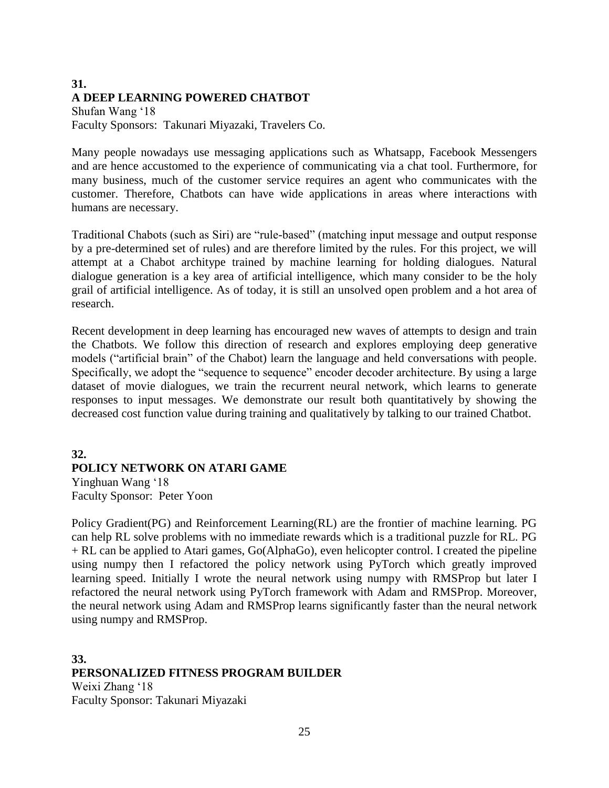# **31. A DEEP LEARNING POWERED CHATBOT**

Shufan Wang '18 Faculty Sponsors: Takunari Miyazaki, Travelers Co.

Many people nowadays use messaging applications such as Whatsapp, Facebook Messengers and are hence accustomed to the experience of communicating via a chat tool. Furthermore, for many business, much of the customer service requires an agent who communicates with the customer. Therefore, Chatbots can have wide applications in areas where interactions with humans are necessary.

Traditional Chabots (such as Siri) are "rule-based" (matching input message and output response by a pre-determined set of rules) and are therefore limited by the rules. For this project, we will attempt at a Chabot architype trained by machine learning for holding dialogues. Natural dialogue generation is a key area of artificial intelligence, which many consider to be the holy grail of artificial intelligence. As of today, it is still an unsolved open problem and a hot area of research.

Recent development in deep learning has encouraged new waves of attempts to design and train the Chatbots. We follow this direction of research and explores employing deep generative models ("artificial brain" of the Chabot) learn the language and held conversations with people. Specifically, we adopt the "sequence to sequence" encoder decoder architecture. By using a large dataset of movie dialogues, we train the recurrent neural network, which learns to generate responses to input messages. We demonstrate our result both quantitatively by showing the decreased cost function value during training and qualitatively by talking to our trained Chatbot.

# **32. POLICY NETWORK ON ATARI GAME**

Yinghuan Wang '18 Faculty Sponsor: Peter Yoon

Policy Gradient(PG) and Reinforcement Learning(RL) are the frontier of machine learning. PG can help RL solve problems with no immediate rewards which is a traditional puzzle for RL. PG + RL can be applied to Atari games, Go(AlphaGo), even helicopter control. I created the pipeline using numpy then I refactored the policy network using PyTorch which greatly improved learning speed. Initially I wrote the neural network using numpy with RMSProp but later I refactored the neural network using PyTorch framework with Adam and RMSProp. Moreover, the neural network using Adam and RMSProp learns significantly faster than the neural network using numpy and RMSProp.

**33. PERSONALIZED FITNESS PROGRAM BUILDER** Weixi Zhang '18 Faculty Sponsor: Takunari Miyazaki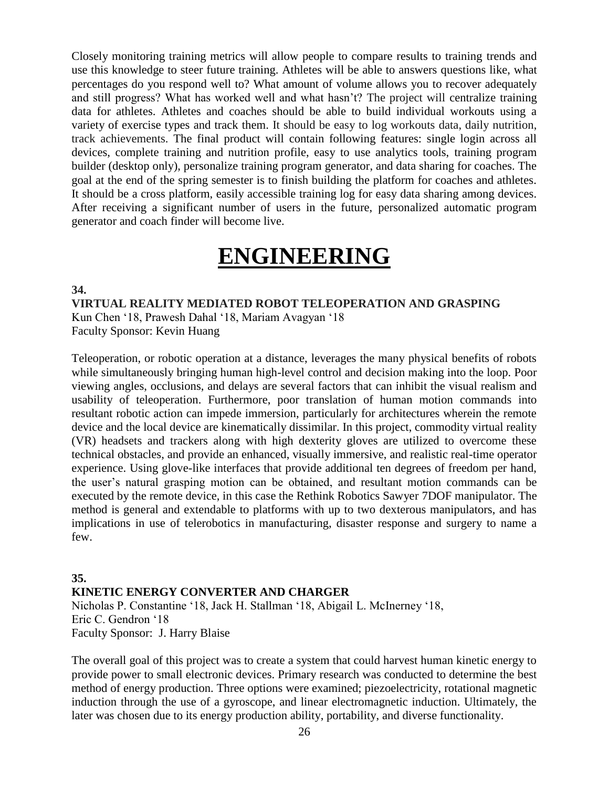Closely monitoring training metrics will allow people to compare results to training trends and use this knowledge to steer future training. Athletes will be able to answers questions like, what percentages do you respond well to? What amount of volume allows you to recover adequately and still progress? What has worked well and what hasn't? The project will centralize training data for athletes. Athletes and coaches should be able to build individual workouts using a variety of exercise types and track them. It should be easy to log workouts data, daily nutrition, track achievements. The final product will contain following features: single login across all devices, complete training and nutrition profile, easy to use analytics tools, training program builder (desktop only), personalize training program generator, and data sharing for coaches. The goal at the end of the spring semester is to finish building the platform for coaches and athletes. It should be a cross platform, easily accessible training log for easy data sharing among devices. After receiving a significant number of users in the future, personalized automatic program generator and coach finder will become live.

# **ENGINEERING**

**34.**

**VIRTUAL REALITY MEDIATED ROBOT TELEOPERATION AND GRASPING** Kun Chen '18, Prawesh Dahal '18, Mariam Avagyan '18 Faculty Sponsor: Kevin Huang

Teleoperation, or robotic operation at a distance, leverages the many physical benefits of robots while simultaneously bringing human high-level control and decision making into the loop. Poor viewing angles, occlusions, and delays are several factors that can inhibit the visual realism and usability of teleoperation. Furthermore, poor translation of human motion commands into resultant robotic action can impede immersion, particularly for architectures wherein the remote device and the local device are kinematically dissimilar. In this project, commodity virtual reality (VR) headsets and trackers along with high dexterity gloves are utilized to overcome these technical obstacles, and provide an enhanced, visually immersive, and realistic real-time operator experience. Using glove-like interfaces that provide additional ten degrees of freedom per hand, the user's natural grasping motion can be obtained, and resultant motion commands can be executed by the remote device, in this case the Rethink Robotics Sawyer 7DOF manipulator. The method is general and extendable to platforms with up to two dexterous manipulators, and has implications in use of telerobotics in manufacturing, disaster response and surgery to name a few.

# **35. KINETIC ENERGY CONVERTER AND CHARGER** Nicholas P. Constantine '18, Jack H. Stallman '18, Abigail L. McInerney '18, Eric C. Gendron '18 Faculty Sponsor: J. Harry Blaise

The overall goal of this project was to create a system that could harvest human kinetic energy to provide power to small electronic devices. Primary research was conducted to determine the best method of energy production. Three options were examined; piezoelectricity, rotational magnetic induction through the use of a gyroscope, and linear electromagnetic induction. Ultimately, the later was chosen due to its energy production ability, portability, and diverse functionality.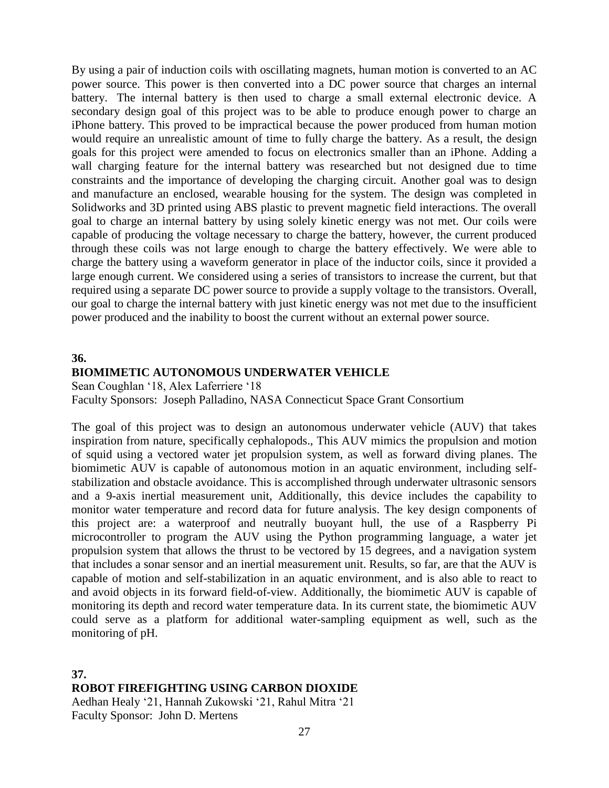By using a pair of induction coils with oscillating magnets, human motion is converted to an AC power source. This power is then converted into a DC power source that charges an internal battery. The internal battery is then used to charge a small external electronic device. A secondary design goal of this project was to be able to produce enough power to charge an iPhone battery. This proved to be impractical because the power produced from human motion would require an unrealistic amount of time to fully charge the battery. As a result, the design goals for this project were amended to focus on electronics smaller than an iPhone. Adding a wall charging feature for the internal battery was researched but not designed due to time constraints and the importance of developing the charging circuit. Another goal was to design and manufacture an enclosed, wearable housing for the system. The design was completed in Solidworks and 3D printed using ABS plastic to prevent magnetic field interactions. The overall goal to charge an internal battery by using solely kinetic energy was not met. Our coils were capable of producing the voltage necessary to charge the battery, however, the current produced through these coils was not large enough to charge the battery effectively. We were able to charge the battery using a waveform generator in place of the inductor coils, since it provided a large enough current. We considered using a series of transistors to increase the current, but that required using a separate DC power source to provide a supply voltage to the transistors. Overall, our goal to charge the internal battery with just kinetic energy was not met due to the insufficient power produced and the inability to boost the current without an external power source.

### **36.**

# **BIOMIMETIC AUTONOMOUS UNDERWATER VEHICLE**

Sean Coughlan '18, Alex Laferriere '18 Faculty Sponsors: Joseph Palladino, NASA Connecticut Space Grant Consortium

The goal of this project was to design an autonomous underwater vehicle (AUV) that takes inspiration from nature, specifically cephalopods., This AUV mimics the propulsion and motion of squid using a vectored water jet propulsion system, as well as forward diving planes. The biomimetic AUV is capable of autonomous motion in an aquatic environment, including selfstabilization and obstacle avoidance. This is accomplished through underwater ultrasonic sensors and a 9-axis inertial measurement unit, Additionally, this device includes the capability to monitor water temperature and record data for future analysis. The key design components of this project are: a waterproof and neutrally buoyant hull, the use of a Raspberry Pi microcontroller to program the AUV using the Python programming language, a water jet propulsion system that allows the thrust to be vectored by 15 degrees, and a navigation system that includes a sonar sensor and an inertial measurement unit. Results, so far, are that the AUV is capable of motion and self-stabilization in an aquatic environment, and is also able to react to and avoid objects in its forward field-of-view. Additionally, the biomimetic AUV is capable of monitoring its depth and record water temperature data. In its current state, the biomimetic AUV could serve as a platform for additional water-sampling equipment as well, such as the monitoring of pH.

# **37.**

# **ROBOT FIREFIGHTING USING CARBON DIOXIDE**

Aedhan Healy '21, Hannah Zukowski '21, Rahul Mitra '21 Faculty Sponsor: John D. Mertens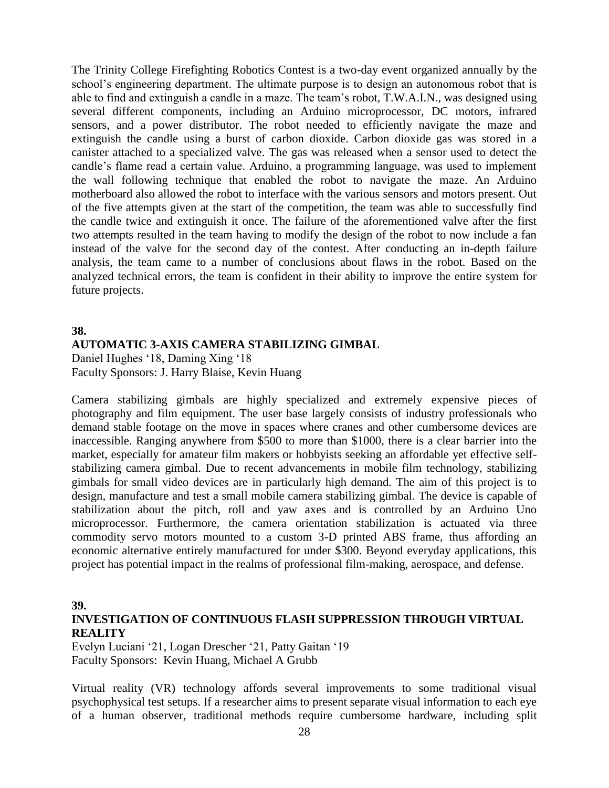The Trinity College Firefighting Robotics Contest is a two-day event organized annually by the school's engineering department. The ultimate purpose is to design an autonomous robot that is able to find and extinguish a candle in a maze. The team's robot, T.W.A.I.N., was designed using several different components, including an Arduino microprocessor, DC motors, infrared sensors, and a power distributor. The robot needed to efficiently navigate the maze and extinguish the candle using a burst of carbon dioxide. Carbon dioxide gas was stored in a canister attached to a specialized valve. The gas was released when a sensor used to detect the candle's flame read a certain value. Arduino, a programming language, was used to implement the wall following technique that enabled the robot to navigate the maze. An Arduino motherboard also allowed the robot to interface with the various sensors and motors present. Out of the five attempts given at the start of the competition, the team was able to successfully find the candle twice and extinguish it once. The failure of the aforementioned valve after the first two attempts resulted in the team having to modify the design of the robot to now include a fan instead of the valve for the second day of the contest. After conducting an in-depth failure analysis, the team came to a number of conclusions about flaws in the robot. Based on the analyzed technical errors, the team is confident in their ability to improve the entire system for future projects.

### **38.**

### **AUTOMATIC 3-AXIS CAMERA STABILIZING GIMBAL**

Daniel Hughes '18, Daming Xing '18 Faculty Sponsors: J. Harry Blaise, Kevin Huang

Camera stabilizing gimbals are highly specialized and extremely expensive pieces of photography and film equipment. The user base largely consists of industry professionals who demand stable footage on the move in spaces where cranes and other cumbersome devices are inaccessible. Ranging anywhere from \$500 to more than \$1000, there is a clear barrier into the market, especially for amateur film makers or hobbyists seeking an affordable yet effective selfstabilizing camera gimbal. Due to recent advancements in mobile film technology, stabilizing gimbals for small video devices are in particularly high demand. The aim of this project is to design, manufacture and test a small mobile camera stabilizing gimbal. The device is capable of stabilization about the pitch, roll and yaw axes and is controlled by an Arduino Uno microprocessor. Furthermore, the camera orientation stabilization is actuated via three commodity servo motors mounted to a custom 3-D printed ABS frame, thus affording an economic alternative entirely manufactured for under \$300. Beyond everyday applications, this project has potential impact in the realms of professional film-making, aerospace, and defense.

#### **39.**

# **INVESTIGATION OF CONTINUOUS FLASH SUPPRESSION THROUGH VIRTUAL REALITY**

Evelyn Luciani '21, Logan Drescher '21, Patty Gaitan '19 Faculty Sponsors: Kevin Huang, Michael A Grubb

Virtual reality (VR) technology affords several improvements to some traditional visual psychophysical test setups. If a researcher aims to present separate visual information to each eye of a human observer, traditional methods require cumbersome hardware, including split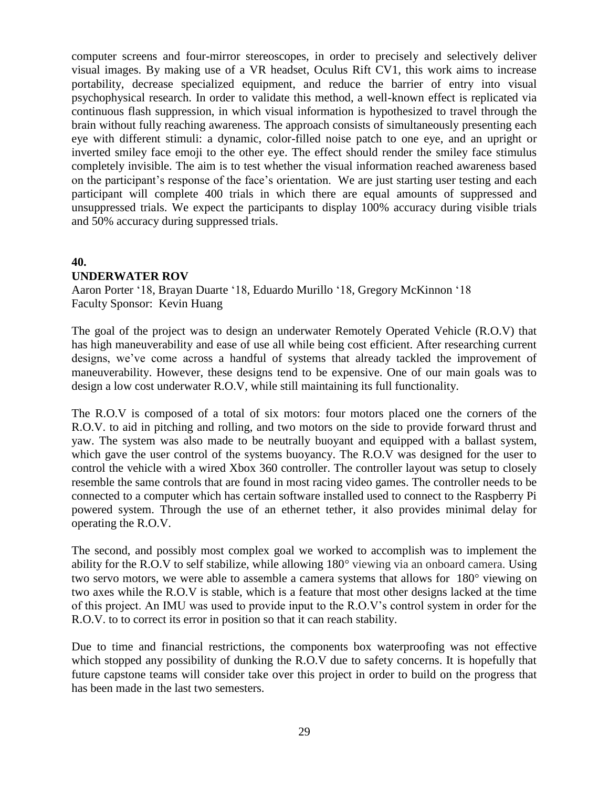computer screens and four-mirror stereoscopes, in order to precisely and selectively deliver visual images. By making use of a VR headset, Oculus Rift CV1, this work aims to increase portability, decrease specialized equipment, and reduce the barrier of entry into visual psychophysical research. In order to validate this method, a well-known effect is replicated via continuous flash suppression, in which visual information is hypothesized to travel through the brain without fully reaching awareness. The approach consists of simultaneously presenting each eye with different stimuli: a dynamic, color-filled noise patch to one eye, and an upright or inverted smiley face emoji to the other eye. The effect should render the smiley face stimulus completely invisible. The aim is to test whether the visual information reached awareness based on the participant's response of the face's orientation. We are just starting user testing and each participant will complete 400 trials in which there are equal amounts of suppressed and unsuppressed trials. We expect the participants to display 100% accuracy during visible trials and 50% accuracy during suppressed trials.

# **40.**

# **UNDERWATER ROV**

Aaron Porter '18, Brayan Duarte '18, Eduardo Murillo '18, Gregory McKinnon '18 Faculty Sponsor: Kevin Huang

The goal of the project was to design an underwater Remotely Operated Vehicle (R.O.V) that has high maneuverability and ease of use all while being cost efficient. After researching current designs, we've come across a handful of systems that already tackled the improvement of maneuverability. However, these designs tend to be expensive. One of our main goals was to design a low cost underwater R.O.V, while still maintaining its full functionality.

The R.O.V is composed of a total of six motors: four motors placed one the corners of the R.O.V. to aid in pitching and rolling, and two motors on the side to provide forward thrust and yaw. The system was also made to be neutrally buoyant and equipped with a ballast system, which gave the user control of the systems buoyancy. The R.O.V was designed for the user to control the vehicle with a wired Xbox 360 controller. The controller layout was setup to closely resemble the same controls that are found in most racing video games. The controller needs to be connected to a computer which has certain software installed used to connect to the Raspberry Pi powered system. Through the use of an ethernet tether, it also provides minimal delay for operating the R.O.V.

The second, and possibly most complex goal we worked to accomplish was to implement the ability for the R.O.V to self stabilize, while allowing 180° viewing via an onboard camera. Using two servo motors, we were able to assemble a camera systems that allows for 180° viewing on two axes while the R.O.V is stable, which is a feature that most other designs lacked at the time of this project. An IMU was used to provide input to the R.O.V's control system in order for the R.O.V. to to correct its error in position so that it can reach stability.

Due to time and financial restrictions, the components box waterproofing was not effective which stopped any possibility of dunking the R.O.V due to safety concerns. It is hopefully that future capstone teams will consider take over this project in order to build on the progress that has been made in the last two semesters.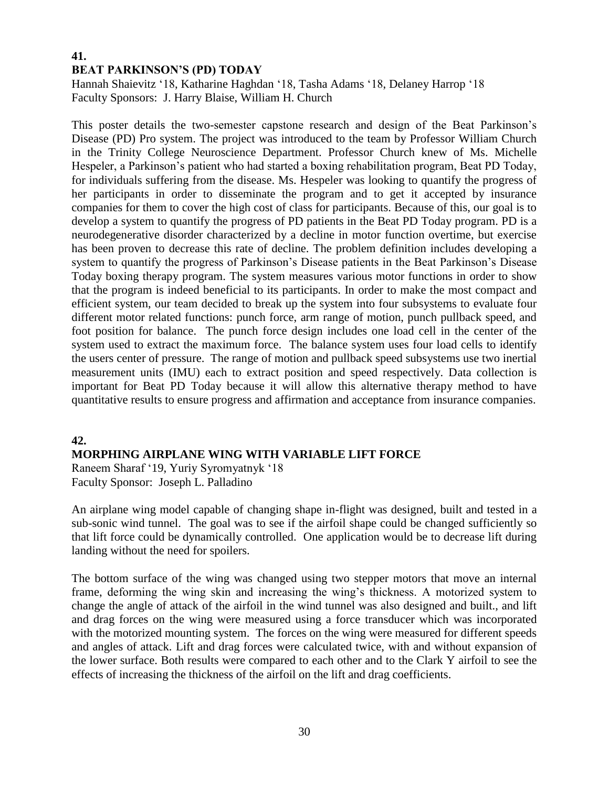# **41. BEAT PARKINSON'S (PD) TODAY**

Hannah Shaievitz '18, Katharine Haghdan '18, Tasha Adams '18, Delaney Harrop '18 Faculty Sponsors: J. Harry Blaise, William H. Church

This poster details the two-semester capstone research and design of the Beat Parkinson's Disease (PD) Pro system. The project was introduced to the team by Professor William Church in the Trinity College Neuroscience Department. Professor Church knew of Ms. Michelle Hespeler, a Parkinson's patient who had started a boxing rehabilitation program, Beat PD Today, for individuals suffering from the disease. Ms. Hespeler was looking to quantify the progress of her participants in order to disseminate the program and to get it accepted by insurance companies for them to cover the high cost of class for participants. Because of this, our goal is to develop a system to quantify the progress of PD patients in the Beat PD Today program. PD is a neurodegenerative disorder characterized by a decline in motor function overtime, but exercise has been proven to decrease this rate of decline. The problem definition includes developing a system to quantify the progress of Parkinson's Disease patients in the Beat Parkinson's Disease Today boxing therapy program. The system measures various motor functions in order to show that the program is indeed beneficial to its participants. In order to make the most compact and efficient system, our team decided to break up the system into four subsystems to evaluate four different motor related functions: punch force, arm range of motion, punch pullback speed, and foot position for balance. The punch force design includes one load cell in the center of the system used to extract the maximum force. The balance system uses four load cells to identify the users center of pressure. The range of motion and pullback speed subsystems use two inertial measurement units (IMU) each to extract position and speed respectively. Data collection is important for Beat PD Today because it will allow this alternative therapy method to have quantitative results to ensure progress and affirmation and acceptance from insurance companies.

# **42.**

# **MORPHING AIRPLANE WING WITH VARIABLE LIFT FORCE**

Raneem Sharaf '19, Yuriy Syromyatnyk '18 Faculty Sponsor: Joseph L. Palladino

An airplane wing model capable of changing shape in-flight was designed, built and tested in a sub-sonic wind tunnel. The goal was to see if the airfoil shape could be changed sufficiently so that lift force could be dynamically controlled. One application would be to decrease lift during landing without the need for spoilers.

The bottom surface of the wing was changed using two stepper motors that move an internal frame, deforming the wing skin and increasing the wing's thickness. A motorized system to change the angle of attack of the airfoil in the wind tunnel was also designed and built., and lift and drag forces on the wing were measured using a force transducer which was incorporated with the motorized mounting system. The forces on the wing were measured for different speeds and angles of attack. Lift and drag forces were calculated twice, with and without expansion of the lower surface. Both results were compared to each other and to the Clark Y airfoil to see the effects of increasing the thickness of the airfoil on the lift and drag coefficients.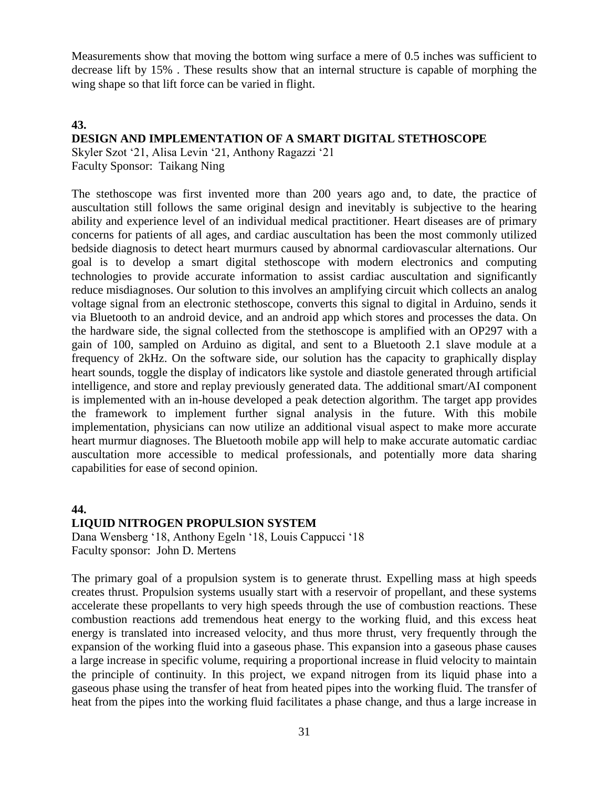Measurements show that moving the bottom wing surface a mere of 0.5 inches was sufficient to decrease lift by 15% . These results show that an internal structure is capable of morphing the wing shape so that lift force can be varied in flight.

#### **43.**

# **DESIGN AND IMPLEMENTATION OF A SMART DIGITAL STETHOSCOPE**

Skyler Szot '21, Alisa Levin '21, Anthony Ragazzi '21 Faculty Sponsor: Taikang Ning

The stethoscope was first invented more than 200 years ago and, to date, the practice of auscultation still follows the same original design and inevitably is subjective to the hearing ability and experience level of an individual medical practitioner. Heart diseases are of primary concerns for patients of all ages, and cardiac auscultation has been the most commonly utilized bedside diagnosis to detect heart murmurs caused by abnormal cardiovascular alternations. Our goal is to develop a smart digital stethoscope with modern electronics and computing technologies to provide accurate information to assist cardiac auscultation and significantly reduce misdiagnoses. Our solution to this involves an amplifying circuit which collects an analog voltage signal from an electronic stethoscope, converts this signal to digital in Arduino, sends it via Bluetooth to an android device, and an android app which stores and processes the data. On the hardware side, the signal collected from the stethoscope is amplified with an OP297 with a gain of 100, sampled on Arduino as digital, and sent to a Bluetooth 2.1 slave module at a frequency of 2kHz. On the software side, our solution has the capacity to graphically display heart sounds, toggle the display of indicators like systole and diastole generated through artificial intelligence, and store and replay previously generated data. The additional smart/AI component is implemented with an in-house developed a peak detection algorithm. The target app provides the framework to implement further signal analysis in the future. With this mobile implementation, physicians can now utilize an additional visual aspect to make more accurate heart murmur diagnoses. The Bluetooth mobile app will help to make accurate automatic cardiac auscultation more accessible to medical professionals, and potentially more data sharing capabilities for ease of second opinion.

#### **44.**

#### **LIQUID NITROGEN PROPULSION SYSTEM**

Dana Wensberg '18, Anthony Egeln '18, Louis Cappucci '18 Faculty sponsor: John D. Mertens

The primary goal of a propulsion system is to generate thrust. Expelling mass at high speeds creates thrust. Propulsion systems usually start with a reservoir of propellant, and these systems accelerate these propellants to very high speeds through the use of combustion reactions. These combustion reactions add tremendous heat energy to the working fluid, and this excess heat energy is translated into increased velocity, and thus more thrust, very frequently through the expansion of the working fluid into a gaseous phase. This expansion into a gaseous phase causes a large increase in specific volume, requiring a proportional increase in fluid velocity to maintain the principle of continuity. In this project, we expand nitrogen from its liquid phase into a gaseous phase using the transfer of heat from heated pipes into the working fluid. The transfer of heat from the pipes into the working fluid facilitates a phase change, and thus a large increase in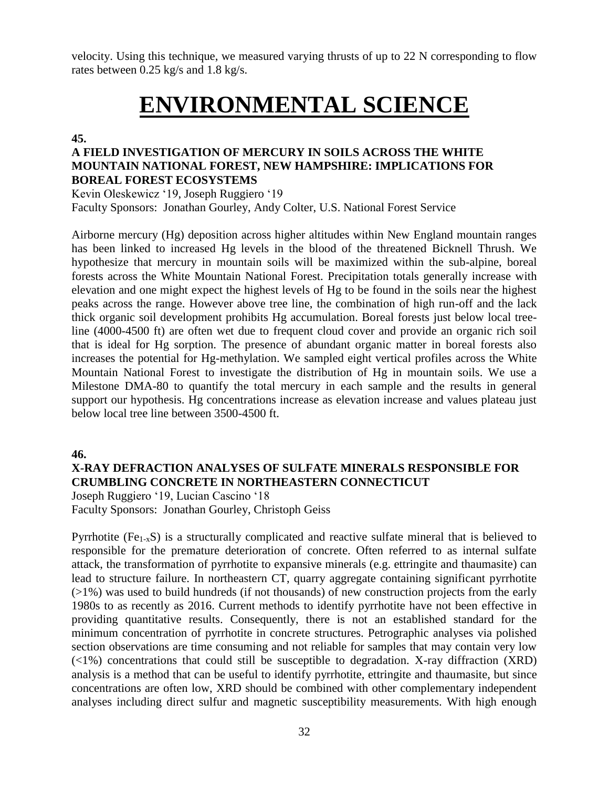velocity. Using this technique, we measured varying thrusts of up to 22 N corresponding to flow rates between 0.25 kg/s and 1.8 kg/s.

# **ENVIRONMENTAL SCIENCE**

### **45.**

# **A FIELD INVESTIGATION OF MERCURY IN SOILS ACROSS THE WHITE MOUNTAIN NATIONAL FOREST, NEW HAMPSHIRE: IMPLICATIONS FOR BOREAL FOREST ECOSYSTEMS**

Kevin Oleskewicz '19, Joseph Ruggiero '19 Faculty Sponsors: Jonathan Gourley, Andy Colter, U.S. National Forest Service

Airborne mercury (Hg) deposition across higher altitudes within New England mountain ranges has been linked to increased Hg levels in the blood of the threatened Bicknell Thrush. We hypothesize that mercury in mountain soils will be maximized within the sub-alpine, boreal forests across the White Mountain National Forest. Precipitation totals generally increase with elevation and one might expect the highest levels of Hg to be found in the soils near the highest peaks across the range. However above tree line, the combination of high run-off and the lack thick organic soil development prohibits Hg accumulation. Boreal forests just below local treeline (4000-4500 ft) are often wet due to frequent cloud cover and provide an organic rich soil that is ideal for Hg sorption. The presence of abundant organic matter in boreal forests also increases the potential for Hg-methylation. We sampled eight vertical profiles across the White Mountain National Forest to investigate the distribution of Hg in mountain soils. We use a Milestone DMA-80 to quantify the total mercury in each sample and the results in general support our hypothesis. Hg concentrations increase as elevation increase and values plateau just below local tree line between 3500-4500 ft.

# **46.**

# **X-RAY DEFRACTION ANALYSES OF SULFATE MINERALS RESPONSIBLE FOR CRUMBLING CONCRETE IN NORTHEASTERN CONNECTICUT**

Joseph Ruggiero '19, Lucian Cascino '18 Faculty Sponsors: Jonathan Gourley, Christoph Geiss

Pyrrhotite (Fe<sub>1-x</sub>S) is a structurally complicated and reactive sulfate mineral that is believed to responsible for the premature deterioration of concrete. Often referred to as internal sulfate attack, the transformation of pyrrhotite to expansive minerals (e.g. ettringite and thaumasite) can lead to structure failure. In northeastern CT, quarry aggregate containing significant pyrrhotite  $(21%)$  was used to build hundreds (if not thousands) of new construction projects from the early 1980s to as recently as 2016. Current methods to identify pyrrhotite have not been effective in providing quantitative results. Consequently, there is not an established standard for the minimum concentration of pyrrhotite in concrete structures. Petrographic analyses via polished section observations are time consuming and not reliable for samples that may contain very low  $(\langle 1\% \rangle)$  concentrations that could still be susceptible to degradation. X-ray diffraction  $(XRD)$ analysis is a method that can be useful to identify pyrrhotite, ettringite and thaumasite, but since concentrations are often low, XRD should be combined with other complementary independent analyses including direct sulfur and magnetic susceptibility measurements. With high enough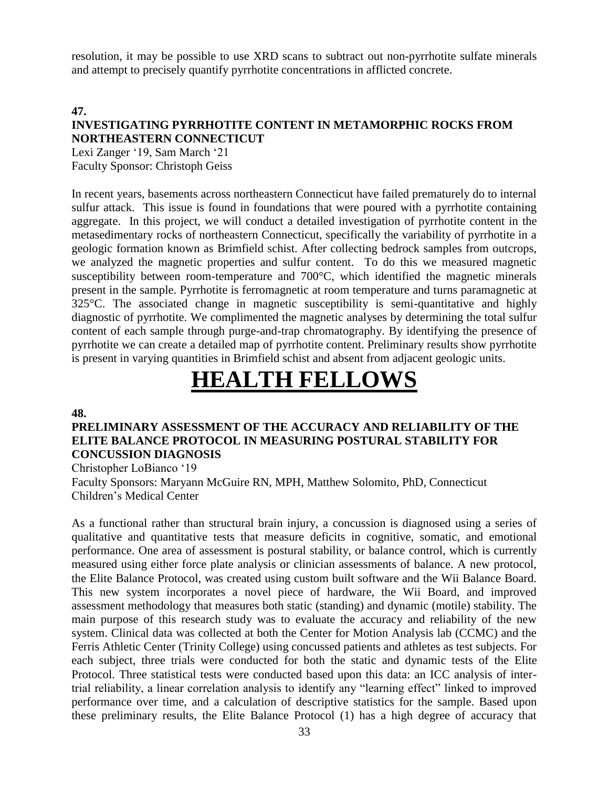resolution, it may be possible to use XRD scans to subtract out non-pyrrhotite sulfate minerals and attempt to precisely quantify pyrrhotite concentrations in afflicted concrete.

**47.**

# **INVESTIGATING PYRRHOTITE CONTENT IN METAMORPHIC ROCKS FROM NORTHEASTERN CONNECTICUT**

Lexi Zanger '19, Sam March '21 Faculty Sponsor: Christoph Geiss

In recent years, basements across northeastern Connecticut have failed prematurely do to internal sulfur attack. This issue is found in foundations that were poured with a pyrrhotite containing aggregate. In this project, we will conduct a detailed investigation of pyrrhotite content in the metasedimentary rocks of northeastern Connecticut, specifically the variability of pyrrhotite in a geologic formation known as Brimfield schist. After collecting bedrock samples from outcrops, we analyzed the magnetic properties and sulfur content. To do this we measured magnetic susceptibility between room-temperature and 700°C, which identified the magnetic minerals present in the sample. Pyrrhotite is ferromagnetic at room temperature and turns paramagnetic at 325°C. The associated change in magnetic susceptibility is semi-quantitative and highly diagnostic of pyrrhotite. We complimented the magnetic analyses by determining the total sulfur content of each sample through purge-and-trap chromatography. By identifying the presence of pyrrhotite we can create a detailed map of pyrrhotite content. Preliminary results show pyrrhotite is present in varying quantities in Brimfield schist and absent from adjacent geologic units.

# **HEALTH FELLOWS**

#### **48.**

# **PRELIMINARY ASSESSMENT OF THE ACCURACY AND RELIABILITY OF THE ELITE BALANCE PROTOCOL IN MEASURING POSTURAL STABILITY FOR CONCUSSION DIAGNOSIS**

Christopher LoBianco '19 Faculty Sponsors: Maryann McGuire RN, MPH, Matthew Solomito, PhD, Connecticut Children's Medical Center

As a functional rather than structural brain injury, a concussion is diagnosed using a series of qualitative and quantitative tests that measure deficits in cognitive, somatic, and emotional performance. One area of assessment is postural stability, or balance control, which is currently measured using either force plate analysis or clinician assessments of balance. A new protocol, the Elite Balance Protocol, was created using custom built software and the Wii Balance Board. This new system incorporates a novel piece of hardware, the Wii Board, and improved assessment methodology that measures both static (standing) and dynamic (motile) stability. The main purpose of this research study was to evaluate the accuracy and reliability of the new system. Clinical data was collected at both the Center for Motion Analysis lab (CCMC) and the Ferris Athletic Center (Trinity College) using concussed patients and athletes as test subjects. For each subject, three trials were conducted for both the static and dynamic tests of the Elite Protocol. Three statistical tests were conducted based upon this data: an ICC analysis of intertrial reliability, a linear correlation analysis to identify any "learning effect" linked to improved performance over time, and a calculation of descriptive statistics for the sample. Based upon these preliminary results, the Elite Balance Protocol (1) has a high degree of accuracy that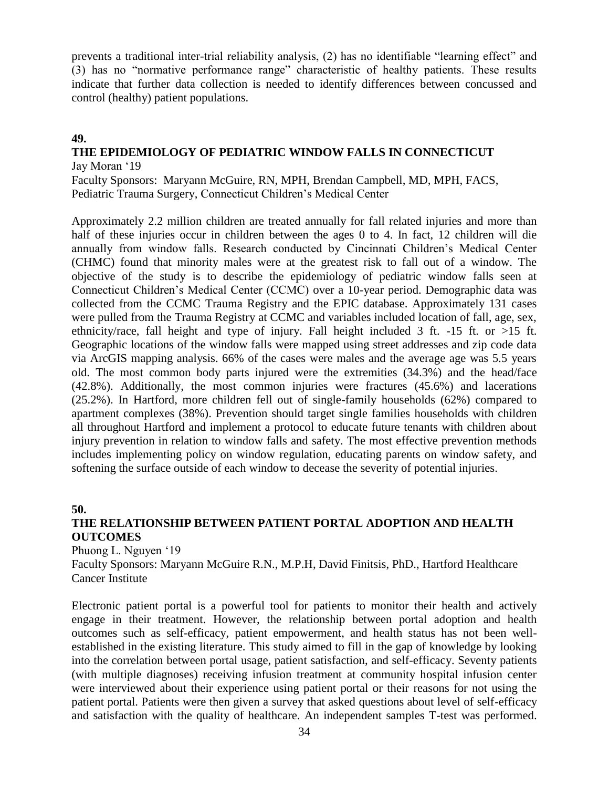prevents a traditional inter-trial reliability analysis, (2) has no identifiable "learning effect" and (3) has no "normative performance range" characteristic of healthy patients. These results indicate that further data collection is needed to identify differences between concussed and control (healthy) patient populations.

# **49.**

### **THE EPIDEMIOLOGY OF PEDIATRIC WINDOW FALLS IN CONNECTICUT** Jay Moran '19

Faculty Sponsors: Maryann McGuire, RN, MPH, Brendan Campbell, MD, MPH, FACS, Pediatric Trauma Surgery, Connecticut Children's Medical Center

Approximately 2.2 million children are treated annually for fall related injuries and more than half of these injuries occur in children between the ages 0 to 4. In fact, 12 children will die annually from window falls. Research conducted by Cincinnati Children's Medical Center (CHMC) found that minority males were at the greatest risk to fall out of a window. The objective of the study is to describe the epidemiology of pediatric window falls seen at Connecticut Children's Medical Center (CCMC) over a 10-year period. Demographic data was collected from the CCMC Trauma Registry and the EPIC database. Approximately 131 cases were pulled from the Trauma Registry at CCMC and variables included location of fall, age, sex, ethnicity/race, fall height and type of injury. Fall height included 3 ft.  $-15$  ft. or  $>15$  ft. Geographic locations of the window falls were mapped using street addresses and zip code data via ArcGIS mapping analysis. 66% of the cases were males and the average age was 5.5 years old. The most common body parts injured were the extremities (34.3%) and the head/face (42.8%). Additionally, the most common injuries were fractures (45.6%) and lacerations (25.2%). In Hartford, more children fell out of single-family households (62%) compared to apartment complexes (38%). Prevention should target single families households with children all throughout Hartford and implement a protocol to educate future tenants with children about injury prevention in relation to window falls and safety. The most effective prevention methods includes implementing policy on window regulation, educating parents on window safety, and softening the surface outside of each window to decease the severity of potential injuries.

#### **50.**

# **THE RELATIONSHIP BETWEEN PATIENT PORTAL ADOPTION AND HEALTH OUTCOMES**

Phuong L. Nguyen '19

Faculty Sponsors: Maryann McGuire R.N., M.P.H, David Finitsis, PhD., Hartford Healthcare Cancer Institute

Electronic patient portal is a powerful tool for patients to monitor their health and actively engage in their treatment. However, the relationship between portal adoption and health outcomes such as self-efficacy, patient empowerment, and health status has not been wellestablished in the existing literature. This study aimed to fill in the gap of knowledge by looking into the correlation between portal usage, patient satisfaction, and self-efficacy. Seventy patients (with multiple diagnoses) receiving infusion treatment at community hospital infusion center were interviewed about their experience using patient portal or their reasons for not using the patient portal. Patients were then given a survey that asked questions about level of self-efficacy and satisfaction with the quality of healthcare. An independent samples T-test was performed.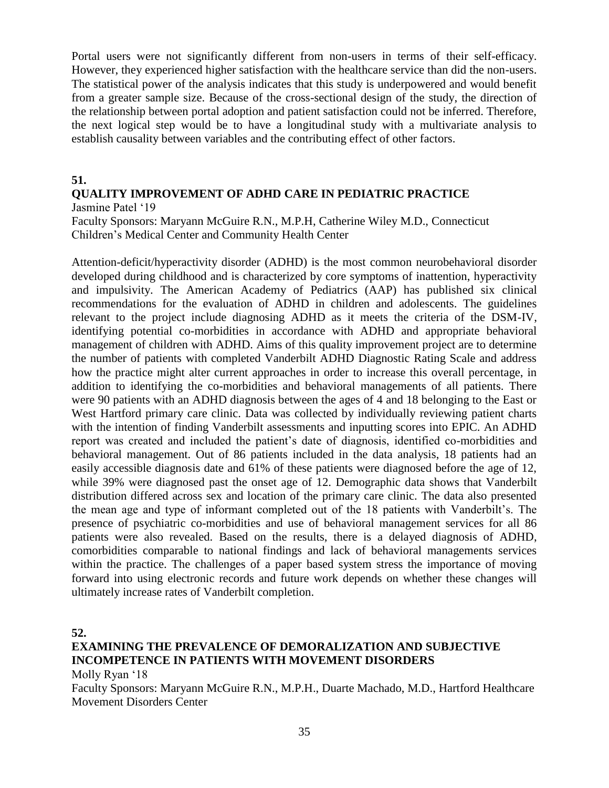Portal users were not significantly different from non-users in terms of their self-efficacy. However, they experienced higher satisfaction with the healthcare service than did the non-users. The statistical power of the analysis indicates that this study is underpowered and would benefit from a greater sample size. Because of the cross-sectional design of the study, the direction of the relationship between portal adoption and patient satisfaction could not be inferred. Therefore, the next logical step would be to have a longitudinal study with a multivariate analysis to establish causality between variables and the contributing effect of other factors.

### **51.**

# **QUALITY IMPROVEMENT OF ADHD CARE IN PEDIATRIC PRACTICE**

Jasmine Patel '19

Faculty Sponsors: Maryann McGuire R.N., M.P.H, Catherine Wiley M.D., Connecticut Children's Medical Center and Community Health Center

Attention-deficit/hyperactivity disorder (ADHD) is the most common neurobehavioral disorder developed during childhood and is characterized by core symptoms of inattention, hyperactivity and impulsivity. The American Academy of Pediatrics (AAP) has published six clinical recommendations for the evaluation of ADHD in children and adolescents. The guidelines relevant to the project include diagnosing ADHD as it meets the criteria of the DSM-IV, identifying potential co-morbidities in accordance with ADHD and appropriate behavioral management of children with ADHD. Aims of this quality improvement project are to determine the number of patients with completed Vanderbilt ADHD Diagnostic Rating Scale and address how the practice might alter current approaches in order to increase this overall percentage, in addition to identifying the co-morbidities and behavioral managements of all patients. There were 90 patients with an ADHD diagnosis between the ages of 4 and 18 belonging to the East or West Hartford primary care clinic. Data was collected by individually reviewing patient charts with the intention of finding Vanderbilt assessments and inputting scores into EPIC. An ADHD report was created and included the patient's date of diagnosis, identified co-morbidities and behavioral management. Out of 86 patients included in the data analysis, 18 patients had an easily accessible diagnosis date and 61% of these patients were diagnosed before the age of 12, while 39% were diagnosed past the onset age of 12. Demographic data shows that Vanderbilt distribution differed across sex and location of the primary care clinic. The data also presented the mean age and type of informant completed out of the 18 patients with Vanderbilt's. The presence of psychiatric co-morbidities and use of behavioral management services for all 86 patients were also revealed. Based on the results, there is a delayed diagnosis of ADHD, comorbidities comparable to national findings and lack of behavioral managements services within the practice. The challenges of a paper based system stress the importance of moving forward into using electronic records and future work depends on whether these changes will ultimately increase rates of Vanderbilt completion.

**52.**

# **EXAMINING THE PREVALENCE OF DEMORALIZATION AND SUBJECTIVE INCOMPETENCE IN PATIENTS WITH MOVEMENT DISORDERS**

Molly Ryan '18

Faculty Sponsors: Maryann McGuire R.N., M.P.H., Duarte Machado, M.D., Hartford Healthcare Movement Disorders Center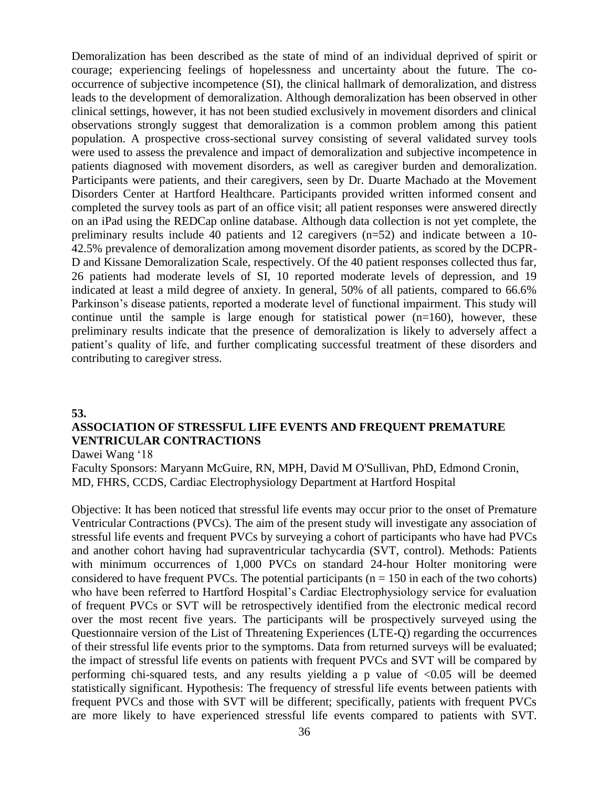Demoralization has been described as the state of mind of an individual deprived of spirit or courage; experiencing feelings of hopelessness and uncertainty about the future. The cooccurrence of subjective incompetence (SI), the clinical hallmark of demoralization, and distress leads to the development of demoralization. Although demoralization has been observed in other clinical settings, however, it has not been studied exclusively in movement disorders and clinical observations strongly suggest that demoralization is a common problem among this patient population. A prospective cross-sectional survey consisting of several validated survey tools were used to assess the prevalence and impact of demoralization and subjective incompetence in patients diagnosed with movement disorders, as well as caregiver burden and demoralization. Participants were patients, and their caregivers, seen by Dr. Duarte Machado at the Movement Disorders Center at Hartford Healthcare. Participants provided written informed consent and completed the survey tools as part of an office visit; all patient responses were answered directly on an iPad using the REDCap online database. Although data collection is not yet complete, the preliminary results include 40 patients and 12 caregivers (n=52) and indicate between a 10- 42.5% prevalence of demoralization among movement disorder patients, as scored by the DCPR-D and Kissane Demoralization Scale, respectively. Of the 40 patient responses collected thus far, 26 patients had moderate levels of SI, 10 reported moderate levels of depression, and 19 indicated at least a mild degree of anxiety. In general, 50% of all patients, compared to 66.6% Parkinson's disease patients, reported a moderate level of functional impairment. This study will continue until the sample is large enough for statistical power  $(n=160)$ , however, these preliminary results indicate that the presence of demoralization is likely to adversely affect a patient's quality of life, and further complicating successful treatment of these disorders and contributing to caregiver stress.

#### **53.**

# **ASSOCIATION OF STRESSFUL LIFE EVENTS AND FREQUENT PREMATURE VENTRICULAR CONTRACTIONS**

Dawei Wang '18

Faculty Sponsors: Maryann McGuire, RN, MPH, David M O'Sullivan, PhD, Edmond Cronin, MD, FHRS, CCDS, Cardiac Electrophysiology Department at Hartford Hospital

Objective: It has been noticed that stressful life events may occur prior to the onset of Premature Ventricular Contractions (PVCs). The aim of the present study will investigate any association of stressful life events and frequent PVCs by surveying a cohort of participants who have had PVCs and another cohort having had supraventricular tachycardia (SVT, control). Methods: Patients with minimum occurrences of 1,000 PVCs on standard 24-hour Holter monitoring were considered to have frequent PVCs. The potential participants ( $n = 150$  in each of the two cohorts) who have been referred to Hartford Hospital's Cardiac Electrophysiology service for evaluation of frequent PVCs or SVT will be retrospectively identified from the electronic medical record over the most recent five years. The participants will be prospectively surveyed using the Questionnaire version of the List of Threatening Experiences (LTE-Q) regarding the occurrences of their stressful life events prior to the symptoms. Data from returned surveys will be evaluated; the impact of stressful life events on patients with frequent PVCs and SVT will be compared by performing chi-squared tests, and any results yielding a p value of  $\langle 0.05 \text{ will be deemed}$ statistically significant. Hypothesis: The frequency of stressful life events between patients with frequent PVCs and those with SVT will be different; specifically, patients with frequent PVCs are more likely to have experienced stressful life events compared to patients with SVT.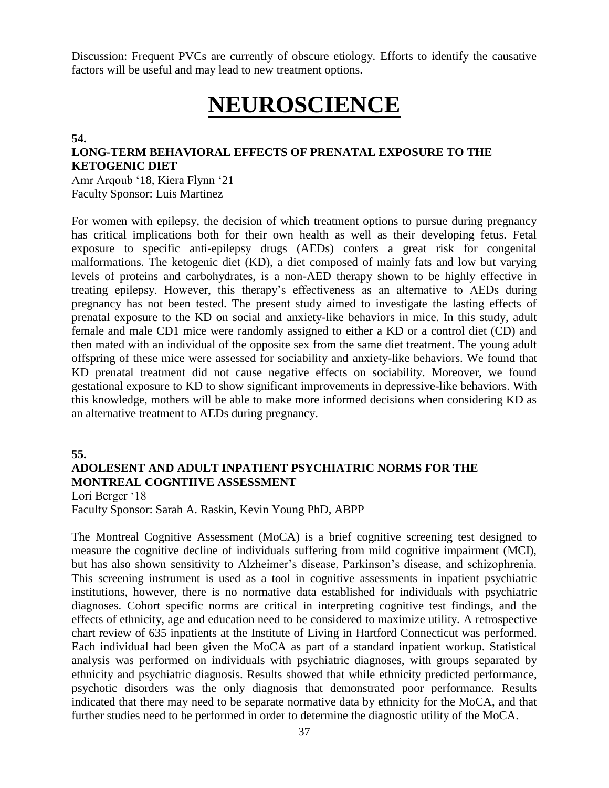Discussion: Frequent PVCs are currently of obscure etiology. Efforts to identify the causative factors will be useful and may lead to new treatment options.

# **NEUROSCIENCE**

**54.**

# **LONG-TERM BEHAVIORAL EFFECTS OF PRENATAL EXPOSURE TO THE KETOGENIC DIET**

Amr Arqoub '18, Kiera Flynn '21 Faculty Sponsor: Luis Martinez

For women with epilepsy, the decision of which treatment options to pursue during pregnancy has critical implications both for their own health as well as their developing fetus. Fetal exposure to specific anti-epilepsy drugs (AEDs) confers a great risk for congenital malformations. The ketogenic diet (KD), a diet composed of mainly fats and low but varying levels of proteins and carbohydrates, is a non-AED therapy shown to be highly effective in treating epilepsy. However, this therapy's effectiveness as an alternative to AEDs during pregnancy has not been tested. The present study aimed to investigate the lasting effects of prenatal exposure to the KD on social and anxiety-like behaviors in mice. In this study, adult female and male CD1 mice were randomly assigned to either a KD or a control diet (CD) and then mated with an individual of the opposite sex from the same diet treatment. The young adult offspring of these mice were assessed for sociability and anxiety-like behaviors. We found that KD prenatal treatment did not cause negative effects on sociability. Moreover, we found gestational exposure to KD to show significant improvements in depressive-like behaviors. With this knowledge, mothers will be able to make more informed decisions when considering KD as an alternative treatment to AEDs during pregnancy.

# **55.**

# **ADOLESENT AND ADULT INPATIENT PSYCHIATRIC NORMS FOR THE MONTREAL COGNTIIVE ASSESSMENT**

Lori Berger '18

Faculty Sponsor: Sarah A. Raskin, Kevin Young PhD, ABPP

The Montreal Cognitive Assessment (MoCA) is a brief cognitive screening test designed to measure the cognitive decline of individuals suffering from mild cognitive impairment (MCI), but has also shown sensitivity to Alzheimer's disease, Parkinson's disease, and schizophrenia. This screening instrument is used as a tool in cognitive assessments in inpatient psychiatric institutions, however, there is no normative data established for individuals with psychiatric diagnoses. Cohort specific norms are critical in interpreting cognitive test findings, and the effects of ethnicity, age and education need to be considered to maximize utility. A retrospective chart review of 635 inpatients at the Institute of Living in Hartford Connecticut was performed. Each individual had been given the MoCA as part of a standard inpatient workup. Statistical analysis was performed on individuals with psychiatric diagnoses, with groups separated by ethnicity and psychiatric diagnosis. Results showed that while ethnicity predicted performance, psychotic disorders was the only diagnosis that demonstrated poor performance. Results indicated that there may need to be separate normative data by ethnicity for the MoCA, and that further studies need to be performed in order to determine the diagnostic utility of the MoCA.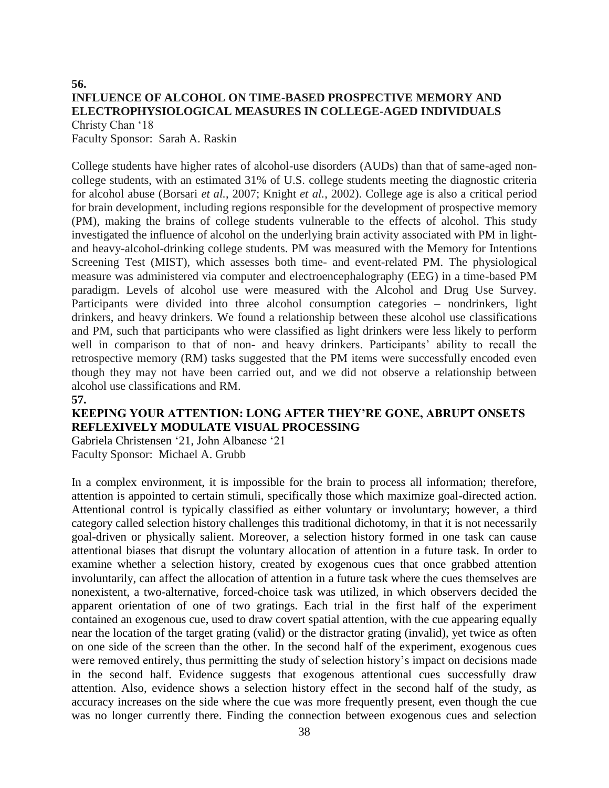# **56. INFLUENCE OF ALCOHOL ON TIME-BASED PROSPECTIVE MEMORY AND ELECTROPHYSIOLOGICAL MEASURES IN COLLEGE-AGED INDIVIDUALS** Christy Chan '18

Faculty Sponsor: Sarah A. Raskin

College students have higher rates of alcohol-use disorders (AUDs) than that of same-aged noncollege students, with an estimated 31% of U.S. college students meeting the diagnostic criteria for alcohol abuse (Borsari *et al.*, 2007; Knight *et al.*, 2002). College age is also a critical period for brain development, including regions responsible for the development of prospective memory (PM), making the brains of college students vulnerable to the effects of alcohol. This study investigated the influence of alcohol on the underlying brain activity associated with PM in lightand heavy-alcohol-drinking college students. PM was measured with the Memory for Intentions Screening Test (MIST), which assesses both time- and event-related PM. The physiological measure was administered via computer and electroencephalography (EEG) in a time-based PM paradigm. Levels of alcohol use were measured with the Alcohol and Drug Use Survey. Participants were divided into three alcohol consumption categories – nondrinkers, light drinkers, and heavy drinkers. We found a relationship between these alcohol use classifications and PM, such that participants who were classified as light drinkers were less likely to perform well in comparison to that of non- and heavy drinkers. Participants' ability to recall the retrospective memory (RM) tasks suggested that the PM items were successfully encoded even though they may not have been carried out, and we did not observe a relationship between alcohol use classifications and RM.

#### **57.**

# **KEEPING YOUR ATTENTION: LONG AFTER THEY'RE GONE, ABRUPT ONSETS REFLEXIVELY MODULATE VISUAL PROCESSING**

Gabriela Christensen '21, John Albanese '21 Faculty Sponsor: Michael A. Grubb

In a complex environment, it is impossible for the brain to process all information; therefore, attention is appointed to certain stimuli, specifically those which maximize goal-directed action. Attentional control is typically classified as either voluntary or involuntary; however, a third category called selection history challenges this traditional dichotomy, in that it is not necessarily goal-driven or physically salient. Moreover, a selection history formed in one task can cause attentional biases that disrupt the voluntary allocation of attention in a future task. In order to examine whether a selection history, created by exogenous cues that once grabbed attention involuntarily, can affect the allocation of attention in a future task where the cues themselves are nonexistent, a two-alternative, forced-choice task was utilized, in which observers decided the apparent orientation of one of two gratings. Each trial in the first half of the experiment contained an exogenous cue, used to draw covert spatial attention, with the cue appearing equally near the location of the target grating (valid) or the distractor grating (invalid), yet twice as often on one side of the screen than the other. In the second half of the experiment, exogenous cues were removed entirely, thus permitting the study of selection history's impact on decisions made in the second half. Evidence suggests that exogenous attentional cues successfully draw attention. Also, evidence shows a selection history effect in the second half of the study, as accuracy increases on the side where the cue was more frequently present, even though the cue was no longer currently there. Finding the connection between exogenous cues and selection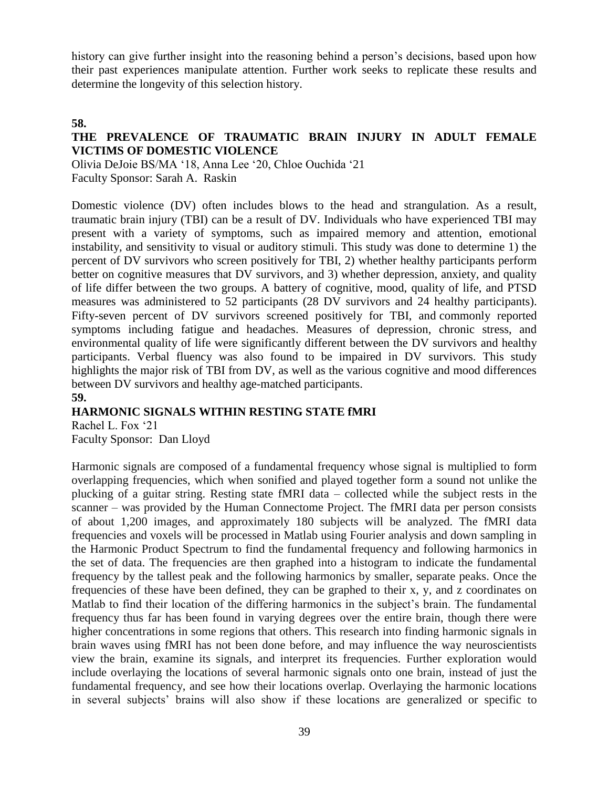history can give further insight into the reasoning behind a person's decisions, based upon how their past experiences manipulate attention. Further work seeks to replicate these results and determine the longevity of this selection history.

# **58.**

# **THE PREVALENCE OF TRAUMATIC BRAIN INJURY IN ADULT FEMALE VICTIMS OF DOMESTIC VIOLENCE**

Olivia DeJoie BS/MA '18, Anna Lee '20, Chloe Ouchida '21 Faculty Sponsor: Sarah A. Raskin

Domestic violence (DV) often includes blows to the head and strangulation. As a result, traumatic brain injury (TBI) can be a result of DV. Individuals who have experienced TBI may present with a variety of symptoms, such as impaired memory and attention, emotional instability, and sensitivity to visual or auditory stimuli. This study was done to determine 1) the percent of DV survivors who screen positively for TBI, 2) whether healthy participants perform better on cognitive measures that DV survivors, and 3) whether depression, anxiety, and quality of life differ between the two groups. A battery of cognitive, mood, quality of life, and PTSD measures was administered to 52 participants (28 DV survivors and 24 healthy participants). Fifty-seven percent of DV survivors screened positively for TBI, and commonly reported symptoms including fatigue and headaches. Measures of depression, chronic stress, and environmental quality of life were significantly different between the DV survivors and healthy participants. Verbal fluency was also found to be impaired in DV survivors. This study highlights the major risk of TBI from DV, as well as the various cognitive and mood differences between DV survivors and healthy age-matched participants. **59.**

# **HARMONIC SIGNALS WITHIN RESTING STATE fMRI**

Rachel L. Fox '21 Faculty Sponsor: Dan Lloyd

Harmonic signals are composed of a fundamental frequency whose signal is multiplied to form overlapping frequencies, which when sonified and played together form a sound not unlike the plucking of a guitar string. Resting state fMRI data – collected while the subject rests in the scanner – was provided by the Human Connectome Project. The fMRI data per person consists of about 1,200 images, and approximately 180 subjects will be analyzed. The fMRI data frequencies and voxels will be processed in Matlab using Fourier analysis and down sampling in the Harmonic Product Spectrum to find the fundamental frequency and following harmonics in the set of data. The frequencies are then graphed into a histogram to indicate the fundamental frequency by the tallest peak and the following harmonics by smaller, separate peaks. Once the frequencies of these have been defined, they can be graphed to their x, y, and z coordinates on Matlab to find their location of the differing harmonics in the subject's brain. The fundamental frequency thus far has been found in varying degrees over the entire brain, though there were higher concentrations in some regions that others. This research into finding harmonic signals in brain waves using fMRI has not been done before, and may influence the way neuroscientists view the brain, examine its signals, and interpret its frequencies. Further exploration would include overlaying the locations of several harmonic signals onto one brain, instead of just the fundamental frequency, and see how their locations overlap. Overlaying the harmonic locations in several subjects' brains will also show if these locations are generalized or specific to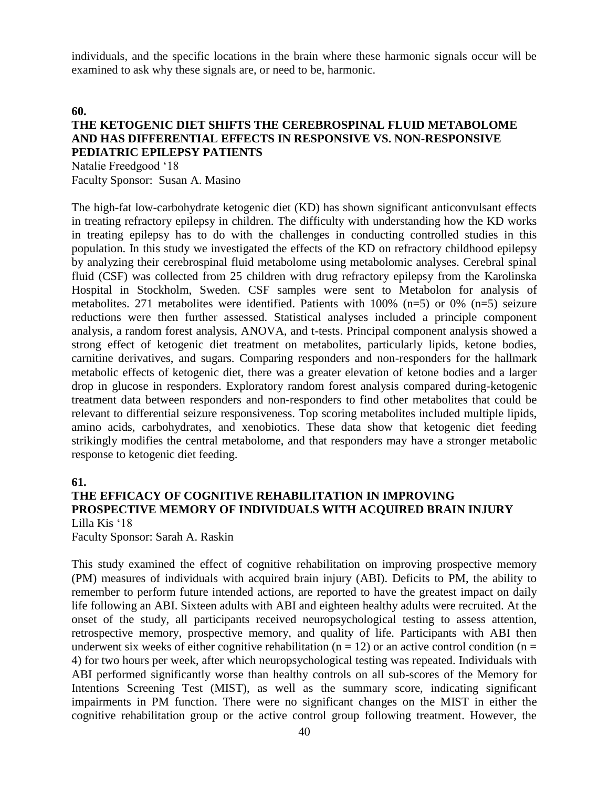individuals, and the specific locations in the brain where these harmonic signals occur will be examined to ask why these signals are, or need to be, harmonic.

#### **60.**

# **THE KETOGENIC DIET SHIFTS THE CEREBROSPINAL FLUID METABOLOME AND HAS DIFFERENTIAL EFFECTS IN RESPONSIVE VS. NON-RESPONSIVE PEDIATRIC EPILEPSY PATIENTS**

Natalie Freedgood '18 Faculty Sponsor: Susan A. Masino

The high-fat low-carbohydrate ketogenic diet (KD) has shown significant anticonvulsant effects in treating refractory epilepsy in children. The difficulty with understanding how the KD works in treating epilepsy has to do with the challenges in conducting controlled studies in this population. In this study we investigated the effects of the KD on refractory childhood epilepsy by analyzing their cerebrospinal fluid metabolome using metabolomic analyses. Cerebral spinal fluid (CSF) was collected from 25 children with drug refractory epilepsy from the Karolinska Hospital in Stockholm, Sweden. CSF samples were sent to Metabolon for analysis of metabolites. 271 metabolites were identified. Patients with 100% (n=5) or 0% (n=5) seizure reductions were then further assessed. Statistical analyses included a principle component analysis, a random forest analysis, ANOVA, and t-tests. Principal component analysis showed a strong effect of ketogenic diet treatment on metabolites, particularly lipids, ketone bodies, carnitine derivatives, and sugars. Comparing responders and non-responders for the hallmark metabolic effects of ketogenic diet, there was a greater elevation of ketone bodies and a larger drop in glucose in responders. Exploratory random forest analysis compared during-ketogenic treatment data between responders and non-responders to find other metabolites that could be relevant to differential seizure responsiveness. Top scoring metabolites included multiple lipids, amino acids, carbohydrates, and xenobiotics. These data show that ketogenic diet feeding strikingly modifies the central metabolome, and that responders may have a stronger metabolic response to ketogenic diet feeding.

#### **61.**

#### **THE EFFICACY OF COGNITIVE REHABILITATION IN IMPROVING PROSPECTIVE MEMORY OF INDIVIDUALS WITH ACQUIRED BRAIN INJURY** Lilla Kis '18

Faculty Sponsor: Sarah A. Raskin

This study examined the effect of cognitive rehabilitation on improving prospective memory (PM) measures of individuals with acquired brain injury (ABI). Deficits to PM, the ability to remember to perform future intended actions, are reported to have the greatest impact on daily life following an ABI. Sixteen adults with ABI and eighteen healthy adults were recruited. At the onset of the study, all participants received neuropsychological testing to assess attention, retrospective memory, prospective memory, and quality of life. Participants with ABI then underwent six weeks of either cognitive rehabilitation ( $n = 12$ ) or an active control condition ( $n =$ 4) for two hours per week, after which neuropsychological testing was repeated. Individuals with ABI performed significantly worse than healthy controls on all sub-scores of the Memory for Intentions Screening Test (MIST), as well as the summary score, indicating significant impairments in PM function. There were no significant changes on the MIST in either the cognitive rehabilitation group or the active control group following treatment. However, the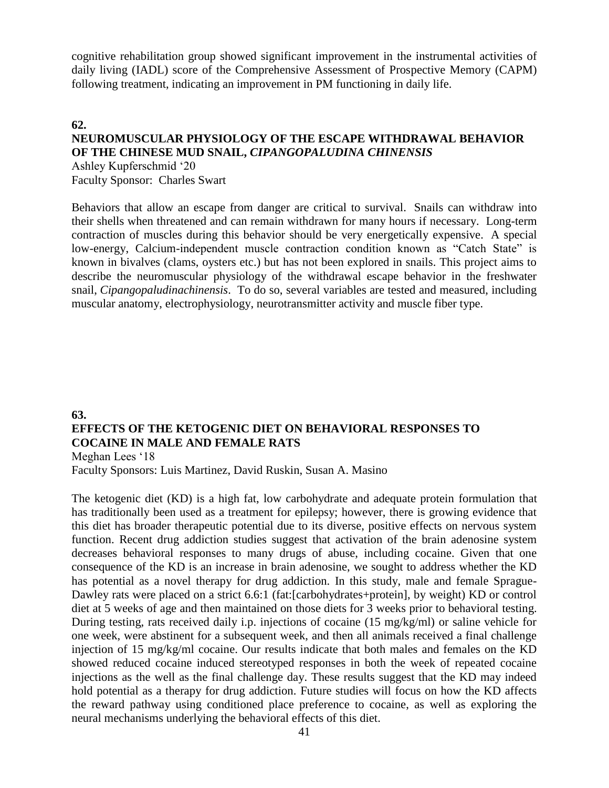cognitive rehabilitation group showed significant improvement in the instrumental activities of daily living (IADL) score of the Comprehensive Assessment of Prospective Memory (CAPM) following treatment, indicating an improvement in PM functioning in daily life.

# **62. NEUROMUSCULAR PHYSIOLOGY OF THE ESCAPE WITHDRAWAL BEHAVIOR OF THE CHINESE MUD SNAIL,** *CIPANGOPALUDINA CHINENSIS*

Ashley Kupferschmid '20 Faculty Sponsor: Charles Swart

Behaviors that allow an escape from danger are critical to survival. Snails can withdraw into their shells when threatened and can remain withdrawn for many hours if necessary. Long-term contraction of muscles during this behavior should be very energetically expensive. A special low-energy, Calcium-independent muscle contraction condition known as "Catch State" is known in bivalves (clams, oysters etc.) but has not been explored in snails. This project aims to describe the neuromuscular physiology of the withdrawal escape behavior in the freshwater snail, *Cipangopaludinachinensis*. To do so, several variables are tested and measured, including muscular anatomy, electrophysiology, neurotransmitter activity and muscle fiber type.

# **63. EFFECTS OF THE KETOGENIC DIET ON BEHAVIORAL RESPONSES TO COCAINE IN MALE AND FEMALE RATS** Meghan Lees '18

Faculty Sponsors: Luis Martinez, David Ruskin, Susan A. Masino

The ketogenic diet (KD) is a high fat, low carbohydrate and adequate protein formulation that has traditionally been used as a treatment for epilepsy; however, there is growing evidence that this diet has broader therapeutic potential due to its diverse, positive effects on nervous system function. Recent drug addiction studies suggest that activation of the brain adenosine system decreases behavioral responses to many drugs of abuse, including cocaine. Given that one consequence of the KD is an increase in brain adenosine, we sought to address whether the KD has potential as a novel therapy for drug addiction. In this study, male and female Sprague-Dawley rats were placed on a strict 6.6:1 (fat:[carbohydrates+protein], by weight) KD or control diet at 5 weeks of age and then maintained on those diets for 3 weeks prior to behavioral testing. During testing, rats received daily i.p. injections of cocaine (15 mg/kg/ml) or saline vehicle for one week, were abstinent for a subsequent week, and then all animals received a final challenge injection of 15 mg/kg/ml cocaine. Our results indicate that both males and females on the KD showed reduced cocaine induced stereotyped responses in both the week of repeated cocaine injections as the well as the final challenge day. These results suggest that the KD may indeed hold potential as a therapy for drug addiction. Future studies will focus on how the KD affects the reward pathway using conditioned place preference to cocaine, as well as exploring the neural mechanisms underlying the behavioral effects of this diet.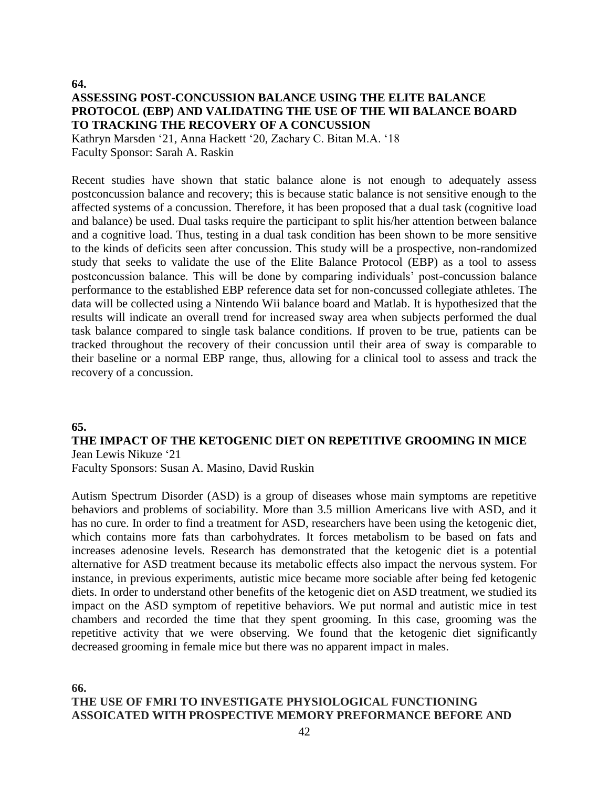**64.**

# **ASSESSING POST-CONCUSSION BALANCE USING THE ELITE BALANCE PROTOCOL (EBP) AND VALIDATING THE USE OF THE WII BALANCE BOARD TO TRACKING THE RECOVERY OF A CONCUSSION**

Kathryn Marsden '21, Anna Hackett '20, Zachary C. Bitan M.A. '18 Faculty Sponsor: Sarah A. Raskin

Recent studies have shown that static balance alone is not enough to adequately assess postconcussion balance and recovery; this is because static balance is not sensitive enough to the affected systems of a concussion. Therefore, it has been proposed that a dual task (cognitive load and balance) be used. Dual tasks require the participant to split his/her attention between balance and a cognitive load. Thus, testing in a dual task condition has been shown to be more sensitive to the kinds of deficits seen after concussion. This study will be a prospective, non-randomized study that seeks to validate the use of the Elite Balance Protocol (EBP) as a tool to assess postconcussion balance. This will be done by comparing individuals' post-concussion balance performance to the established EBP reference data set for non-concussed collegiate athletes. The data will be collected using a Nintendo Wii balance board and Matlab. It is hypothesized that the results will indicate an overall trend for increased sway area when subjects performed the dual task balance compared to single task balance conditions. If proven to be true, patients can be tracked throughout the recovery of their concussion until their area of sway is comparable to their baseline or a normal EBP range, thus, allowing for a clinical tool to assess and track the recovery of a concussion.

# **65.**

# **THE IMPACT OF THE KETOGENIC DIET ON REPETITIVE GROOMING IN MICE** Jean Lewis Nikuze '21

Faculty Sponsors: Susan A. Masino, David Ruskin

Autism Spectrum Disorder (ASD) is a group of diseases whose main symptoms are repetitive behaviors and problems of sociability. More than 3.5 million Americans live with ASD, and it has no cure. In order to find a treatment for ASD, researchers have been using the ketogenic diet, which contains more fats than carbohydrates. It forces metabolism to be based on fats and increases adenosine levels. Research has demonstrated that the ketogenic diet is a potential alternative for ASD treatment because its metabolic effects also impact the nervous system. For instance, in previous experiments, autistic mice became more sociable after being fed ketogenic diets. In order to understand other benefits of the ketogenic diet on ASD treatment, we studied its impact on the ASD symptom of repetitive behaviors. We put normal and autistic mice in test chambers and recorded the time that they spent grooming. In this case, grooming was the repetitive activity that we were observing. We found that the ketogenic diet significantly decreased grooming in female mice but there was no apparent impact in males.

# **66. THE USE OF FMRI TO INVESTIGATE PHYSIOLOGICAL FUNCTIONING ASSOICATED WITH PROSPECTIVE MEMORY PREFORMANCE BEFORE AND**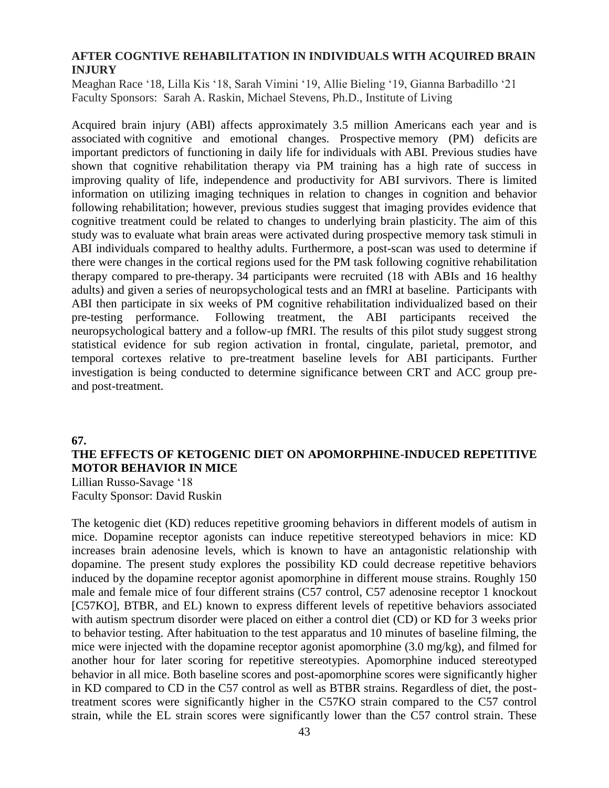# **AFTER COGNTIVE REHABILITATION IN INDIVIDUALS WITH ACQUIRED BRAIN INJURY**

Meaghan Race '18, Lilla Kis '18, Sarah Vimini '19, Allie Bieling '19, Gianna Barbadillo '21 Faculty Sponsors: Sarah A. Raskin, Michael Stevens, Ph.D., Institute of Living

Acquired brain injury (ABI) affects approximately 3.5 million Americans each year and is associated with cognitive and emotional changes. Prospective memory (PM) deficits are important predictors of functioning in daily life for individuals with ABI. Previous studies have shown that cognitive rehabilitation therapy via PM training has a high rate of success in improving quality of life, independence and productivity for ABI survivors. There is limited information on utilizing imaging techniques in relation to changes in cognition and behavior following rehabilitation; however, previous studies suggest that imaging provides evidence that cognitive treatment could be related to changes to underlying brain plasticity. The aim of this study was to evaluate what brain areas were activated during prospective memory task stimuli in ABI individuals compared to healthy adults. Furthermore, a post-scan was used to determine if there were changes in the cortical regions used for the PM task following cognitive rehabilitation therapy compared to pre-therapy. 34 participants were recruited (18 with ABIs and 16 healthy adults) and given a series of neuropsychological tests and an fMRI at baseline. Participants with ABI then participate in six weeks of PM cognitive rehabilitation individualized based on their pre-testing performance. Following treatment, the ABI participants received the neuropsychological battery and a follow-up fMRI. The results of this pilot study suggest strong statistical evidence for sub region activation in frontal, cingulate, parietal, premotor, and temporal cortexes relative to pre-treatment baseline levels for ABI participants. Further investigation is being conducted to determine significance between CRT and ACC group preand post-treatment.

#### **67.**

# **THE EFFECTS OF KETOGENIC DIET ON APOMORPHINE-INDUCED REPETITIVE MOTOR BEHAVIOR IN MICE**

Lillian Russo-Savage '18 Faculty Sponsor: David Ruskin

The ketogenic diet (KD) reduces repetitive grooming behaviors in different models of autism in mice. Dopamine receptor agonists can induce repetitive stereotyped behaviors in mice: KD increases brain adenosine levels, which is known to have an antagonistic relationship with dopamine. The present study explores the possibility KD could decrease repetitive behaviors induced by the dopamine receptor agonist apomorphine in different mouse strains. Roughly 150 male and female mice of four different strains (C57 control, C57 adenosine receptor 1 knockout [C57KO], BTBR, and EL) known to express different levels of repetitive behaviors associated with autism spectrum disorder were placed on either a control diet (CD) or KD for 3 weeks prior to behavior testing. After habituation to the test apparatus and 10 minutes of baseline filming, the mice were injected with the dopamine receptor agonist apomorphine (3.0 mg/kg), and filmed for another hour for later scoring for repetitive stereotypies. Apomorphine induced stereotyped behavior in all mice. Both baseline scores and post-apomorphine scores were significantly higher in KD compared to CD in the C57 control as well as BTBR strains. Regardless of diet, the posttreatment scores were significantly higher in the C57KO strain compared to the C57 control strain, while the EL strain scores were significantly lower than the C57 control strain. These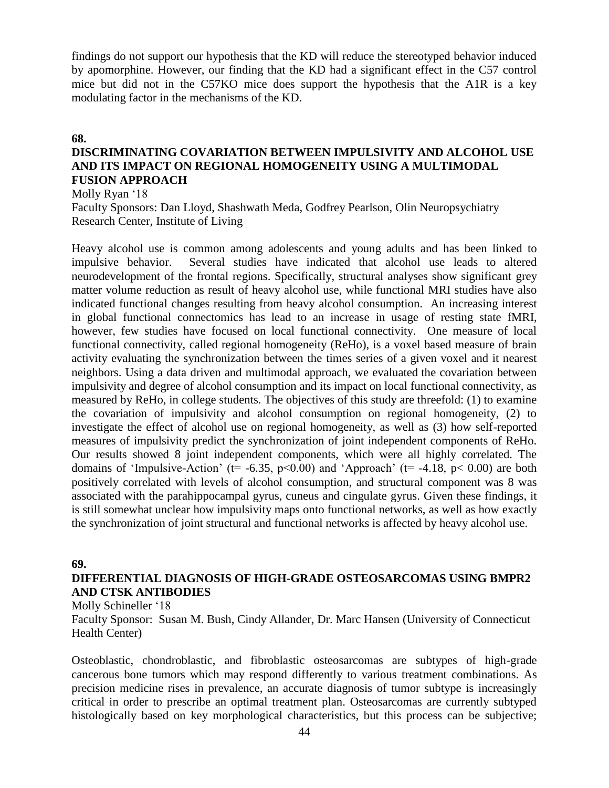findings do not support our hypothesis that the KD will reduce the stereotyped behavior induced by apomorphine. However, our finding that the KD had a significant effect in the C57 control mice but did not in the C57KO mice does support the hypothesis that the A1R is a key modulating factor in the mechanisms of the KD.

### **68.**

# **DISCRIMINATING COVARIATION BETWEEN IMPULSIVITY AND ALCOHOL USE AND ITS IMPACT ON REGIONAL HOMOGENEITY USING A MULTIMODAL FUSION APPROACH**

Molly Ryan '18

Faculty Sponsors: Dan Lloyd, Shashwath Meda, Godfrey Pearlson, Olin Neuropsychiatry Research Center, Institute of Living

Heavy alcohol use is common among adolescents and young adults and has been linked to impulsive behavior. Several studies have indicated that alcohol use leads to altered neurodevelopment of the frontal regions. Specifically, structural analyses show significant grey matter volume reduction as result of heavy alcohol use, while functional MRI studies have also indicated functional changes resulting from heavy alcohol consumption. An increasing interest in global functional connectomics has lead to an increase in usage of resting state fMRI, however, few studies have focused on local functional connectivity. One measure of local functional connectivity, called regional homogeneity (ReHo), is a voxel based measure of brain activity evaluating the synchronization between the times series of a given voxel and it nearest neighbors. Using a data driven and multimodal approach, we evaluated the covariation between impulsivity and degree of alcohol consumption and its impact on local functional connectivity, as measured by ReHo, in college students. The objectives of this study are threefold: (1) to examine the covariation of impulsivity and alcohol consumption on regional homogeneity, (2) to investigate the effect of alcohol use on regional homogeneity, as well as (3) how self-reported measures of impulsivity predict the synchronization of joint independent components of ReHo. Our results showed 8 joint independent components, which were all highly correlated. The domains of 'Impulsive-Action' ( $t = -6.35$ ,  $p < 0.00$ ) and 'Approach' ( $t = -4.18$ ,  $p < 0.00$ ) are both positively correlated with levels of alcohol consumption, and structural component was 8 was associated with the parahippocampal gyrus, cuneus and cingulate gyrus. Given these findings, it is still somewhat unclear how impulsivity maps onto functional networks, as well as how exactly the synchronization of joint structural and functional networks is affected by heavy alcohol use.

#### **69.**

# **DIFFERENTIAL DIAGNOSIS OF HIGH-GRADE OSTEOSARCOMAS USING BMPR2 AND CTSK ANTIBODIES**

Molly Schineller '18

Faculty Sponsor: Susan M. Bush, Cindy Allander, Dr. Marc Hansen (University of Connecticut Health Center)

Osteoblastic, chondroblastic, and fibroblastic osteosarcomas are subtypes of high-grade cancerous bone tumors which may respond differently to various treatment combinations. As precision medicine rises in prevalence, an accurate diagnosis of tumor subtype is increasingly critical in order to prescribe an optimal treatment plan. Osteosarcomas are currently subtyped histologically based on key morphological characteristics, but this process can be subjective;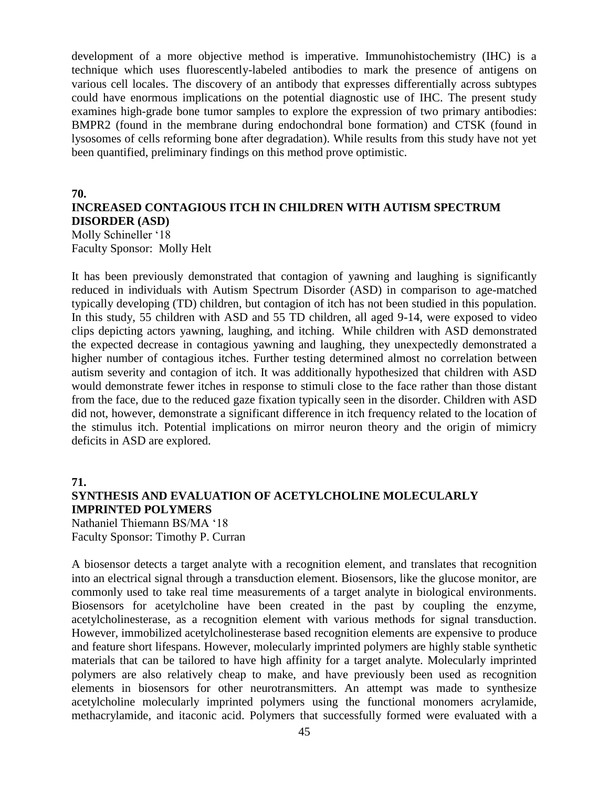development of a more objective method is imperative. Immunohistochemistry (IHC) is a technique which uses fluorescently-labeled antibodies to mark the presence of antigens on various cell locales. The discovery of an antibody that expresses differentially across subtypes could have enormous implications on the potential diagnostic use of IHC. The present study examines high-grade bone tumor samples to explore the expression of two primary antibodies: BMPR2 (found in the membrane during endochondral bone formation) and CTSK (found in lysosomes of cells reforming bone after degradation). While results from this study have not yet been quantified, preliminary findings on this method prove optimistic.

#### **70.**

# **INCREASED CONTAGIOUS ITCH IN CHILDREN WITH AUTISM SPECTRUM DISORDER (ASD)**

Molly Schineller '18 Faculty Sponsor: Molly Helt

It has been previously demonstrated that contagion of yawning and laughing is significantly reduced in individuals with Autism Spectrum Disorder (ASD) in comparison to age-matched typically developing (TD) children, but contagion of itch has not been studied in this population. In this study, 55 children with ASD and 55 TD children, all aged 9-14, were exposed to video clips depicting actors yawning, laughing, and itching. While children with ASD demonstrated the expected decrease in contagious yawning and laughing, they unexpectedly demonstrated a higher number of contagious itches. Further testing determined almost no correlation between autism severity and contagion of itch. It was additionally hypothesized that children with ASD would demonstrate fewer itches in response to stimuli close to the face rather than those distant from the face, due to the reduced gaze fixation typically seen in the disorder. Children with ASD did not, however, demonstrate a significant difference in itch frequency related to the location of the stimulus itch. Potential implications on mirror neuron theory and the origin of mimicry deficits in ASD are explored.

#### **71.**

# **SYNTHESIS AND EVALUATION OF ACETYLCHOLINE MOLECULARLY IMPRINTED POLYMERS**

Nathaniel Thiemann BS/MA '18 Faculty Sponsor: Timothy P. Curran

A biosensor detects a target analyte with a recognition element, and translates that recognition into an electrical signal through a transduction element. Biosensors, like the glucose monitor, are commonly used to take real time measurements of a target analyte in biological environments. Biosensors for acetylcholine have been created in the past by coupling the enzyme, acetylcholinesterase, as a recognition element with various methods for signal transduction. However, immobilized acetylcholinesterase based recognition elements are expensive to produce and feature short lifespans. However, molecularly imprinted polymers are highly stable synthetic materials that can be tailored to have high affinity for a target analyte. Molecularly imprinted polymers are also relatively cheap to make, and have previously been used as recognition elements in biosensors for other neurotransmitters. An attempt was made to synthesize acetylcholine molecularly imprinted polymers using the functional monomers acrylamide, methacrylamide, and itaconic acid. Polymers that successfully formed were evaluated with a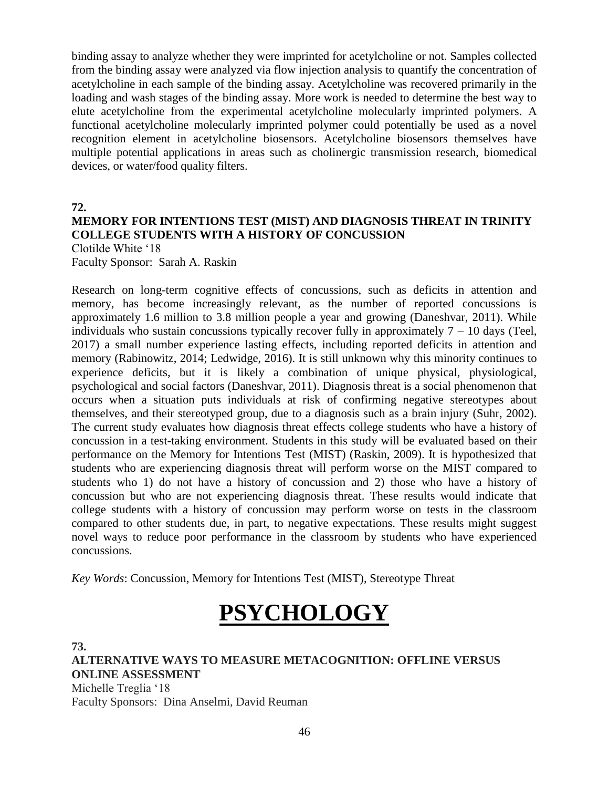binding assay to analyze whether they were imprinted for acetylcholine or not. Samples collected from the binding assay were analyzed via flow injection analysis to quantify the concentration of acetylcholine in each sample of the binding assay. Acetylcholine was recovered primarily in the loading and wash stages of the binding assay. More work is needed to determine the best way to elute acetylcholine from the experimental acetylcholine molecularly imprinted polymers. A functional acetylcholine molecularly imprinted polymer could potentially be used as a novel recognition element in acetylcholine biosensors. Acetylcholine biosensors themselves have multiple potential applications in areas such as cholinergic transmission research, biomedical devices, or water/food quality filters.

**72.**

# **MEMORY FOR INTENTIONS TEST (MIST) AND DIAGNOSIS THREAT IN TRINITY COLLEGE STUDENTS WITH A HISTORY OF CONCUSSION**

Clotilde White '18 Faculty Sponsor: Sarah A. Raskin

Research on long-term cognitive effects of concussions, such as deficits in attention and memory, has become increasingly relevant, as the number of reported concussions is approximately 1.6 million to 3.8 million people a year and growing (Daneshvar, 2011). While individuals who sustain concussions typically recover fully in approximately  $7 - 10$  days (Teel, 2017) a small number experience lasting effects, including reported deficits in attention and memory (Rabinowitz, 2014; Ledwidge, 2016). It is still unknown why this minority continues to experience deficits, but it is likely a combination of unique physical, physiological, psychological and social factors (Daneshvar, 2011). Diagnosis threat is a social phenomenon that occurs when a situation puts individuals at risk of confirming negative stereotypes about themselves, and their stereotyped group, due to a diagnosis such as a brain injury (Suhr, 2002). The current study evaluates how diagnosis threat effects college students who have a history of concussion in a test-taking environment. Students in this study will be evaluated based on their performance on the Memory for Intentions Test (MIST) (Raskin, 2009). It is hypothesized that students who are experiencing diagnosis threat will perform worse on the MIST compared to students who 1) do not have a history of concussion and 2) those who have a history of concussion but who are not experiencing diagnosis threat. These results would indicate that college students with a history of concussion may perform worse on tests in the classroom compared to other students due, in part, to negative expectations. These results might suggest novel ways to reduce poor performance in the classroom by students who have experienced concussions.

*Key Words*: Concussion, Memory for Intentions Test (MIST), Stereotype Threat

# **PSYCHOLOGY**

**73.**

**ALTERNATIVE WAYS TO MEASURE METACOGNITION: OFFLINE VERSUS ONLINE ASSESSMENT** Michelle Treglia '18 Faculty Sponsors: Dina Anselmi, David Reuman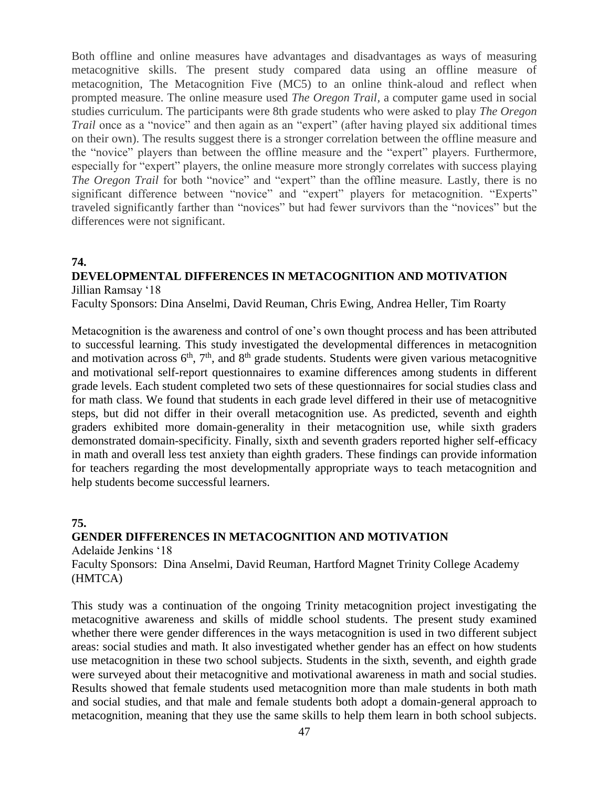Both offline and online measures have advantages and disadvantages as ways of measuring metacognitive skills. The present study compared data using an offline measure of metacognition, The Metacognition Five (MC5) to an online think-aloud and reflect when prompted measure. The online measure used *The Oregon Trail,* a computer game used in social studies curriculum. The participants were 8th grade students who were asked to play *The Oregon Trail* once as a "novice" and then again as an "expert" (after having played six additional times on their own). The results suggest there is a stronger correlation between the offline measure and the "novice" players than between the offline measure and the "expert" players. Furthermore, especially for "expert" players, the online measure more strongly correlates with success playing *The Oregon Trail* for both "novice" and "expert" than the offline measure. Lastly, there is no significant difference between "novice" and "expert" players for metacognition. "Experts" traveled significantly farther than "novices" but had fewer survivors than the "novices" but the differences were not significant.

# **74.**

# **DEVELOPMENTAL DIFFERENCES IN METACOGNITION AND MOTIVATION**

Jillian Ramsay '18

Faculty Sponsors: Dina Anselmi, David Reuman, Chris Ewing, Andrea Heller, Tim Roarty

Metacognition is the awareness and control of one's own thought process and has been attributed to successful learning. This study investigated the developmental differences in metacognition and motivation across  $6<sup>th</sup>$ ,  $7<sup>th</sup>$ , and  $8<sup>th</sup>$  grade students. Students were given various metacognitive and motivational self-report questionnaires to examine differences among students in different grade levels. Each student completed two sets of these questionnaires for social studies class and for math class. We found that students in each grade level differed in their use of metacognitive steps, but did not differ in their overall metacognition use. As predicted, seventh and eighth graders exhibited more domain-generality in their metacognition use, while sixth graders demonstrated domain-specificity. Finally, sixth and seventh graders reported higher self-efficacy in math and overall less test anxiety than eighth graders. These findings can provide information for teachers regarding the most developmentally appropriate ways to teach metacognition and help students become successful learners.

# **75.**

# **GENDER DIFFERENCES IN METACOGNITION AND MOTIVATION**

Adelaide Jenkins '18 Faculty Sponsors: Dina Anselmi, David Reuman, Hartford Magnet Trinity College Academy (HMTCA)

This study was a continuation of the ongoing Trinity metacognition project investigating the metacognitive awareness and skills of middle school students. The present study examined whether there were gender differences in the ways metacognition is used in two different subject areas: social studies and math. It also investigated whether gender has an effect on how students use metacognition in these two school subjects. Students in the sixth, seventh, and eighth grade were surveyed about their metacognitive and motivational awareness in math and social studies. Results showed that female students used metacognition more than male students in both math and social studies, and that male and female students both adopt a domain-general approach to metacognition, meaning that they use the same skills to help them learn in both school subjects.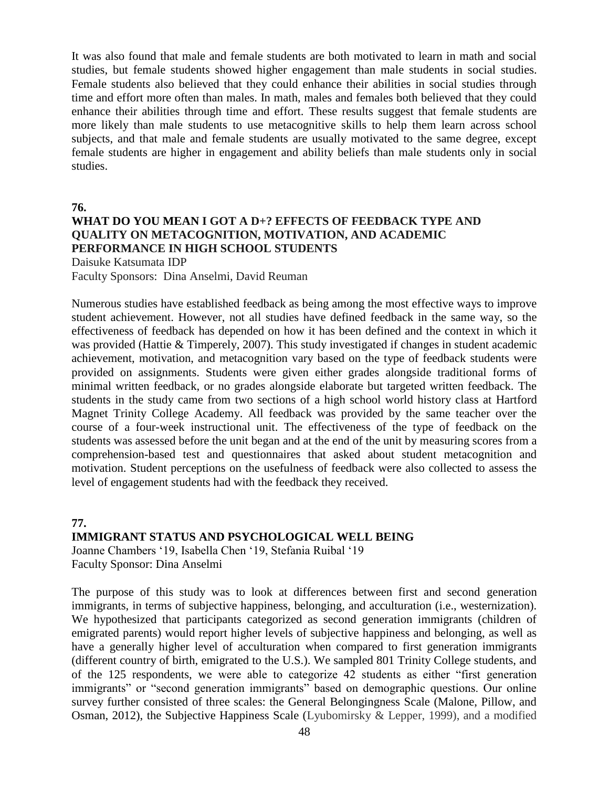It was also found that male and female students are both motivated to learn in math and social studies, but female students showed higher engagement than male students in social studies. Female students also believed that they could enhance their abilities in social studies through time and effort more often than males. In math, males and females both believed that they could enhance their abilities through time and effort. These results suggest that female students are more likely than male students to use metacognitive skills to help them learn across school subjects, and that male and female students are usually motivated to the same degree, except female students are higher in engagement and ability beliefs than male students only in social studies.

**76.**

# **WHAT DO YOU MEAN I GOT A D+? EFFECTS OF FEEDBACK TYPE AND QUALITY ON METACOGNITION, MOTIVATION, AND ACADEMIC PERFORMANCE IN HIGH SCHOOL STUDENTS**

Daisuke Katsumata IDP Faculty Sponsors: Dina Anselmi, David Reuman

Numerous studies have established feedback as being among the most effective ways to improve student achievement. However, not all studies have defined feedback in the same way, so the effectiveness of feedback has depended on how it has been defined and the context in which it was provided (Hattie & Timperely, 2007). This study investigated if changes in student academic achievement, motivation, and metacognition vary based on the type of feedback students were provided on assignments. Students were given either grades alongside traditional forms of minimal written feedback, or no grades alongside elaborate but targeted written feedback. The students in the study came from two sections of a high school world history class at Hartford Magnet Trinity College Academy. All feedback was provided by the same teacher over the course of a four-week instructional unit. The effectiveness of the type of feedback on the students was assessed before the unit began and at the end of the unit by measuring scores from a comprehension-based test and questionnaires that asked about student metacognition and motivation. Student perceptions on the usefulness of feedback were also collected to assess the level of engagement students had with the feedback they received.

# **77.**

# **IMMIGRANT STATUS AND PSYCHOLOGICAL WELL BEING**

Joanne Chambers '19, Isabella Chen '19, Stefania Ruibal '19 Faculty Sponsor: Dina Anselmi

The purpose of this study was to look at differences between first and second generation immigrants, in terms of subjective happiness, belonging, and acculturation (i.e., westernization). We hypothesized that participants categorized as second generation immigrants (children of emigrated parents) would report higher levels of subjective happiness and belonging, as well as have a generally higher level of acculturation when compared to first generation immigrants (different country of birth, emigrated to the U.S.). We sampled 801 Trinity College students, and of the 125 respondents, we were able to categorize 42 students as either "first generation immigrants" or "second generation immigrants" based on demographic questions. Our online survey further consisted of three scales: the General Belongingness Scale (Malone, Pillow, and Osman, 2012), the Subjective Happiness Scale (Lyubomirsky & Lepper, 1999), and a modified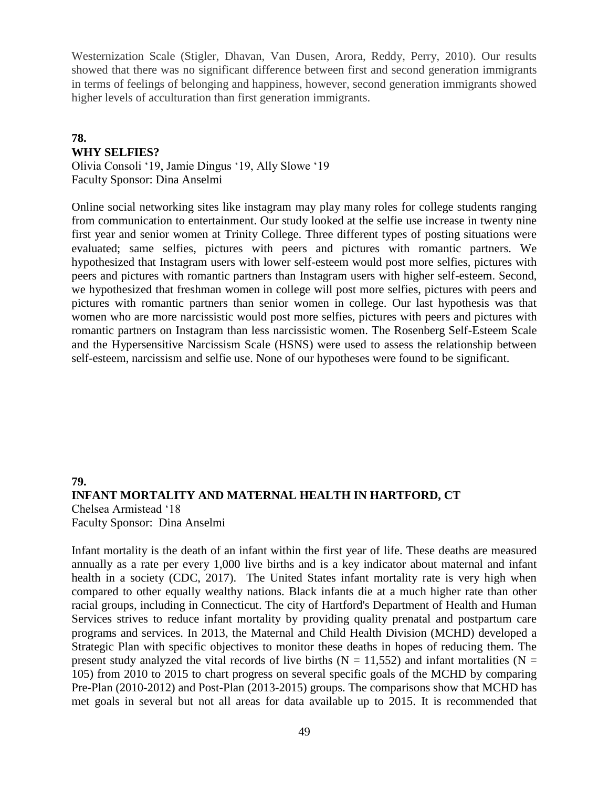Westernization Scale (Stigler, Dhavan, Van Dusen*,* Arora, Reddy, Perry, 2010). Our results showed that there was no significant difference between first and second generation immigrants in terms of feelings of belonging and happiness, however, second generation immigrants showed higher levels of acculturation than first generation immigrants.

# **78. WHY SELFIES?**

Olivia Consoli '19, Jamie Dingus '19, Ally Slowe '19 Faculty Sponsor: Dina Anselmi

Online social networking sites like instagram may play many roles for college students ranging from communication to entertainment. Our study looked at the selfie use increase in twenty nine first year and senior women at Trinity College. Three different types of posting situations were evaluated; same selfies, pictures with peers and pictures with romantic partners. We hypothesized that Instagram users with lower self-esteem would post more selfies, pictures with peers and pictures with romantic partners than Instagram users with higher self-esteem. Second, we hypothesized that freshman women in college will post more selfies, pictures with peers and pictures with romantic partners than senior women in college. Our last hypothesis was that women who are more narcissistic would post more selfies, pictures with peers and pictures with romantic partners on Instagram than less narcissistic women. The Rosenberg Self-Esteem Scale and the Hypersensitive Narcissism Scale (HSNS) were used to assess the relationship between self-esteem, narcissism and selfie use. None of our hypotheses were found to be significant.

# **79. INFANT MORTALITY AND MATERNAL HEALTH IN HARTFORD, CT** Chelsea Armistead '18 Faculty Sponsor: Dina Anselmi

Infant mortality is the death of an infant within the first year of life. These deaths are measured annually as a rate per every 1,000 live births and is a key indicator about maternal and infant health in a society (CDC, 2017). The United States infant mortality rate is very high when compared to other equally wealthy nations. Black infants die at a much higher rate than other racial groups, including in Connecticut. The city of Hartford's Department of Health and Human Services strives to reduce infant mortality by providing quality prenatal and postpartum care programs and services. In 2013, the Maternal and Child Health Division (MCHD) developed a Strategic Plan with specific objectives to monitor these deaths in hopes of reducing them. The present study analyzed the vital records of live births ( $N = 11,552$ ) and infant mortalities ( $N =$ 105) from 2010 to 2015 to chart progress on several specific goals of the MCHD by comparing Pre-Plan (2010-2012) and Post-Plan (2013-2015) groups. The comparisons show that MCHD has met goals in several but not all areas for data available up to 2015. It is recommended that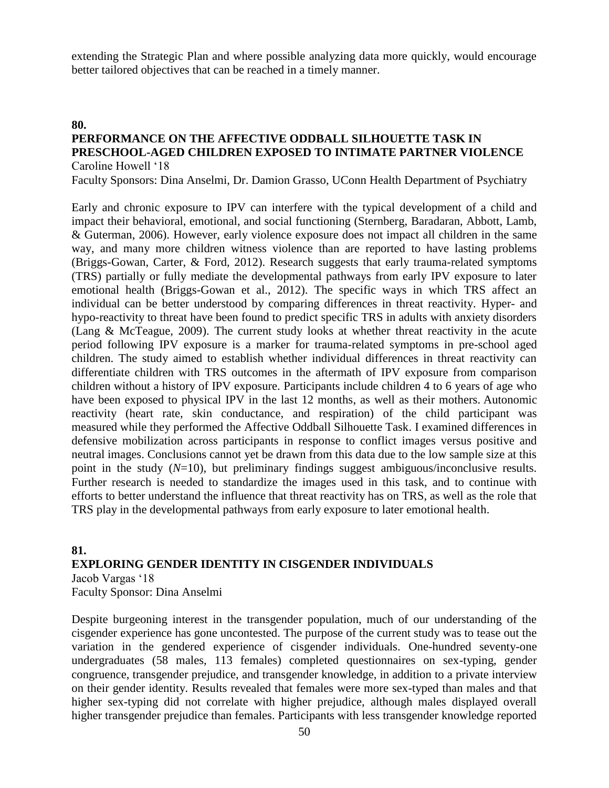extending the Strategic Plan and where possible analyzing data more quickly, would encourage better tailored objectives that can be reached in a timely manner.

#### **80.**

# **PERFORMANCE ON THE AFFECTIVE ODDBALL SILHOUETTE TASK IN PRESCHOOL-AGED CHILDREN EXPOSED TO INTIMATE PARTNER VIOLENCE** Caroline Howell '18

Faculty Sponsors: Dina Anselmi, Dr. Damion Grasso, UConn Health Department of Psychiatry

Early and chronic exposure to IPV can interfere with the typical development of a child and impact their behavioral, emotional, and social functioning (Sternberg, Baradaran, Abbott, Lamb, & Guterman, 2006). However, early violence exposure does not impact all children in the same way, and many more children witness violence than are reported to have lasting problems (Briggs-Gowan, Carter, & Ford, 2012). Research suggests that early trauma-related symptoms (TRS) partially or fully mediate the developmental pathways from early IPV exposure to later emotional health (Briggs-Gowan et al., 2012). The specific ways in which TRS affect an individual can be better understood by comparing differences in threat reactivity. Hyper- and hypo-reactivity to threat have been found to predict specific TRS in adults with anxiety disorders (Lang & McTeague, 2009). The current study looks at whether threat reactivity in the acute period following IPV exposure is a marker for trauma-related symptoms in pre-school aged children. The study aimed to establish whether individual differences in threat reactivity can differentiate children with TRS outcomes in the aftermath of IPV exposure from comparison children without a history of IPV exposure. Participants include children 4 to 6 years of age who have been exposed to physical IPV in the last 12 months, as well as their mothers. Autonomic reactivity (heart rate, skin conductance, and respiration) of the child participant was measured while they performed the Affective Oddball Silhouette Task. I examined differences in defensive mobilization across participants in response to conflict images versus positive and neutral images. Conclusions cannot yet be drawn from this data due to the low sample size at this point in the study (*N*=10), but preliminary findings suggest ambiguous/inconclusive results. Further research is needed to standardize the images used in this task, and to continue with efforts to better understand the influence that threat reactivity has on TRS, as well as the role that TRS play in the developmental pathways from early exposure to later emotional health.

# **81. EXPLORING GENDER IDENTITY IN CISGENDER INDIVIDUALS** Jacob Vargas '18

Faculty Sponsor: Dina Anselmi

Despite burgeoning interest in the transgender population, much of our understanding of the cisgender experience has gone uncontested. The purpose of the current study was to tease out the variation in the gendered experience of cisgender individuals. One-hundred seventy-one undergraduates (58 males, 113 females) completed questionnaires on sex-typing, gender congruence, transgender prejudice, and transgender knowledge, in addition to a private interview on their gender identity. Results revealed that females were more sex-typed than males and that higher sex-typing did not correlate with higher prejudice, although males displayed overall higher transgender prejudice than females. Participants with less transgender knowledge reported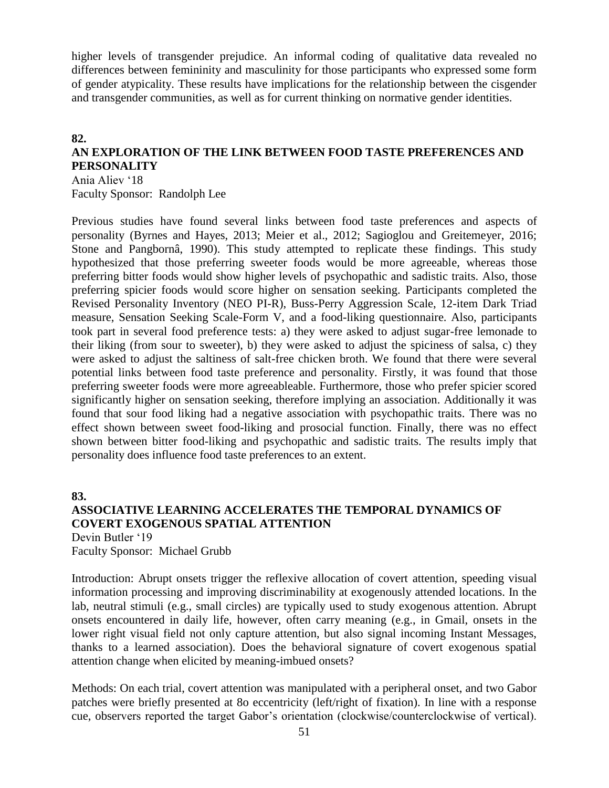higher levels of transgender prejudice. An informal coding of qualitative data revealed no differences between femininity and masculinity for those participants who expressed some form of gender atypicality. These results have implications for the relationship between the cisgender and transgender communities, as well as for current thinking on normative gender identities.

# **82. AN EXPLORATION OF THE LINK BETWEEN FOOD TASTE PREFERENCES AND PERSONALITY**

Ania Aliev '18 Faculty Sponsor: Randolph Lee

Previous studies have found several links between food taste preferences and aspects of personality (Byrnes and Hayes, 2013; Meier et al., 2012; Sagioglou and Greitemeyer, 2016; Stone and Pangbornâ, 1990). This study attempted to replicate these findings. This study hypothesized that those preferring sweeter foods would be more agreeable, whereas those preferring bitter foods would show higher levels of psychopathic and sadistic traits. Also, those preferring spicier foods would score higher on sensation seeking. Participants completed the Revised Personality Inventory (NEO PI-R), Buss-Perry Aggression Scale, 12-item Dark Triad measure, Sensation Seeking Scale-Form V, and a food-liking questionnaire. Also, participants took part in several food preference tests: a) they were asked to adjust sugar-free lemonade to their liking (from sour to sweeter), b) they were asked to adjust the spiciness of salsa, c) they were asked to adjust the saltiness of salt-free chicken broth. We found that there were several potential links between food taste preference and personality. Firstly, it was found that those preferring sweeter foods were more agreeableable. Furthermore, those who prefer spicier scored significantly higher on sensation seeking, therefore implying an association. Additionally it was found that sour food liking had a negative association with psychopathic traits. There was no effect shown between sweet food-liking and prosocial function. Finally, there was no effect shown between bitter food-liking and psychopathic and sadistic traits. The results imply that personality does influence food taste preferences to an extent.

**83.**

# **ASSOCIATIVE LEARNING ACCELERATES THE TEMPORAL DYNAMICS OF COVERT EXOGENOUS SPATIAL ATTENTION**

Devin Butler '19 Faculty Sponsor: Michael Grubb

Introduction: Abrupt onsets trigger the reflexive allocation of covert attention, speeding visual information processing and improving discriminability at exogenously attended locations. In the lab, neutral stimuli (e.g., small circles) are typically used to study exogenous attention. Abrupt onsets encountered in daily life, however, often carry meaning (e.g., in Gmail, onsets in the lower right visual field not only capture attention, but also signal incoming Instant Messages, thanks to a learned association). Does the behavioral signature of covert exogenous spatial attention change when elicited by meaning-imbued onsets?

Methods: On each trial, covert attention was manipulated with a peripheral onset, and two Gabor patches were briefly presented at 8o eccentricity (left/right of fixation). In line with a response cue, observers reported the target Gabor's orientation (clockwise/counterclockwise of vertical).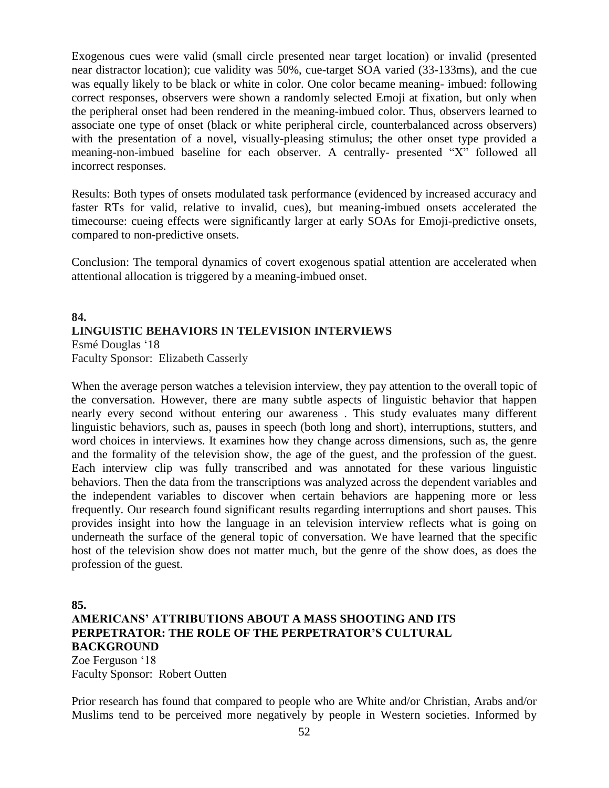Exogenous cues were valid (small circle presented near target location) or invalid (presented near distractor location); cue validity was 50%, cue-target SOA varied (33-133ms), and the cue was equally likely to be black or white in color. One color became meaning- imbued: following correct responses, observers were shown a randomly selected Emoji at fixation, but only when the peripheral onset had been rendered in the meaning-imbued color. Thus, observers learned to associate one type of onset (black or white peripheral circle, counterbalanced across observers) with the presentation of a novel, visually-pleasing stimulus; the other onset type provided a meaning-non-imbued baseline for each observer. A centrally- presented "X" followed all incorrect responses.

Results: Both types of onsets modulated task performance (evidenced by increased accuracy and faster RTs for valid, relative to invalid, cues), but meaning-imbued onsets accelerated the timecourse: cueing effects were significantly larger at early SOAs for Emoji-predictive onsets, compared to non-predictive onsets.

Conclusion: The temporal dynamics of covert exogenous spatial attention are accelerated when attentional allocation is triggered by a meaning-imbued onset.

### **84. LINGUISTIC BEHAVIORS IN TELEVISION INTERVIEWS** Esmé Douglas '18

Faculty Sponsor: Elizabeth Casserly

When the average person watches a television interview, they pay attention to the overall topic of the conversation. However, there are many subtle aspects of linguistic behavior that happen nearly every second without entering our awareness . This study evaluates many different linguistic behaviors, such as, pauses in speech (both long and short), interruptions, stutters, and word choices in interviews. It examines how they change across dimensions, such as, the genre and the formality of the television show, the age of the guest, and the profession of the guest. Each interview clip was fully transcribed and was annotated for these various linguistic behaviors. Then the data from the transcriptions was analyzed across the dependent variables and the independent variables to discover when certain behaviors are happening more or less frequently. Our research found significant results regarding interruptions and short pauses. This provides insight into how the language in an television interview reflects what is going on underneath the surface of the general topic of conversation. We have learned that the specific host of the television show does not matter much, but the genre of the show does, as does the profession of the guest.

# **85.**

# **AMERICANS' ATTRIBUTIONS ABOUT A MASS SHOOTING AND ITS PERPETRATOR: THE ROLE OF THE PERPETRATOR'S CULTURAL BACKGROUND**

Zoe Ferguson '18 Faculty Sponsor: Robert Outten

Prior research has found that compared to people who are White and/or Christian, Arabs and/or Muslims tend to be perceived more negatively by people in Western societies. Informed by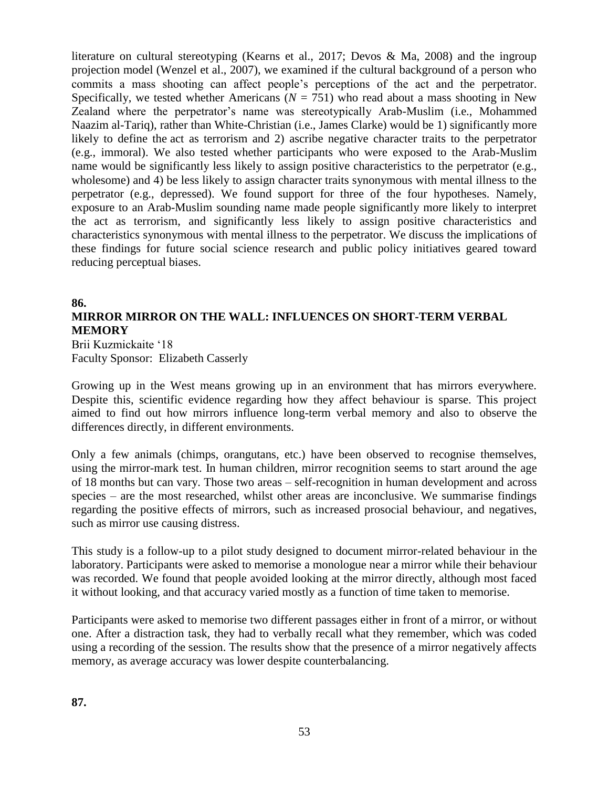literature on cultural stereotyping (Kearns et al., 2017; Devos & Ma, 2008) and the ingroup projection model (Wenzel et al., 2007), we examined if the cultural background of a person who commits a mass shooting can affect people's perceptions of the act and the perpetrator. Specifically, we tested whether Americans ( $N = 751$ ) who read about a mass shooting in New Zealand where the perpetrator's name was stereotypically Arab-Muslim (i.e., Mohammed Naazim al-Tariq), rather than White-Christian (i.e., James Clarke) would be 1) significantly more likely to define the act as terrorism and 2) ascribe negative character traits to the perpetrator (e.g., immoral). We also tested whether participants who were exposed to the Arab-Muslim name would be significantly less likely to assign positive characteristics to the perpetrator (e.g., wholesome) and 4) be less likely to assign character traits synonymous with mental illness to the perpetrator (e.g., depressed). We found support for three of the four hypotheses. Namely, exposure to an Arab-Muslim sounding name made people significantly more likely to interpret the act as terrorism, and significantly less likely to assign positive characteristics and characteristics synonymous with mental illness to the perpetrator. We discuss the implications of these findings for future social science research and public policy initiatives geared toward reducing perceptual biases.

#### **86.**

# **MIRROR MIRROR ON THE WALL: INFLUENCES ON SHORT-TERM VERBAL MEMORY**

Brii Kuzmickaite '18 Faculty Sponsor: Elizabeth Casserly

Growing up in the West means growing up in an environment that has mirrors everywhere. Despite this, scientific evidence regarding how they affect behaviour is sparse. This project aimed to find out how mirrors influence long-term verbal memory and also to observe the differences directly, in different environments.

Only a few animals (chimps, orangutans, etc.) have been observed to recognise themselves, using the mirror-mark test. In human children, mirror recognition seems to start around the age of 18 months but can vary. Those two areas – self-recognition in human development and across species – are the most researched, whilst other areas are inconclusive. We summarise findings regarding the positive effects of mirrors, such as increased prosocial behaviour, and negatives, such as mirror use causing distress.

This study is a follow-up to a pilot study designed to document mirror-related behaviour in the laboratory. Participants were asked to memorise a monologue near a mirror while their behaviour was recorded. We found that people avoided looking at the mirror directly, although most faced it without looking, and that accuracy varied mostly as a function of time taken to memorise.

Participants were asked to memorise two different passages either in front of a mirror, or without one. After a distraction task, they had to verbally recall what they remember, which was coded using a recording of the session. The results show that the presence of a mirror negatively affects memory, as average accuracy was lower despite counterbalancing.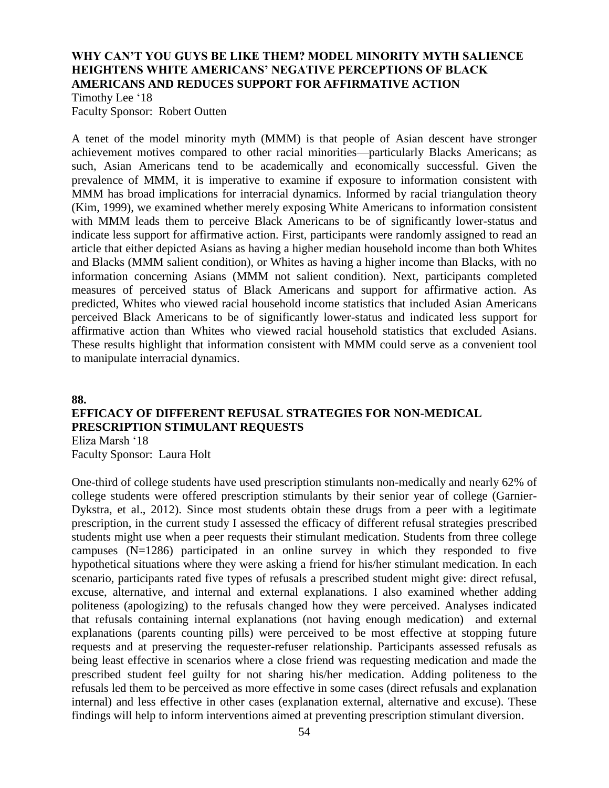# **WHY CAN'T YOU GUYS BE LIKE THEM? MODEL MINORITY MYTH SALIENCE HEIGHTENS WHITE AMERICANS' NEGATIVE PERCEPTIONS OF BLACK AMERICANS AND REDUCES SUPPORT FOR AFFIRMATIVE ACTION**

Timothy Lee '18 Faculty Sponsor: Robert Outten

A tenet of the model minority myth (MMM) is that people of Asian descent have stronger achievement motives compared to other racial minorities—particularly Blacks Americans; as such, Asian Americans tend to be academically and economically successful. Given the prevalence of MMM, it is imperative to examine if exposure to information consistent with MMM has broad implications for interracial dynamics. Informed by racial triangulation theory (Kim, 1999), we examined whether merely exposing White Americans to information consistent with MMM leads them to perceive Black Americans to be of significantly lower-status and indicate less support for affirmative action. First, participants were randomly assigned to read an article that either depicted Asians as having a higher median household income than both Whites and Blacks (MMM salient condition), or Whites as having a higher income than Blacks, with no information concerning Asians (MMM not salient condition). Next, participants completed measures of perceived status of Black Americans and support for affirmative action. As predicted, Whites who viewed racial household income statistics that included Asian Americans perceived Black Americans to be of significantly lower-status and indicated less support for affirmative action than Whites who viewed racial household statistics that excluded Asians. These results highlight that information consistent with MMM could serve as a convenient tool to manipulate interracial dynamics.

**88.**

# **EFFICACY OF DIFFERENT REFUSAL STRATEGIES FOR NON-MEDICAL PRESCRIPTION STIMULANT REQUESTS**

Eliza Marsh '18 Faculty Sponsor: Laura Holt

One-third of college students have used prescription stimulants non-medically and nearly 62% of college students were offered prescription stimulants by their senior year of college (Garnier-Dykstra, et al., 2012). Since most students obtain these drugs from a peer with a legitimate prescription, in the current study I assessed the efficacy of different refusal strategies prescribed students might use when a peer requests their stimulant medication. Students from three college campuses (N=1286) participated in an online survey in which they responded to five hypothetical situations where they were asking a friend for his/her stimulant medication. In each scenario, participants rated five types of refusals a prescribed student might give: direct refusal, excuse, alternative, and internal and external explanations. I also examined whether adding politeness (apologizing) to the refusals changed how they were perceived. Analyses indicated that refusals containing internal explanations (not having enough medication) and external explanations (parents counting pills) were perceived to be most effective at stopping future requests and at preserving the requester-refuser relationship. Participants assessed refusals as being least effective in scenarios where a close friend was requesting medication and made the prescribed student feel guilty for not sharing his/her medication. Adding politeness to the refusals led them to be perceived as more effective in some cases (direct refusals and explanation internal) and less effective in other cases (explanation external, alternative and excuse). These findings will help to inform interventions aimed at preventing prescription stimulant diversion.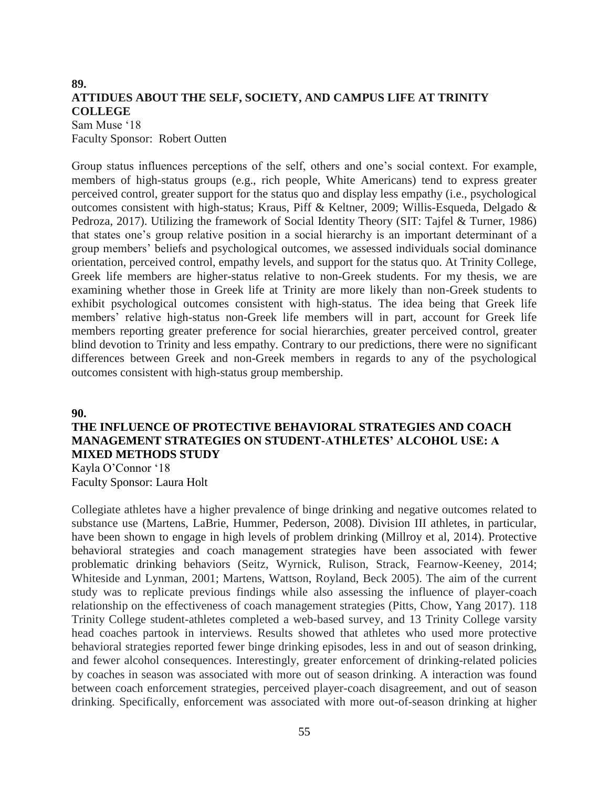# **89. ATTIDUES ABOUT THE SELF, SOCIETY, AND CAMPUS LIFE AT TRINITY COLLEGE**

Sam Muse '18 Faculty Sponsor: Robert Outten

Group status influences perceptions of the self, others and one's social context. For example, members of high-status groups (e.g., rich people, White Americans) tend to express greater perceived control, greater support for the status quo and display less empathy (i.e., psychological outcomes consistent with high-status; Kraus, Piff & Keltner, 2009; Willis-Esqueda, Delgado & Pedroza, 2017). Utilizing the framework of Social Identity Theory (SIT: Tajfel & Turner, 1986) that states one's group relative position in a social hierarchy is an important determinant of a group members' beliefs and psychological outcomes, we assessed individuals social dominance orientation, perceived control, empathy levels, and support for the status quo. At Trinity College, Greek life members are higher-status relative to non-Greek students. For my thesis, we are examining whether those in Greek life at Trinity are more likely than non-Greek students to exhibit psychological outcomes consistent with high-status. The idea being that Greek life members' relative high-status non-Greek life members will in part, account for Greek life members reporting greater preference for social hierarchies, greater perceived control, greater blind devotion to Trinity and less empathy. Contrary to our predictions, there were no significant differences between Greek and non-Greek members in regards to any of the psychological outcomes consistent with high-status group membership.

#### **90.**

# **THE INFLUENCE OF PROTECTIVE BEHAVIORAL STRATEGIES AND COACH MANAGEMENT STRATEGIES ON STUDENT-ATHLETES' ALCOHOL USE: A MIXED METHODS STUDY**

Kayla O'Connor '18 Faculty Sponsor: Laura Holt

Collegiate athletes have a higher prevalence of binge drinking and negative outcomes related to substance use (Martens, LaBrie, Hummer, Pederson, 2008). Division III athletes, in particular, have been shown to engage in high levels of problem drinking (Millroy et al, 2014). Protective behavioral strategies and coach management strategies have been associated with fewer problematic drinking behaviors (Seitz, Wyrnick, Rulison, Strack, Fearnow-Keeney, 2014; Whiteside and Lynman, 2001; Martens, Wattson, Royland, Beck 2005). The aim of the current study was to replicate previous findings while also assessing the influence of player-coach relationship on the effectiveness of coach management strategies (Pitts, Chow, Yang 2017). 118 Trinity College student-athletes completed a web-based survey, and 13 Trinity College varsity head coaches partook in interviews. Results showed that athletes who used more protective behavioral strategies reported fewer binge drinking episodes, less in and out of season drinking, and fewer alcohol consequences. Interestingly, greater enforcement of drinking-related policies by coaches in season was associated with more out of season drinking. A interaction was found between coach enforcement strategies, perceived player-coach disagreement, and out of season drinking. Specifically, enforcement was associated with more out-of-season drinking at higher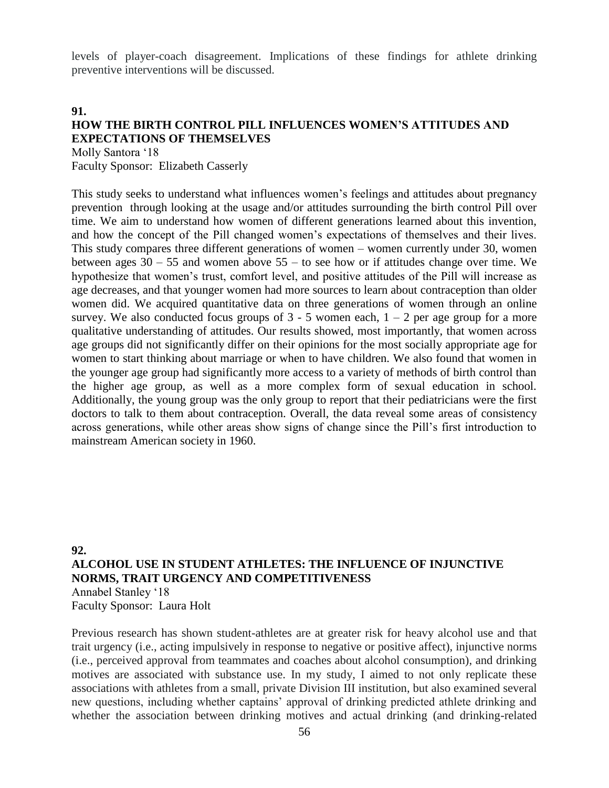levels of player-coach disagreement. Implications of these findings for athlete drinking preventive interventions will be discussed.

#### **91.**

# **HOW THE BIRTH CONTROL PILL INFLUENCES WOMEN'S ATTITUDES AND EXPECTATIONS OF THEMSELVES**

Molly Santora '18 Faculty Sponsor: Elizabeth Casserly

This study seeks to understand what influences women's feelings and attitudes about pregnancy prevention through looking at the usage and/or attitudes surrounding the birth control Pill over time. We aim to understand how women of different generations learned about this invention, and how the concept of the Pill changed women's expectations of themselves and their lives. This study compares three different generations of women – women currently under 30, women between ages  $30 - 55$  and women above  $55 -$  to see how or if attitudes change over time. We hypothesize that women's trust, comfort level, and positive attitudes of the Pill will increase as age decreases, and that younger women had more sources to learn about contraception than older women did. We acquired quantitative data on three generations of women through an online survey. We also conducted focus groups of  $3 - 5$  women each,  $1 - 2$  per age group for a more qualitative understanding of attitudes. Our results showed, most importantly, that women across age groups did not significantly differ on their opinions for the most socially appropriate age for women to start thinking about marriage or when to have children. We also found that women in the younger age group had significantly more access to a variety of methods of birth control than the higher age group, as well as a more complex form of sexual education in school. Additionally, the young group was the only group to report that their pediatricians were the first doctors to talk to them about contraception. Overall, the data reveal some areas of consistency across generations, while other areas show signs of change since the Pill's first introduction to mainstream American society in 1960.

# **92. ALCOHOL USE IN STUDENT ATHLETES: THE INFLUENCE OF INJUNCTIVE NORMS, TRAIT URGENCY AND COMPETITIVENESS** Annabel Stanley '18 Faculty Sponsor: Laura Holt

Previous research has shown student-athletes are at greater risk for heavy alcohol use and that trait urgency (i.e., acting impulsively in response to negative or positive affect), injunctive norms (i.e., perceived approval from teammates and coaches about alcohol consumption), and drinking motives are associated with substance use. In my study, I aimed to not only replicate these associations with athletes from a small, private Division III institution, but also examined several new questions, including whether captains' approval of drinking predicted athlete drinking and whether the association between drinking motives and actual drinking (and drinking-related